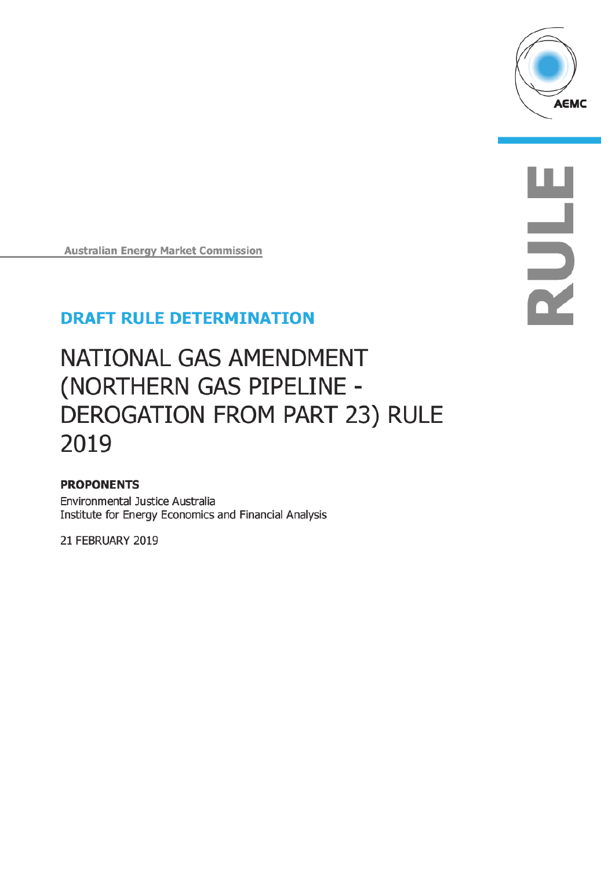

**HIRANG** 

**Australian Energy Market Commission** 

## **DRAFT RULE DETERMINATION**

# NATIONAL GAS AMENDMENT (NORTHERN GAS PIPELINE -DEROGATION FROM PART 23) RULE 2019

### **PROPONENTS**

Environmental Justice Australia Institute for Energy Economics and Financial Analysis

21 FEBRUARY 2019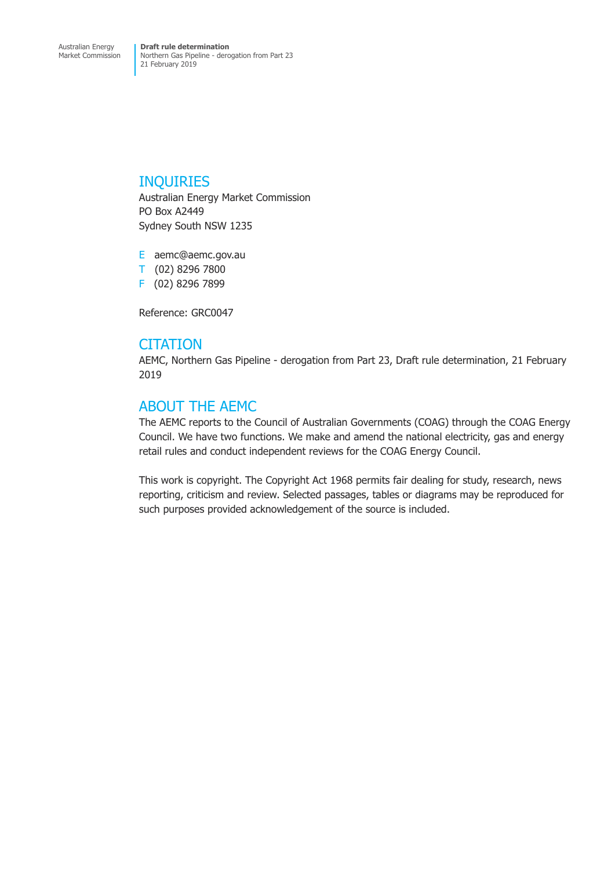## INQUIRIES

Australian Energy Market Commission PO Box A2449 Sydney South NSW 1235

E aemc@aemc.gov.au T (02) 8296 7800 F (02) 8296 7899

Reference: GRC0047

## **CITATION**

AEMC, Northern Gas Pipeline - derogation from Part 23, Draft rule determination, 21 February 2019

## ABOUT THE AEMC

The AEMC reports to the Council of Australian Governments (COAG) through the COAG Energy Council. We have two functions. We make and amend the national electricity, gas and energy retail rules and conduct independent reviews for the COAG Energy Council.

This work is copyright. The Copyright Act 1968 permits fair dealing for study, research, news reporting, criticism and review. Selected passages, tables or diagrams may be reproduced for such purposes provided acknowledgement of the source is included.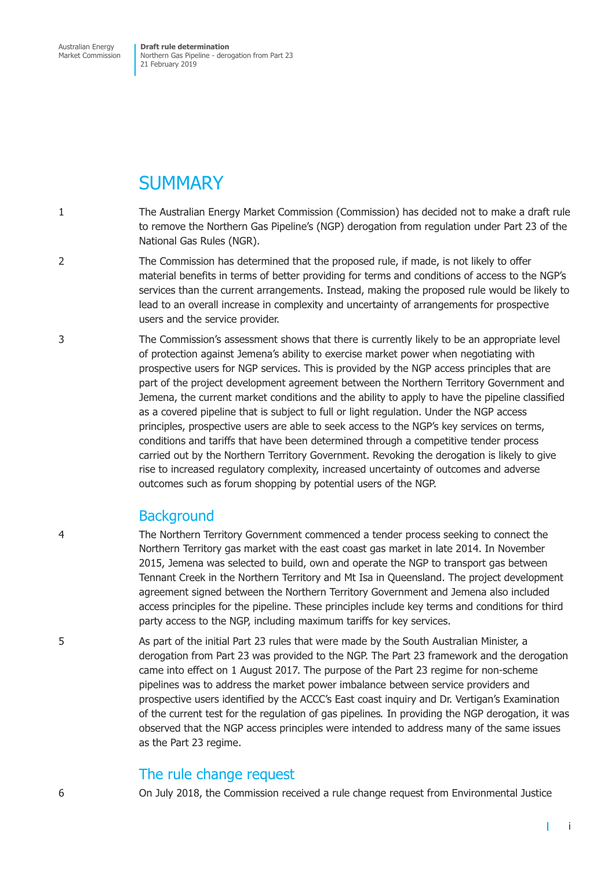Australian Energy Market Commission

**Draft rule determination** Northern Gas Pipeline - derogation from Part 23 21 February 2019

## **SUMMARY**

- 1 The Australian Energy Market Commission (Commission) has decided not to make a draft rule to remove the Northern Gas Pipeline's (NGP) derogation from regulation under Part 23 of the National Gas Rules (NGR).
- 2 The Commission has determined that the proposed rule, if made, is not likely to offer material benefits in terms of better providing for terms and conditions of access to the NGP's services than the current arrangements. Instead, making the proposed rule would be likely to lead to an overall increase in complexity and uncertainty of arrangements for prospective users and the service provider.
- 3 The Commission's assessment shows that there is currently likely to be an appropriate level of protection against Jemena's ability to exercise market power when negotiating with prospective users for NGP services. This is provided by the NGP access principles that are part of the project development agreement between the Northern Territory Government and Jemena, the current market conditions and the ability to apply to have the pipeline classified as a covered pipeline that is subject to full or light regulation. Under the NGP access principles, prospective users are able to seek access to the NGP's key services on terms, conditions and tariffs that have been determined through a competitive tender process carried out by the Northern Territory Government. Revoking the derogation is likely to give rise to increased regulatory complexity, increased uncertainty of outcomes and adverse outcomes such as forum shopping by potential users of the NGP.

## **Background**

4 The Northern Territory Government commenced a tender process seeking to connect the Northern Territory gas market with the east coast gas market in late 2014. In November 2015, Jemena was selected to build, own and operate the NGP to transport gas between Tennant Creek in the Northern Territory and Mt Isa in Queensland. The project development agreement signed between the Northern Territory Government and Jemena also included access principles for the pipeline. These principles include key terms and conditions for third party access to the NGP, including maximum tariffs for key services.

5 As part of the initial Part 23 rules that were made by the South Australian Minister, a derogation from Part 23 was provided to the NGP. The Part 23 framework and the derogation came into effect on 1 August 2017. The purpose of the Part 23 regime for non-scheme pipelines was to address the market power imbalance between service providers and prospective users identified by the ACCC's East coast inquiry and Dr. Vertigan's Examination of the current test for the regulation of gas pipelines*.* In providing the NGP derogation, it was observed that the NGP access principles were intended to address many of the same issues as the Part 23 regime.

## The rule change request

6 On July 2018, the Commission received a rule change request from Environmental Justice

 $\mathbf{I}$ 

i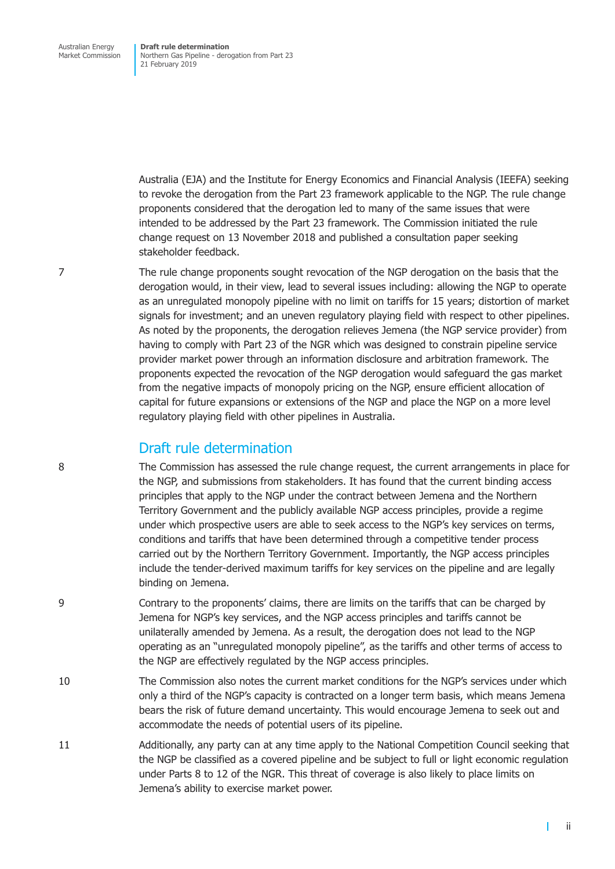Australia (EJA) and the Institute for Energy Economics and Financial Analysis (IEEFA) seeking to revoke the derogation from the Part 23 framework applicable to the NGP. The rule change proponents considered that the derogation led to many of the same issues that were intended to be addressed by the Part 23 framework. The Commission initiated the rule change request on 13 November 2018 and published a consultation paper seeking stakeholder feedback.

7 The rule change proponents sought revocation of the NGP derogation on the basis that the derogation would, in their view, lead to several issues including: allowing the NGP to operate as an unregulated monopoly pipeline with no limit on tariffs for 15 years; distortion of market signals for investment; and an uneven regulatory playing field with respect to other pipelines. As noted by the proponents, the derogation relieves Jemena (the NGP service provider) from having to comply with Part 23 of the NGR which was designed to constrain pipeline service provider market power through an information disclosure and arbitration framework. The proponents expected the revocation of the NGP derogation would safeguard the gas market from the negative impacts of monopoly pricing on the NGP, ensure efficient allocation of capital for future expansions or extensions of the NGP and place the NGP on a more level regulatory playing field with other pipelines in Australia.

## Draft rule determination

8 The Commission has assessed the rule change request, the current arrangements in place for the NGP, and submissions from stakeholders. It has found that the current binding access principles that apply to the NGP under the contract between Jemena and the Northern Territory Government and the publicly available NGP access principles, provide a regime under which prospective users are able to seek access to the NGP's key services on terms, conditions and tariffs that have been determined through a competitive tender process carried out by the Northern Territory Government. Importantly, the NGP access principles include the tender-derived maximum tariffs for key services on the pipeline and are legally binding on Jemena.

- 9 Contrary to the proponents' claims, there are limits on the tariffs that can be charged by Jemena for NGP's key services, and the NGP access principles and tariffs cannot be unilaterally amended by Jemena. As a result, the derogation does not lead to the NGP operating as an "unregulated monopoly pipeline", as the tariffs and other terms of access to the NGP are effectively regulated by the NGP access principles.
- 10 The Commission also notes the current market conditions for the NGP's services under which only a third of the NGP's capacity is contracted on a longer term basis, which means Jemena bears the risk of future demand uncertainty. This would encourage Jemena to seek out and accommodate the needs of potential users of its pipeline.
- 11 Additionally, any party can at any time apply to the National Competition Council seeking that the NGP be classified as a covered pipeline and be subject to full or light economic regulation under Parts 8 to 12 of the NGR. This threat of coverage is also likely to place limits on Jemena's ability to exercise market power.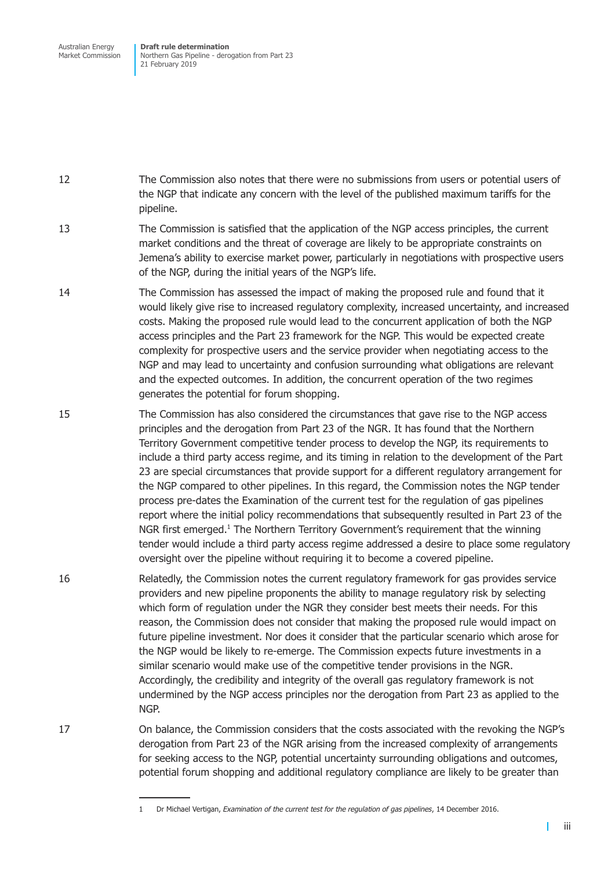Australian Energy Market Commission

**Draft rule determination** Northern Gas Pipeline - derogation from Part 23 21 February 2019

12 The Commission also notes that there were no submissions from users or potential users of the NGP that indicate any concern with the level of the published maximum tariffs for the pipeline.

- 13 The Commission is satisfied that the application of the NGP access principles, the current market conditions and the threat of coverage are likely to be appropriate constraints on Jemena's ability to exercise market power, particularly in negotiations with prospective users of the NGP, during the initial years of the NGP's life.
- 14 The Commission has assessed the impact of making the proposed rule and found that it would likely give rise to increased regulatory complexity, increased uncertainty, and increased costs. Making the proposed rule would lead to the concurrent application of both the NGP access principles and the Part 23 framework for the NGP. This would be expected create complexity for prospective users and the service provider when negotiating access to the NGP and may lead to uncertainty and confusion surrounding what obligations are relevant and the expected outcomes. In addition, the concurrent operation of the two regimes generates the potential for forum shopping.
- 15 The Commission has also considered the circumstances that gave rise to the NGP access principles and the derogation from Part 23 of the NGR. It has found that the Northern Territory Government competitive tender process to develop the NGP, its requirements to include a third party access regime, and its timing in relation to the development of the Part 23 are special circumstances that provide support for a different regulatory arrangement for the NGP compared to other pipelines. In this regard, the Commission notes the NGP tender process pre-dates the Examination of the current test for the regulation of gas pipelines report where the initial policy recommendations that subsequently resulted in Part 23 of the NGR first emerged.<sup>1</sup> The Northern Territory Government's requirement that the winning tender would include a third party access regime addressed a desire to place some regulatory oversight over the pipeline without requiring it to become a covered pipeline.
- 16 Relatedly, the Commission notes the current regulatory framework for gas provides service providers and new pipeline proponents the ability to manage regulatory risk by selecting which form of regulation under the NGR they consider best meets their needs. For this reason, the Commission does not consider that making the proposed rule would impact on future pipeline investment. Nor does it consider that the particular scenario which arose for the NGP would be likely to re-emerge. The Commission expects future investments in a similar scenario would make use of the competitive tender provisions in the NGR. Accordingly, the credibility and integrity of the overall gas regulatory framework is not undermined by the NGP access principles nor the derogation from Part 23 as applied to the NGP.

17 On balance, the Commission considers that the costs associated with the revoking the NGP's derogation from Part 23 of the NGR arising from the increased complexity of arrangements for seeking access to the NGP, potential uncertainty surrounding obligations and outcomes, potential forum shopping and additional regulatory compliance are likely to be greater than

T

<sup>1</sup> Dr Michael Vertigan, *Examination of the current test for the regulation of gas pipelines*, 14 December 2016.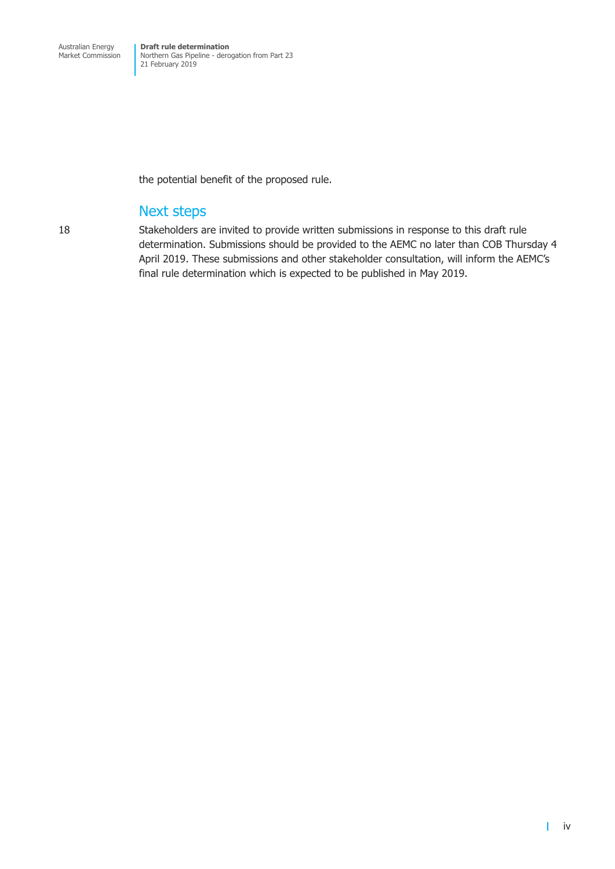the potential benefit of the proposed rule.

## Next steps

18 Stakeholders are invited to provide written submissions in response to this draft rule determination. Submissions should be provided to the AEMC no later than COB Thursday 4 April 2019. These submissions and other stakeholder consultation, will inform the AEMC's final rule determination which is expected to be published in May 2019.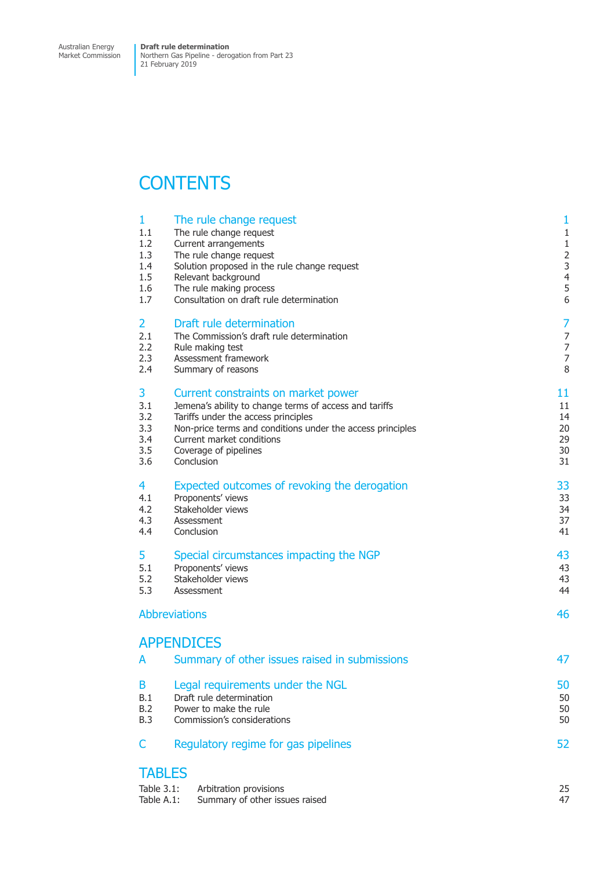## **CONTENTS**

| $\mathbf{1}$ | The rule change request                                    | $\mathbf{1}$   |
|--------------|------------------------------------------------------------|----------------|
| 1.1          | The rule change request                                    | $\mathbf{1}$   |
| 1.2          | Current arrangements                                       | $1\,$          |
| 1.3          | The rule change request                                    | $\overline{2}$ |
| 1.4          | Solution proposed in the rule change request               | 3              |
| 1.5          | Relevant background                                        | $\overline{4}$ |
| 1.6          | The rule making process                                    | 5              |
| 1.7          | Consultation on draft rule determination                   | 6              |
| 2            | Draft rule determination                                   | 7              |
| 2.1          | The Commission's draft rule determination                  | $\overline{7}$ |
| 2.2          | Rule making test                                           | $\overline{7}$ |
| 2.3          | Assessment framework                                       | $\overline{7}$ |
| 2.4          | Summary of reasons                                         | 8              |
| 3            | Current constraints on market power                        | 11             |
| 3.1          | Jemena's ability to change terms of access and tariffs     | 11             |
| 3.2          | Tariffs under the access principles                        | 14             |
| 3.3          | Non-price terms and conditions under the access principles | 20             |
| 3.4          | Current market conditions                                  | 29             |
| 3.5          | Coverage of pipelines                                      | 30             |
| 3.6          | Conclusion                                                 | 31             |
| 4            | Expected outcomes of revoking the derogation               | 33             |
| 4.1          | Proponents' views                                          | 33             |
| 4.2          | Stakeholder views                                          | 34             |
| 4.3          | Assessment                                                 | 37             |
| 4.4          | Conclusion                                                 | 41             |
| 5            | Special circumstances impacting the NGP                    | 43             |
| 5.1          | Proponents' views                                          | 43             |
| 5.2          | Stakeholder views                                          | 43             |
| 5.3          | Assessment                                                 | 44             |
|              | <b>Abbreviations</b>                                       | 46             |
|              | <b>APPENDICES</b>                                          |                |
| A            | Summary of other issues raised in submissions              | 47             |
| B            | Legal requirements under the NGL                           | 50             |
| B.1          | Draft rule determination                                   | 50             |
| B.2          | Power to make the rule                                     | 50             |
| B.3          | Commission's considerations                                | 50             |
| C            | Regulatory regime for gas pipelines                        | 52             |
|              | <b>TABLES</b>                                              |                |
| Table 3.1:   | Arbitration provisions                                     | 25             |
| Table A.1:   | Summary of other issues raised                             | 47             |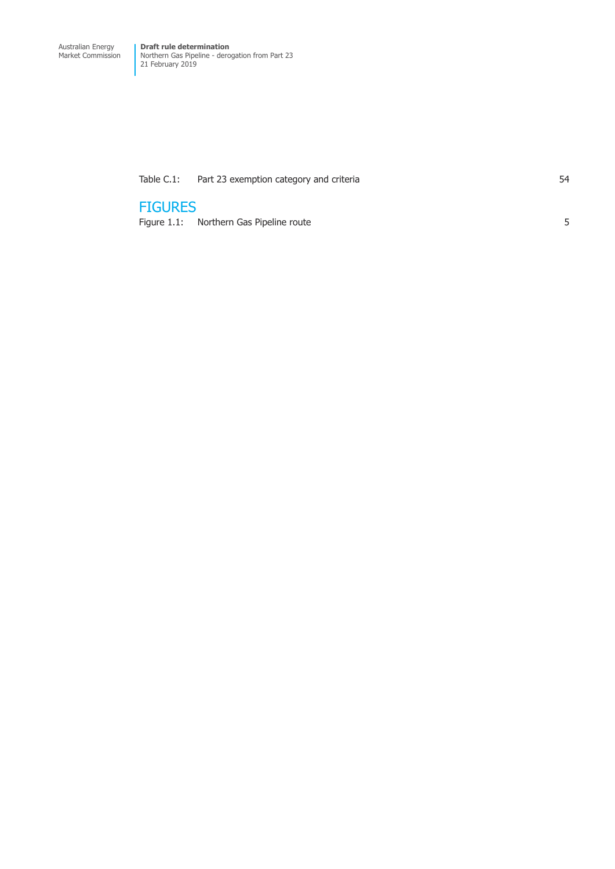[Table C.1: Part 23 exemption category and criteria 54](#page-61-0)

## **FIGURES**

[Figure 1.1: Northern Gas Pipeline route 5](#page-12-0)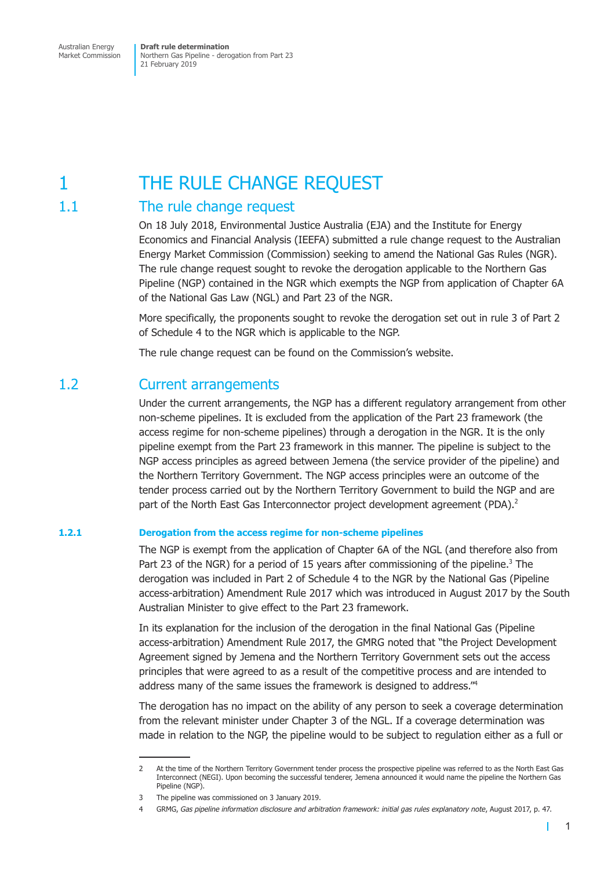## <span id="page-8-0"></span>1 THE RULE CHANGE REQUEST

## 1.1 The rule change request

On 18 July 2018, Environmental Justice Australia (EJA) and the Institute for Energy Economics and Financial Analysis (IEEFA) submitted a rule change request to the Australian Energy Market Commission (Commission) seeking to amend the National Gas Rules (NGR). The rule change request sought to revoke the derogation applicable to the Northern Gas Pipeline (NGP) contained in the NGR which exempts the NGP from application of Chapter 6A of the National Gas Law (NGL) and Part 23 of the NGR.

More specifically, the proponents sought to revoke the derogation set out in rule 3 of Part 2 of Schedule 4 to the NGR which is applicable to the NGP.

The rule change request can be found on the Commission's website.

## 1.2 Current arrangements

Under the current arrangements, the NGP has a different regulatory arrangement from other non-scheme pipelines. It is excluded from the application of the Part 23 framework (the access regime for non-scheme pipelines) through a derogation in the NGR. It is the only pipeline exempt from the Part 23 framework in this manner. The pipeline is subject to the NGP access principles as agreed between Jemena (the service provider of the pipeline) and the Northern Territory Government. The NGP access principles were an outcome of the tender process carried out by the Northern Territory Government to build the NGP and are part of the North East Gas Interconnector project development agreement (PDA).<sup>2</sup>

#### **1.2.1 Derogation from the access regime for non-scheme pipelines**

The NGP is exempt from the application of Chapter 6A of the NGL (and therefore also from Part 23 of the NGR) for a period of 15 years after commissioning of the pipeline.<sup>3</sup> The derogation was included in Part 2 of Schedule 4 to the NGR by the National Gas (Pipeline access-arbitration) Amendment Rule 2017 which was introduced in August 2017 by the South Australian Minister to give effect to the Part 23 framework.

In its explanation for the inclusion of the derogation in the final National Gas (Pipeline access-arbitration) Amendment Rule 2017, the GMRG noted that "the Project Development Agreement signed by Jemena and the Northern Territory Government sets out the access principles that were agreed to as a result of the competitive process and are intended to address many of the same issues the framework is designed to address."4

The derogation has no impact on the ability of any person to seek a coverage determination from the relevant minister under Chapter 3 of the NGL. If a coverage determination was made in relation to the NGP, the pipeline would to be subject to regulation either as a full or

Т

<sup>2</sup> At the time of the Northern Territory Government tender process the prospective pipeline was referred to as the North East Gas Interconnect (NEGI). Upon becoming the successful tenderer, Jemena announced it would name the pipeline the Northern Gas Pipeline (NGP).

<sup>3</sup> The pipeline was commissioned on 3 January 2019.

<sup>4</sup> GRMG, *Gas pipeline information disclosure and arbitration framework: initial gas rules explanatory note*, August 2017, p. 47.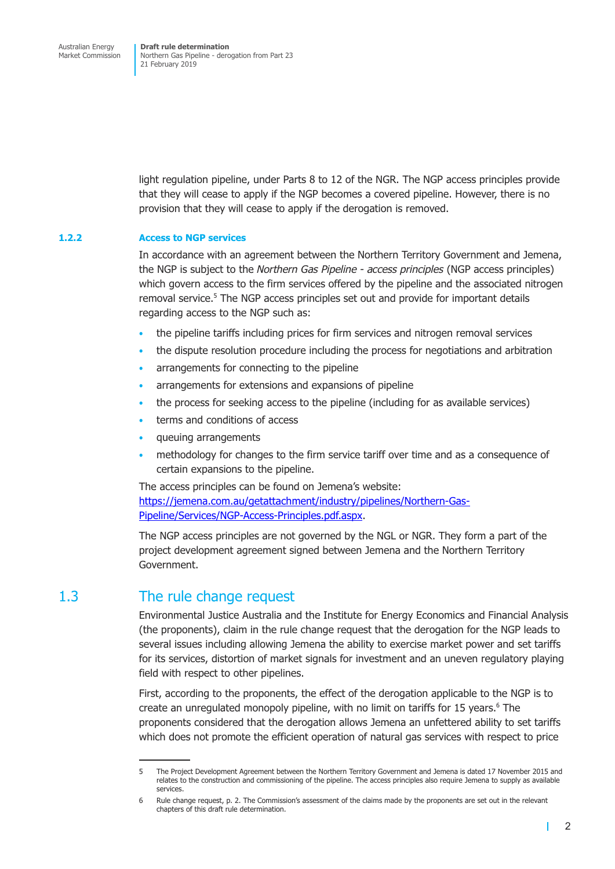<span id="page-9-0"></span>light regulation pipeline, under Parts 8 to 12 of the NGR. The NGP access principles provide that they will cease to apply if the NGP becomes a covered pipeline. However, there is no provision that they will cease to apply if the derogation is removed.

#### **1.2.2 Access to NGP services**

In accordance with an agreement between the Northern Territory Government and Jemena, the NGP is subject to the *Northern Gas Pipeline - access principles* (NGP access principles) which govern access to the firm services offered by the pipeline and the associated nitrogen removal service.<sup>5</sup> The NGP access principles set out and provide for important details regarding access to the NGP such as:

- the pipeline tariffs including prices for firm services and nitrogen removal services
- the dispute resolution procedure including the process for negotiations and arbitration
- arrangements for connecting to the pipeline
- arrangements for extensions and expansions of pipeline
- the process for seeking access to the pipeline (including for as available services)
- terms and conditions of access
- queuing arrangements
- methodology for changes to the firm service tariff over time and as a consequence of certain expansions to the pipeline.

The access principles can be found on Jemena's website: https://jemena.com.au/getattachment/industry/pipelines/Northern-Gas-Pipeline/Services/NGP-Access-Principles.pdf.aspx.

The NGP access principles are not governed by the NGL or NGR. They form a part of the project development agreement signed between Jemena and the Northern Territory Government.

## 1.3 The rule change request

Environmental Justice Australia and the Institute for Energy Economics and Financial Analysis (the proponents), claim in the rule change request that the derogation for the NGP leads to several issues including allowing Jemena the ability to exercise market power and set tariffs for its services, distortion of market signals for investment and an uneven regulatory playing field with respect to other pipelines.

First, according to the proponents, the effect of the derogation applicable to the NGP is to create an unregulated monopoly pipeline, with no limit on tariffs for 15 years.<sup>6</sup> The proponents considered that the derogation allows Jemena an unfettered ability to set tariffs which does not promote the efficient operation of natural gas services with respect to price

 $\mathbf{I}$ 

<sup>5</sup> The Project Development Agreement between the Northern Territory Government and Jemena is dated 17 November 2015 and relates to the construction and commissioning of the pipeline. The access principles also require Jemena to supply as available services.

<sup>6</sup> Rule change request, p. 2. The Commission's assessment of the claims made by the proponents are set out in the relevant chapters of this draft rule determination.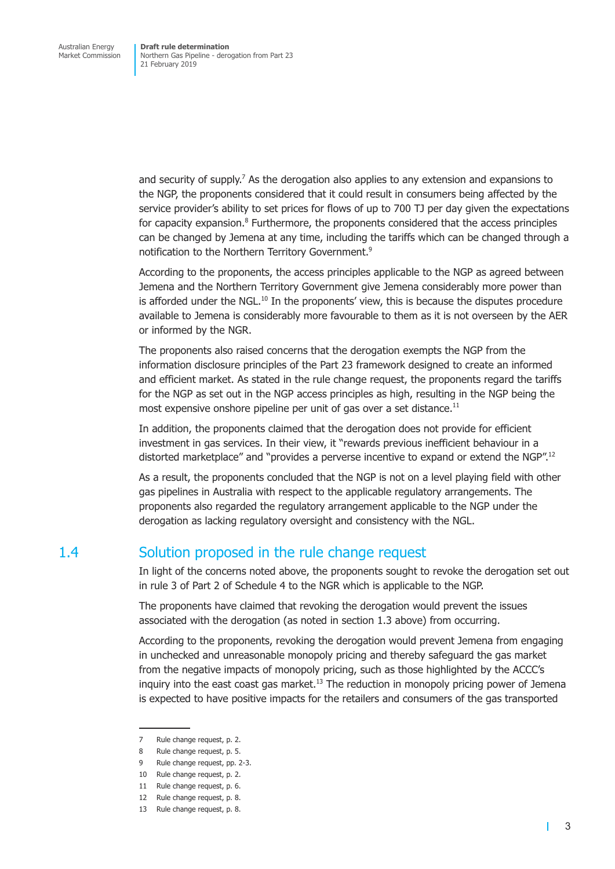<span id="page-10-0"></span>and security of supply.<sup>7</sup> As the derogation also applies to any extension and expansions to the NGP, the proponents considered that it could result in consumers being affected by the service provider's ability to set prices for flows of up to 700 TJ per day given the expectations for capacity expansion.<sup>8</sup> Furthermore, the proponents considered that the access principles can be changed by Jemena at any time, including the tariffs which can be changed through a notification to the Northern Territory Government.<sup>9</sup>

According to the proponents, the access principles applicable to the NGP as agreed between Jemena and the Northern Territory Government give Jemena considerably more power than is afforded under the NGL.<sup>10</sup> In the proponents' view, this is because the disputes procedure available to Jemena is considerably more favourable to them as it is not overseen by the AER or informed by the NGR.

The proponents also raised concerns that the derogation exempts the NGP from the information disclosure principles of the Part 23 framework designed to create an informed and efficient market. As stated in the rule change request, the proponents regard the tariffs for the NGP as set out in the NGP access principles as high, resulting in the NGP being the most expensive onshore pipeline per unit of gas over a set distance.<sup>11</sup>

In addition, the proponents claimed that the derogation does not provide for efficient investment in gas services. In their view, it "rewards previous inefficient behaviour in a distorted marketplace" and "provides a perverse incentive to expand or extend the NGP".<sup>12</sup>

As a result, the proponents concluded that the NGP is not on a level playing field with other gas pipelines in Australia with respect to the applicable regulatory arrangements. The proponents also regarded the regulatory arrangement applicable to the NGP under the derogation as lacking regulatory oversight and consistency with the NGL.

## 1.4 Solution proposed in the rule change request

In light of the concerns noted above, the proponents sought to revoke the derogation set out in rule 3 of Part 2 of Schedule 4 to the NGR which is applicable to the NGP.

The proponents have claimed that revoking the derogation would prevent the issues associated with the derogation (as noted in section 1.3 above) from occurring.

According to the proponents, revoking the derogation would prevent Jemena from engaging in unchecked and unreasonable monopoly pricing and thereby safeguard the gas market from the negative impacts of monopoly pricing, such as those highlighted by the ACCC's inquiry into the east coast gas market. $13$  The reduction in monopoly pricing power of Jemena is expected to have positive impacts for the retailers and consumers of the gas transported

T

<sup>7</sup> Rule change request, p. 2.

<sup>8</sup> Rule change request, p. 5.

<sup>9</sup> Rule change request, pp. 2-3.

<sup>10</sup> Rule change request, p. 2.

<sup>11</sup> Rule change request, p. 6.

<sup>12</sup> Rule change request, p. 8.

<sup>13</sup> Rule change request, p. 8.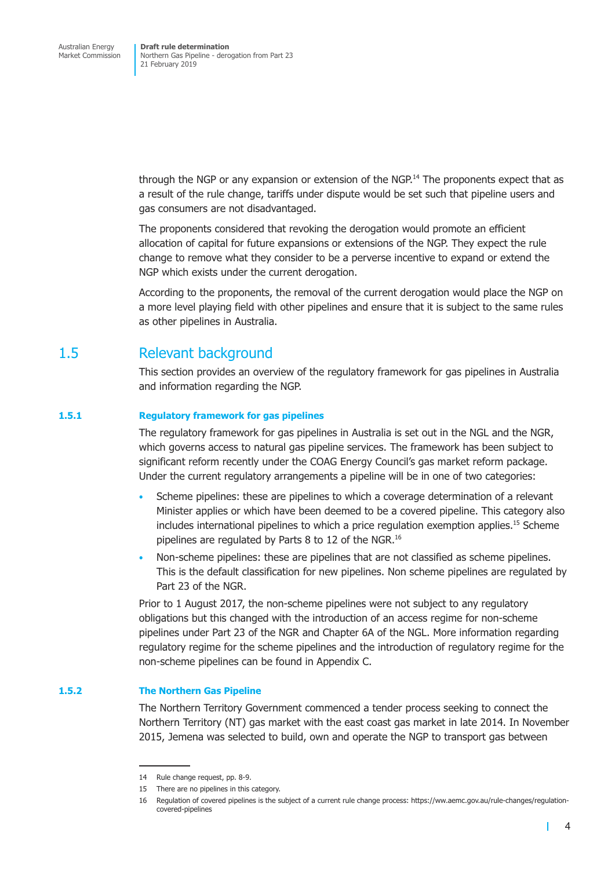<span id="page-11-0"></span>through the NGP or any expansion or extension of the NGP.<sup>14</sup> The proponents expect that as a result of the rule change, tariffs under dispute would be set such that pipeline users and gas consumers are not disadvantaged.

The proponents considered that revoking the derogation would promote an efficient allocation of capital for future expansions or extensions of the NGP. They expect the rule change to remove what they consider to be a perverse incentive to expand or extend the NGP which exists under the current derogation.

According to the proponents, the removal of the current derogation would place the NGP on a more level playing field with other pipelines and ensure that it is subject to the same rules as other pipelines in Australia.

## 1.5 Relevant background

This section provides an overview of the regulatory framework for gas pipelines in Australia and information regarding the NGP.

#### **1.5.1 Regulatory framework for gas pipelines**

The regulatory framework for gas pipelines in Australia is set out in the NGL and the NGR, which governs access to natural gas pipeline services. The framework has been subject to significant reform recently under the COAG Energy Council's gas market reform package. Under the current regulatory arrangements a pipeline will be in one of two categories:

- Scheme pipelines: these are pipelines to which a coverage determination of a relevant Minister applies or which have been deemed to be a covered pipeline. This category also includes international pipelines to which a price regulation exemption applies.<sup>15</sup> Scheme pipelines are regulated by Parts 8 to 12 of the NGR.<sup>16</sup>
- Non-scheme pipelines: these are pipelines that are not classified as scheme pipelines. This is the default classification for new pipelines. Non scheme pipelines are regulated by Part 23 of the NGR

Prior to 1 August 2017, the non-scheme pipelines were not subject to any regulatory obligations but this changed with the introduction of an access regime for non-scheme pipelines under Part 23 of the NGR and Chapter 6A of the NGL. More information regarding regulatory regime for the scheme pipelines and the introduction of regulatory regime for the non-scheme pipelines can be found in Appendix C.

#### **1.5.2 The Northern Gas Pipeline**

The Northern Territory Government commenced a tender process seeking to connect the Northern Territory (NT) gas market with the east coast gas market in late 2014. In November 2015, Jemena was selected to build, own and operate the NGP to transport gas between

т

<sup>14</sup> Rule change request, pp. 8-9.

<sup>15</sup> There are no pipelines in this category.

<sup>16</sup> Regulation of covered pipelines is the subject of a current rule change process: https://ww.aemc.gov.au/rule-changes/regulationcovered-pipelines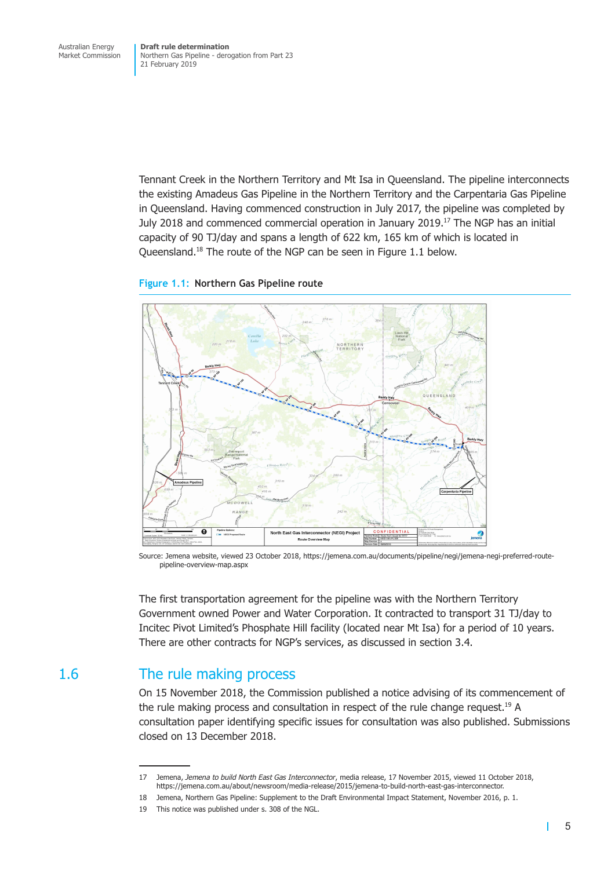<span id="page-12-0"></span>Tennant Creek in the Northern Territory and Mt Isa in Queensland. The pipeline interconnects the existing Amadeus Gas Pipeline in the Northern Territory and the Carpentaria Gas Pipeline in Queensland. Having commenced construction in July 2017, the pipeline was completed by July 2018 and commenced commercial operation in January 2019.17 The NGP has an initial capacity of 90 TJ/day and spans a length of 622 km, 165 km of which is located in Queensland.<sup>18</sup> The route of the NGP can be seen in Figure 1.1 below.

#### **Figure 1.1: Northern Gas Pipeline route**



Source: Jemena website, viewed 23 October 2018, https://jemena.com.au/documents/pipeline/negi/jemena-negi-preferred-routepipeline-overview-map.aspx

The first transportation agreement for the pipeline was with the Northern Territory Government owned Power and Water Corporation. It contracted to transport 31 TJ/day to Incitec Pivot Limited's Phosphate Hill facility (located near Mt Isa) for a period of 10 years. There are other contracts for NGP's services, as discussed in section 3.4.

## 1.6 The rule making process

On 15 November 2018, the Commission published a notice advising of its commencement of the rule making process and consultation in respect of the rule change request.<sup>19</sup> A consultation paper identifying specific issues for consultation was also published. Submissions closed on 13 December 2018.

 $\mathbf{I}$ 

<sup>17</sup> Jemena, *Jemena to build North East Gas Interconnector*, media release, 17 November 2015, viewed 11 October 2018, https://jemena.com.au/about/newsroom/media-release/2015/jemena-to-build-north-east-gas-interconnector.

<sup>18</sup> Jemena, Northern Gas Pipeline: Supplement to the Draft Environmental Impact Statement, November 2016, p. 1.

<sup>19</sup> This notice was published under s. 308 of the NGL.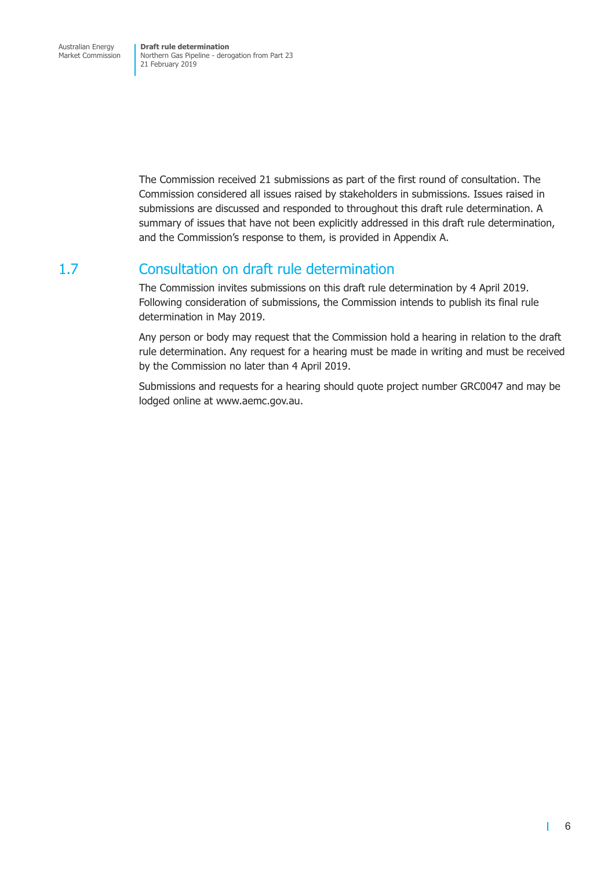<span id="page-13-0"></span>The Commission received 21 submissions as part of the first round of consultation. The Commission considered all issues raised by stakeholders in submissions. Issues raised in submissions are discussed and responded to throughout this draft rule determination. A summary of issues that have not been explicitly addressed in this draft rule determination, and the Commission's response to them, is provided in Appendix A.

## 1.7 Consultation on draft rule determination

The Commission invites submissions on this draft rule determination by 4 April 2019. Following consideration of submissions, the Commission intends to publish its final rule determination in May 2019.

Any person or body may request that the Commission hold a hearing in relation to the draft rule determination. Any request for a hearing must be made in writing and must be received by the Commission no later than 4 April 2019.

Submissions and requests for a hearing should quote project number GRC0047 and may be lodged online at www.aemc.gov.au.

п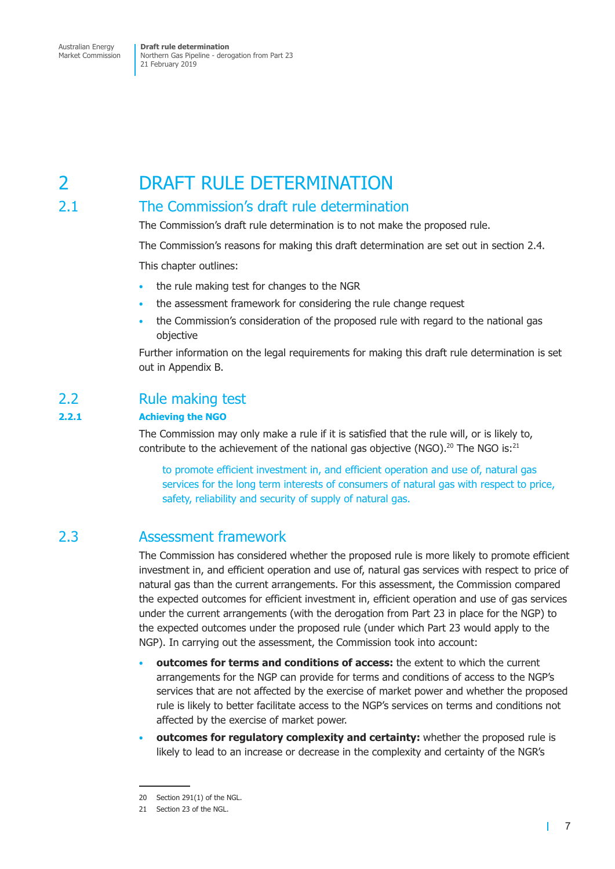## <span id="page-14-0"></span>2 DRAFT RULE DETERMINATION

## 2.1 The Commission's draft rule determination

The Commission's draft rule determination is to not make the proposed rule.

The Commission's reasons for making this draft determination are set out in section 2.4.

This chapter outlines:

- the rule making test for changes to the NGR
- the assessment framework for considering the rule change request
- the Commission's consideration of the proposed rule with regard to the national gas objective

Further information on the legal requirements for making this draft rule determination is set out in Appendix B.

## 2.2 Rule making test

#### **2.2.1 Achieving the NGO**

The Commission may only make a rule if it is satisfied that the rule will, or is likely to, contribute to the achievement of the national gas objective (NGO).<sup>20</sup> The NGO is:<sup>21</sup>

to promote efficient investment in, and efficient operation and use of, natural gas services for the long term interests of consumers of natural gas with respect to price, safety, reliability and security of supply of natural gas.

## 2.3 Assessment framework

The Commission has considered whether the proposed rule is more likely to promote efficient investment in, and efficient operation and use of, natural gas services with respect to price of natural gas than the current arrangements. For this assessment, the Commission compared the expected outcomes for efficient investment in, efficient operation and use of gas services under the current arrangements (with the derogation from Part 23 in place for the NGP) to the expected outcomes under the proposed rule (under which Part 23 would apply to the NGP). In carrying out the assessment, the Commission took into account:

- **outcomes for terms and conditions of access:** the extent to which the current arrangements for the NGP can provide for terms and conditions of access to the NGP's services that are not affected by the exercise of market power and whether the proposed rule is likely to better facilitate access to the NGP's services on terms and conditions not affected by the exercise of market power.
- **outcomes for regulatory complexity and certainty:** whether the proposed rule is likely to lead to an increase or decrease in the complexity and certainty of the NGR's

 $\mathbf{L}$ 

<sup>20</sup> Section 291(1) of the NGL.

<sup>21</sup> Section 23 of the NGL.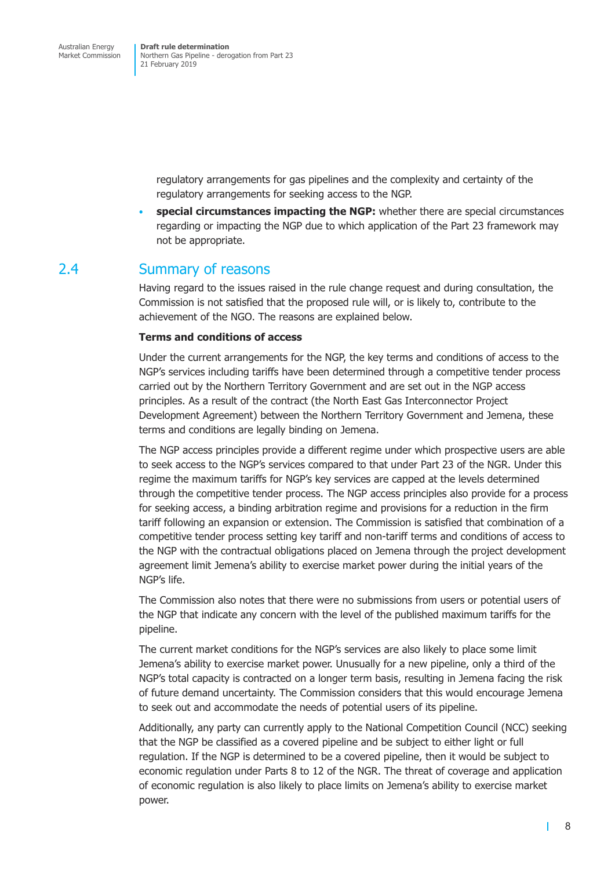> <span id="page-15-0"></span>regulatory arrangements for gas pipelines and the complexity and certainty of the regulatory arrangements for seeking access to the NGP.

• **special circumstances impacting the NGP:** whether there are special circumstances regarding or impacting the NGP due to which application of the Part 23 framework may not be appropriate.

## 2.4 Summary of reasons

Having regard to the issues raised in the rule change request and during consultation, the Commission is not satisfied that the proposed rule will, or is likely to, contribute to the achievement of the NGO. The reasons are explained below.

#### **Terms and conditions of access**

Under the current arrangements for the NGP, the key terms and conditions of access to the NGP's services including tariffs have been determined through a competitive tender process carried out by the Northern Territory Government and are set out in the NGP access principles. As a result of the contract (the North East Gas Interconnector Project Development Agreement) between the Northern Territory Government and Jemena, these terms and conditions are legally binding on Jemena.

The NGP access principles provide a different regime under which prospective users are able to seek access to the NGP's services compared to that under Part 23 of the NGR. Under this regime the maximum tariffs for NGP's key services are capped at the levels determined through the competitive tender process. The NGP access principles also provide for a process for seeking access, a binding arbitration regime and provisions for a reduction in the firm tariff following an expansion or extension. The Commission is satisfied that combination of a competitive tender process setting key tariff and non-tariff terms and conditions of access to the NGP with the contractual obligations placed on Jemena through the project development agreement limit Jemena's ability to exercise market power during the initial years of the NGP's life.

The Commission also notes that there were no submissions from users or potential users of the NGP that indicate any concern with the level of the published maximum tariffs for the pipeline.

The current market conditions for the NGP's services are also likely to place some limit Jemena's ability to exercise market power. Unusually for a new pipeline, only a third of the NGP's total capacity is contracted on a longer term basis, resulting in Jemena facing the risk of future demand uncertainty. The Commission considers that this would encourage Jemena to seek out and accommodate the needs of potential users of its pipeline.

Additionally, any party can currently apply to the National Competition Council (NCC) seeking that the NGP be classified as a covered pipeline and be subject to either light or full regulation. If the NGP is determined to be a covered pipeline, then it would be subject to economic regulation under Parts 8 to 12 of the NGR. The threat of coverage and application of economic regulation is also likely to place limits on Jemena's ability to exercise market power.

т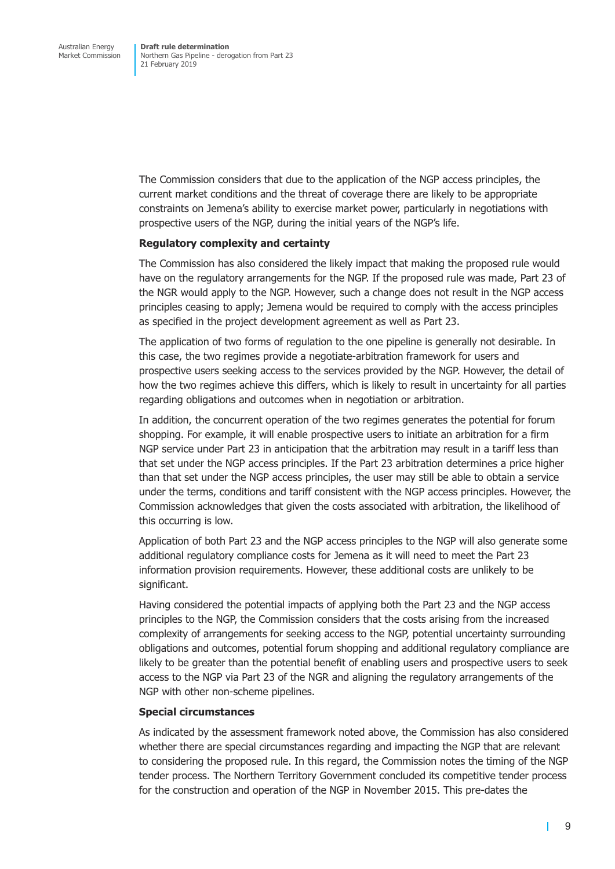The Commission considers that due to the application of the NGP access principles, the current market conditions and the threat of coverage there are likely to be appropriate constraints on Jemena's ability to exercise market power, particularly in negotiations with prospective users of the NGP, during the initial years of the NGP's life.

#### **Regulatory complexity and certainty**

The Commission has also considered the likely impact that making the proposed rule would have on the regulatory arrangements for the NGP. If the proposed rule was made, Part 23 of the NGR would apply to the NGP. However, such a change does not result in the NGP access principles ceasing to apply; Jemena would be required to comply with the access principles as specified in the project development agreement as well as Part 23.

The application of two forms of regulation to the one pipeline is generally not desirable. In this case, the two regimes provide a negotiate-arbitration framework for users and prospective users seeking access to the services provided by the NGP. However, the detail of how the two regimes achieve this differs, which is likely to result in uncertainty for all parties regarding obligations and outcomes when in negotiation or arbitration.

In addition, the concurrent operation of the two regimes generates the potential for forum shopping. For example, it will enable prospective users to initiate an arbitration for a firm NGP service under Part 23 in anticipation that the arbitration may result in a tariff less than that set under the NGP access principles. If the Part 23 arbitration determines a price higher than that set under the NGP access principles, the user may still be able to obtain a service under the terms, conditions and tariff consistent with the NGP access principles. However, the Commission acknowledges that given the costs associated with arbitration, the likelihood of this occurring is low.

Application of both Part 23 and the NGP access principles to the NGP will also generate some additional regulatory compliance costs for Jemena as it will need to meet the Part 23 information provision requirements. However, these additional costs are unlikely to be significant.

Having considered the potential impacts of applying both the Part 23 and the NGP access principles to the NGP, the Commission considers that the costs arising from the increased complexity of arrangements for seeking access to the NGP, potential uncertainty surrounding obligations and outcomes, potential forum shopping and additional regulatory compliance are likely to be greater than the potential benefit of enabling users and prospective users to seek access to the NGP via Part 23 of the NGR and aligning the regulatory arrangements of the NGP with other non-scheme pipelines.

#### **Special circumstances**

As indicated by the assessment framework noted above, the Commission has also considered whether there are special circumstances regarding and impacting the NGP that are relevant to considering the proposed rule. In this regard, the Commission notes the timing of the NGP tender process. The Northern Territory Government concluded its competitive tender process for the construction and operation of the NGP in November 2015. This pre-dates the

т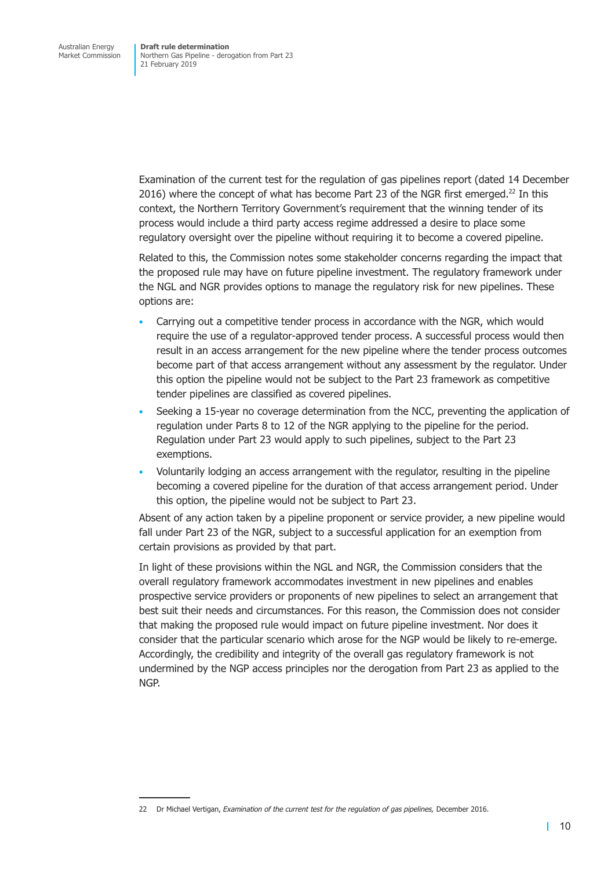Examination of the current test for the regulation of gas pipelines report (dated 14 December 2016) where the concept of what has become Part 23 of the NGR first emerged.<sup>22</sup> In this context, the Northern Territory Government's requirement that the winning tender of its process would include a third party access regime addressed a desire to place some regulatory oversight over the pipeline without requiring it to become a covered pipeline.

Related to this, the Commission notes some stakeholder concerns regarding the impact that the proposed rule may have on future pipeline investment. The regulatory framework under the NGL and NGR provides options to manage the regulatory risk for new pipelines. These options are:

- Carrying out a competitive tender process in accordance with the NGR, which would require the use of a regulator-approved tender process. A successful process would then result in an access arrangement for the new pipeline where the tender process outcomes become part of that access arrangement without any assessment by the regulator. Under this option the pipeline would not be subject to the Part 23 framework as competitive tender pipelines are classified as covered pipelines.
- Seeking a 15-year no coverage determination from the NCC, preventing the application of regulation under Parts 8 to 12 of the NGR applying to the pipeline for the period. Regulation under Part 23 would apply to such pipelines, subject to the Part 23 exemptions.
- Voluntarily lodging an access arrangement with the regulator, resulting in the pipeline becoming a covered pipeline for the duration of that access arrangement period. Under this option, the pipeline would not be subject to Part 23.

Absent of any action taken by a pipeline proponent or service provider, a new pipeline would fall under Part 23 of the NGR, subject to a successful application for an exemption from certain provisions as provided by that part.

In light of these provisions within the NGL and NGR, the Commission considers that the overall regulatory framework accommodates investment in new pipelines and enables prospective service providers or proponents of new pipelines to select an arrangement that best suit their needs and circumstances. For this reason, the Commission does not consider that making the proposed rule would impact on future pipeline investment. Nor does it consider that the particular scenario which arose for the NGP would be likely to re-emerge. Accordingly, the credibility and integrity of the overall gas regulatory framework is not undermined by the NGP access principles nor the derogation from Part 23 as applied to the NGP.

<sup>22</sup> Dr Michael Vertigan, *Examination of the current test for the regulation of gas pipelines,* December 2016.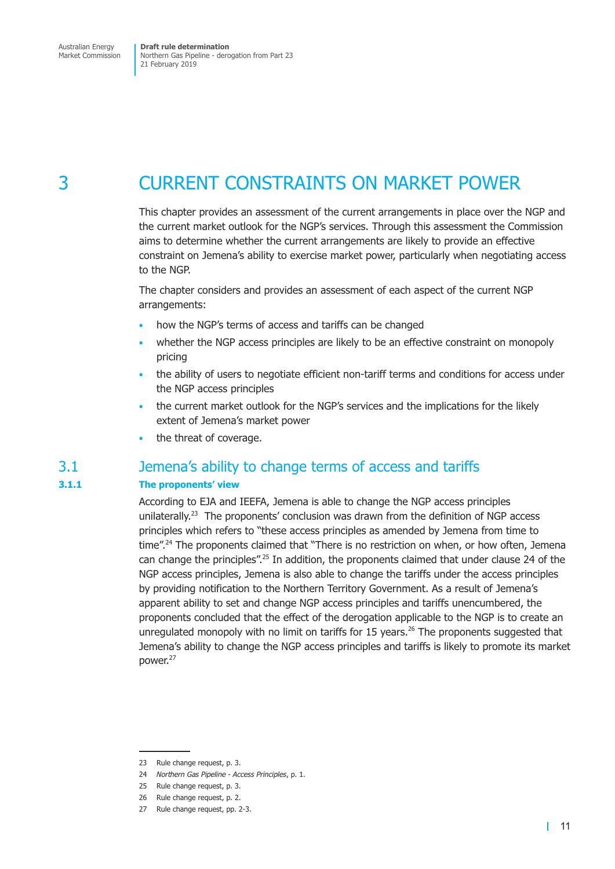## <span id="page-18-0"></span>3 CURRENT CONSTRAINTS ON MARKET POWER

This chapter provides an assessment of the current arrangements in place over the NGP and the current market outlook for the NGP's services. Through this assessment the Commission aims to determine whether the current arrangements are likely to provide an effective constraint on Jemena's ability to exercise market power, particularly when negotiating access to the NGP.

The chapter considers and provides an assessment of each aspect of the current NGP arrangements:

- how the NGP's terms of access and tariffs can be changed
- whether the NGP access principles are likely to be an effective constraint on monopoly pricing
- the ability of users to negotiate efficient non-tariff terms and conditions for access under the NGP access principles
- the current market outlook for the NGP's services and the implications for the likely extent of Jemena's market power
- the threat of coverage.

## 3.1 Jemena's ability to change terms of access and tariffs

#### **3.1.1 The proponents' view**

According to EJA and IEEFA, Jemena is able to change the NGP access principles unilaterally.<sup>23</sup> The proponents' conclusion was drawn from the definition of NGP access principles which refers to "these access principles as amended by Jemena from time to time".<sup>24</sup> The proponents claimed that "There is no restriction on when, or how often, Jemena can change the principles".<sup>25</sup> In addition, the proponents claimed that under clause 24 of the NGP access principles, Jemena is also able to change the tariffs under the access principles by providing notification to the Northern Territory Government. As a result of Jemena's apparent ability to set and change NGP access principles and tariffs unencumbered, the proponents concluded that the effect of the derogation applicable to the NGP is to create an unregulated monopoly with no limit on tariffs for 15 years.<sup>26</sup> The proponents suggested that Jemena's ability to change the NGP access principles and tariffs is likely to promote its market power.<sup>27</sup>

<sup>23</sup> Rule change request, p. 3.

<sup>24</sup> *Northern Gas Pipeline - Access Principles*, p. 1.

<sup>25</sup> Rule change request, p. 3.

<sup>26</sup> Rule change request, p. 2.

<sup>27</sup> Rule change request, pp. 2-3.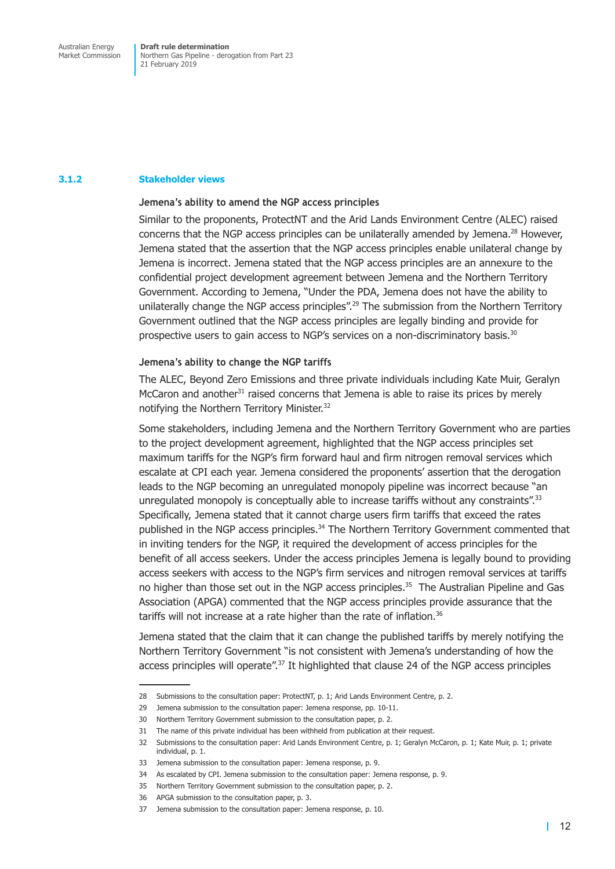#### **3.1.2 Stakeholder views**

#### **Jemena's ability to amend the NGP access principles**

Similar to the proponents, ProtectNT and the Arid Lands Environment Centre (ALEC) raised concerns that the NGP access principles can be unilaterally amended by Jemena.<sup>28</sup> However, Jemena stated that the assertion that the NGP access principles enable unilateral change by Jemena is incorrect. Jemena stated that the NGP access principles are an annexure to the confidential project development agreement between Jemena and the Northern Territory Government. According to Jemena, "Under the PDA, Jemena does not have the ability to unilaterally change the NGP access principles".<sup>29</sup> The submission from the Northern Territory Government outlined that the NGP access principles are legally binding and provide for prospective users to gain access to NGP's services on a non-discriminatory basis.30

#### **Jemena's ability to change the NGP tariffs**

The ALEC, Beyond Zero Emissions and three private individuals including Kate Muir, Geralyn McCaron and another $31$  raised concerns that Jemena is able to raise its prices by merely notifying the Northern Territory Minister.<sup>32</sup>

Some stakeholders, including Jemena and the Northern Territory Government who are parties to the project development agreement, highlighted that the NGP access principles set maximum tariffs for the NGP's firm forward haul and firm nitrogen removal services which escalate at CPI each year. Jemena considered the proponents' assertion that the derogation leads to the NGP becoming an unregulated monopoly pipeline was incorrect because "an unregulated monopoly is conceptually able to increase tariffs without any constraints".<sup>33</sup> Specifically, Jemena stated that it cannot charge users firm tariffs that exceed the rates published in the NGP access principles.<sup>34</sup> The Northern Territory Government commented that in inviting tenders for the NGP, it required the development of access principles for the benefit of all access seekers. Under the access principles Jemena is legally bound to providing access seekers with access to the NGP's firm services and nitrogen removal services at tariffs no higher than those set out in the NGP access principles.<sup>35</sup> The Australian Pipeline and Gas Association (APGA) commented that the NGP access principles provide assurance that the tariffs will not increase at a rate higher than the rate of inflation.<sup>36</sup>

Jemena stated that the claim that it can change the published tariffs by merely notifying the Northern Territory Government "is not consistent with Jemena's understanding of how the access principles will operate".<sup>37</sup> It highlighted that clause 24 of the NGP access principles

<sup>28</sup> Submissions to the consultation paper: ProtectNT, p. 1; Arid Lands Environment Centre, p. 2.

<sup>29</sup> Jemena submission to the consultation paper: Jemena response, pp. 10-11.

<sup>30</sup> Northern Territory Government submission to the consultation paper, p. 2.

<sup>31</sup> The name of this private individual has been withheld from publication at their request.

<sup>32</sup> Submissions to the consultation paper: Arid Lands Environment Centre, p. 1; Geralyn McCaron, p. 1; Kate Muir, p. 1; private individual, p. 1.

<sup>33</sup> Jemena submission to the consultation paper: Jemena response, p. 9.

<sup>34</sup> As escalated by CPI. Jemena submission to the consultation paper: Jemena response, p. 9.

<sup>35</sup> Northern Territory Government submission to the consultation paper, p. 2.

<sup>36</sup> APGA submission to the consultation paper, p. 3.

<sup>37</sup> Jemena submission to the consultation paper: Jemena response, p. 10.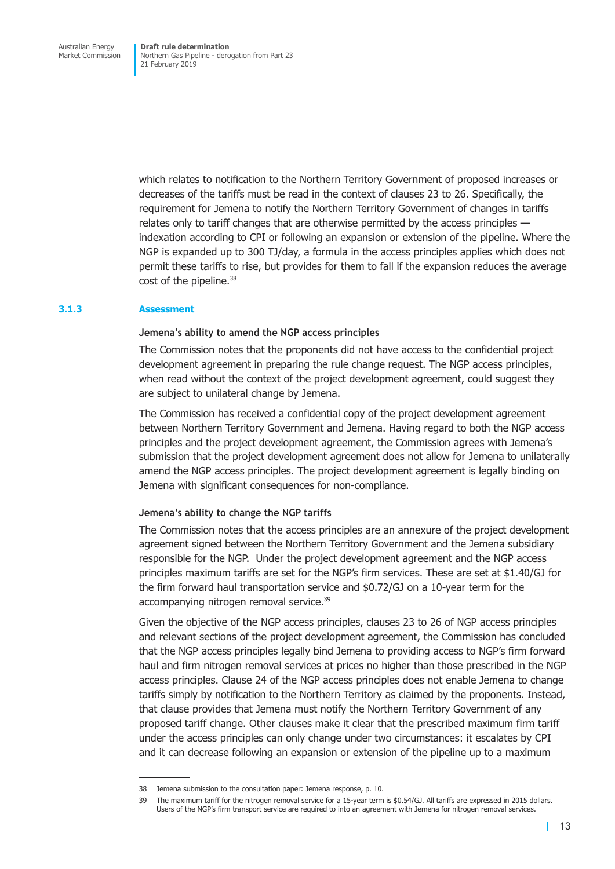which relates to notification to the Northern Territory Government of proposed increases or decreases of the tariffs must be read in the context of clauses 23 to 26. Specifically, the requirement for Jemena to notify the Northern Territory Government of changes in tariffs relates only to tariff changes that are otherwise permitted by the access principles indexation according to CPI or following an expansion or extension of the pipeline. Where the NGP is expanded up to 300 TJ/day, a formula in the access principles applies which does not permit these tariffs to rise, but provides for them to fall if the expansion reduces the average cost of the pipeline.<sup>38</sup>

#### **3.1.3 Assessment**

#### **Jemena's ability to amend the NGP access principles**

The Commission notes that the proponents did not have access to the confidential project development agreement in preparing the rule change request. The NGP access principles, when read without the context of the project development agreement, could suggest they are subject to unilateral change by Jemena.

The Commission has received a confidential copy of the project development agreement between Northern Territory Government and Jemena. Having regard to both the NGP access principles and the project development agreement, the Commission agrees with Jemena's submission that the project development agreement does not allow for Jemena to unilaterally amend the NGP access principles. The project development agreement is legally binding on Jemena with significant consequences for non-compliance.

#### **Jemena's ability to change the NGP tariffs**

The Commission notes that the access principles are an annexure of the project development agreement signed between the Northern Territory Government and the Jemena subsidiary responsible for the NGP. Under the project development agreement and the NGP access principles maximum tariffs are set for the NGP's firm services. These are set at \$1.40/GJ for the firm forward haul transportation service and \$0.72/GJ on a 10-year term for the accompanying nitrogen removal service.<sup>39</sup>

Given the objective of the NGP access principles, clauses 23 to 26 of NGP access principles and relevant sections of the project development agreement, the Commission has concluded that the NGP access principles legally bind Jemena to providing access to NGP's firm forward haul and firm nitrogen removal services at prices no higher than those prescribed in the NGP access principles. Clause 24 of the NGP access principles does not enable Jemena to change tariffs simply by notification to the Northern Territory as claimed by the proponents. Instead, that clause provides that Jemena must notify the Northern Territory Government of any proposed tariff change. Other clauses make it clear that the prescribed maximum firm tariff under the access principles can only change under two circumstances: it escalates by CPI and it can decrease following an expansion or extension of the pipeline up to a maximum

<sup>38</sup> Jemena submission to the consultation paper: Jemena response, p. 10.

<sup>39</sup> The maximum tariff for the nitrogen removal service for a 15-year term is \$0.54/GJ. All tariffs are expressed in 2015 dollars. Users of the NGP's firm transport service are required to into an agreement with Jemena for nitrogen removal services.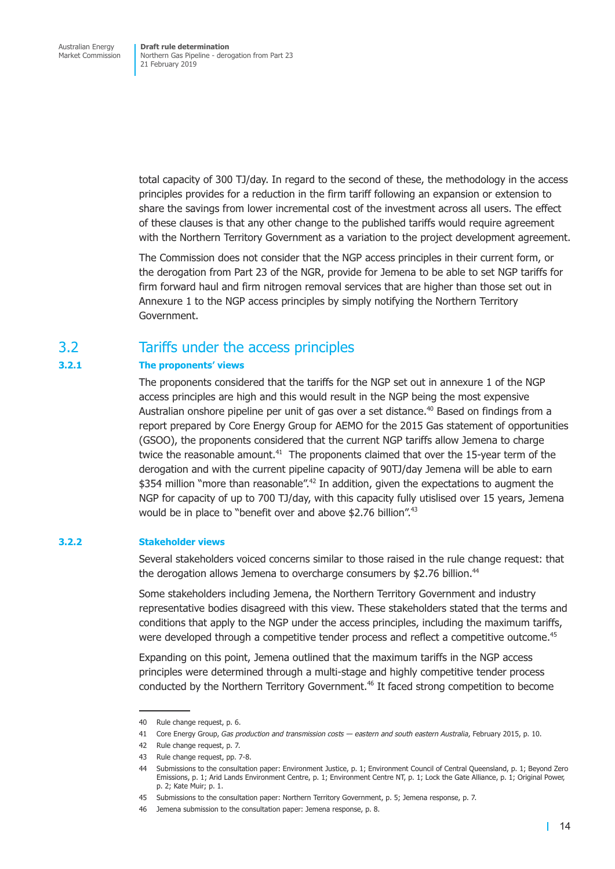<span id="page-21-0"></span>total capacity of 300 TJ/day. In regard to the second of these, the methodology in the access principles provides for a reduction in the firm tariff following an expansion or extension to share the savings from lower incremental cost of the investment across all users. The effect of these clauses is that any other change to the published tariffs would require agreement with the Northern Territory Government as a variation to the project development agreement.

The Commission does not consider that the NGP access principles in their current form, or the derogation from Part 23 of the NGR, provide for Jemena to be able to set NGP tariffs for firm forward haul and firm nitrogen removal services that are higher than those set out in Annexure 1 to the NGP access principles by simply notifying the Northern Territory Government.

## 3.2 Tariffs under the access principles

#### **3.2.1 The proponents' views**

The proponents considered that the tariffs for the NGP set out in annexure 1 of the NGP access principles are high and this would result in the NGP being the most expensive Australian onshore pipeline per unit of gas over a set distance.<sup>40</sup> Based on findings from a report prepared by Core Energy Group for AEMO for the 2015 Gas statement of opportunities (GSOO), the proponents considered that the current NGP tariffs allow Jemena to charge twice the reasonable amount.<sup>41</sup> The proponents claimed that over the 15-year term of the derogation and with the current pipeline capacity of 90TJ/day Jemena will be able to earn \$354 million "more than reasonable".<sup>42</sup> In addition, given the expectations to augment the NGP for capacity of up to 700 TJ/day, with this capacity fully utislised over 15 years, Jemena would be in place to "benefit over and above \$2.76 billion".<sup>43</sup>

#### **3.2.2 Stakeholder views**

Several stakeholders voiced concerns similar to those raised in the rule change request: that the derogation allows Jemena to overcharge consumers by \$2.76 billion.<sup>44</sup>

Some stakeholders including Jemena, the Northern Territory Government and industry representative bodies disagreed with this view. These stakeholders stated that the terms and conditions that apply to the NGP under the access principles, including the maximum tariffs, were developed through a competitive tender process and reflect a competitive outcome.<sup>45</sup>

Expanding on this point, Jemena outlined that the maximum tariffs in the NGP access principles were determined through a multi-stage and highly competitive tender process conducted by the Northern Territory Government.<sup>46</sup> It faced strong competition to become

<sup>40</sup> Rule change request, p. 6.

<sup>41</sup> Core Energy Group, *Gas production and transmission costs — eastern and south eastern Australia*, February 2015, p. 10.

<sup>42</sup> Rule change request, p. 7.

<sup>43</sup> Rule change request, pp. 7-8.

<sup>44</sup> Submissions to the consultation paper: Environment Justice, p. 1; Environment Council of Central Queensland, p. 1; Beyond Zero Emissions, p. 1; Arid Lands Environment Centre, p. 1; Environment Centre NT, p. 1; Lock the Gate Alliance, p. 1; Original Power, p. 2; Kate Muir; p. 1.

<sup>45</sup> Submissions to the consultation paper: Northern Territory Government, p. 5; Jemena response, p. 7.

<sup>46</sup> Jemena submission to the consultation paper: Jemena response, p. 8.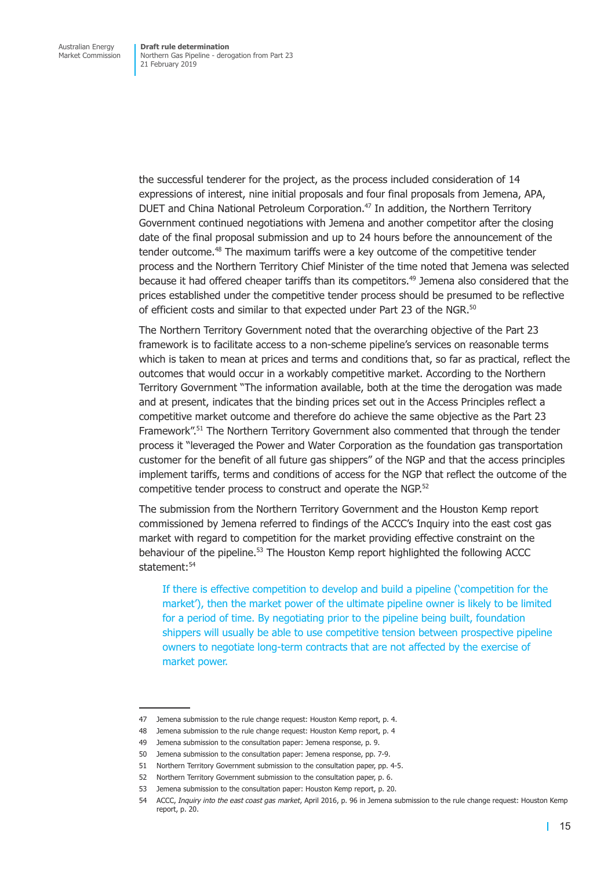the successful tenderer for the project, as the process included consideration of 14 expressions of interest, nine initial proposals and four final proposals from Jemena, APA, DUET and China National Petroleum Corporation.<sup>47</sup> In addition, the Northern Territory Government continued negotiations with Jemena and another competitor after the closing date of the final proposal submission and up to 24 hours before the announcement of the tender outcome.48 The maximum tariffs were a key outcome of the competitive tender process and the Northern Territory Chief Minister of the time noted that Jemena was selected because it had offered cheaper tariffs than its competitors.<sup>49</sup> Jemena also considered that the prices established under the competitive tender process should be presumed to be reflective of efficient costs and similar to that expected under Part 23 of the NGR.<sup>50</sup>

The Northern Territory Government noted that the overarching objective of the Part 23 framework is to facilitate access to a non-scheme pipeline's services on reasonable terms which is taken to mean at prices and terms and conditions that, so far as practical, reflect the outcomes that would occur in a workably competitive market. According to the Northern Territory Government "The information available, both at the time the derogation was made and at present, indicates that the binding prices set out in the Access Principles reflect a competitive market outcome and therefore do achieve the same objective as the Part 23 Framework".51 The Northern Territory Government also commented that through the tender process it "leveraged the Power and Water Corporation as the foundation gas transportation customer for the benefit of all future gas shippers" of the NGP and that the access principles implement tariffs, terms and conditions of access for the NGP that reflect the outcome of the competitive tender process to construct and operate the NGP.<sup>52</sup>

The submission from the Northern Territory Government and the Houston Kemp report commissioned by Jemena referred to findings of the ACCC's Inquiry into the east cost gas market with regard to competition for the market providing effective constraint on the behaviour of the pipeline.<sup>53</sup> The Houston Kemp report highlighted the following ACCC statement:<sup>54</sup>

If there is effective competition to develop and build a pipeline ('competition for the market'), then the market power of the ultimate pipeline owner is likely to be limited for a period of time. By negotiating prior to the pipeline being built, foundation shippers will usually be able to use competitive tension between prospective pipeline owners to negotiate long-term contracts that are not affected by the exercise of market power.

<sup>47</sup> Jemena submission to the rule change request: Houston Kemp report, p. 4.

<sup>48</sup> Jemena submission to the rule change request: Houston Kemp report, p. 4

<sup>49</sup> Jemena submission to the consultation paper: Jemena response, p. 9.

<sup>50</sup> Jemena submission to the consultation paper: Jemena response, pp. 7-9.

<sup>51</sup> Northern Territory Government submission to the consultation paper, pp. 4-5.

<sup>52</sup> Northern Territory Government submission to the consultation paper, p. 6.

<sup>53</sup> Jemena submission to the consultation paper: Houston Kemp report, p. 20.

<sup>54</sup> ACCC, *Inquiry into the east coast gas market*, April 2016, p. 96 in Jemena submission to the rule change request: Houston Kemp report, p. 20.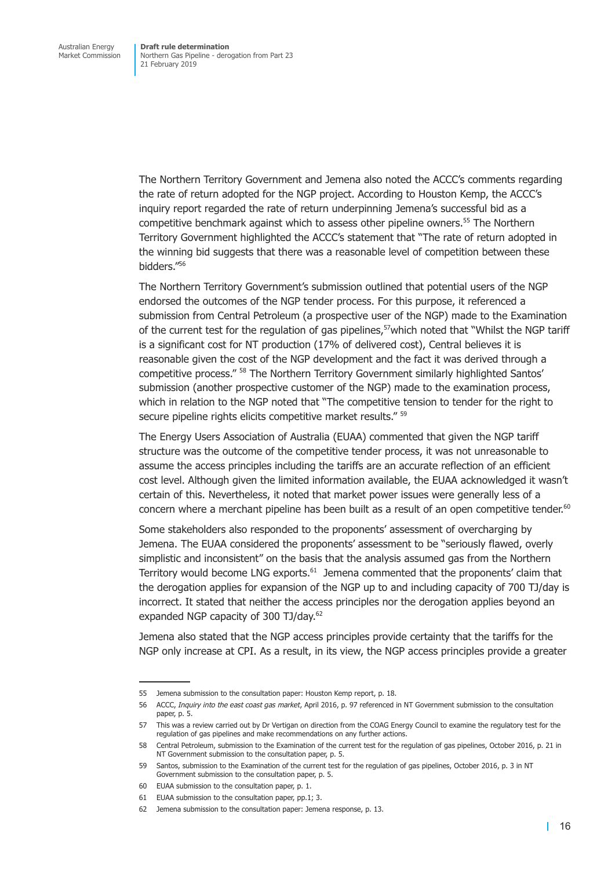The Northern Territory Government and Jemena also noted the ACCC's comments regarding the rate of return adopted for the NGP project. According to Houston Kemp, the ACCC's inquiry report regarded the rate of return underpinning Jemena's successful bid as a competitive benchmark against which to assess other pipeline owners.55 The Northern Territory Government highlighted the ACCC's statement that "The rate of return adopted in the winning bid suggests that there was a reasonable level of competition between these bidders."56

The Northern Territory Government's submission outlined that potential users of the NGP endorsed the outcomes of the NGP tender process. For this purpose, it referenced a submission from Central Petroleum (a prospective user of the NGP) made to the Examination of the current test for the regulation of gas pipelines,<sup>57</sup>which noted that "Whilst the NGP tariff is a significant cost for NT production (17% of delivered cost), Central believes it is reasonable given the cost of the NGP development and the fact it was derived through a competitive process." 58 The Northern Territory Government similarly highlighted Santos' submission (another prospective customer of the NGP) made to the examination process, which in relation to the NGP noted that "The competitive tension to tender for the right to secure pipeline rights elicits competitive market results." <sup>59</sup>

The Energy Users Association of Australia (EUAA) commented that given the NGP tariff structure was the outcome of the competitive tender process, it was not unreasonable to assume the access principles including the tariffs are an accurate reflection of an efficient cost level. Although given the limited information available, the EUAA acknowledged it wasn't certain of this. Nevertheless, it noted that market power issues were generally less of a concern where a merchant pipeline has been built as a result of an open competitive tender.<sup>60</sup>

Some stakeholders also responded to the proponents' assessment of overcharging by Jemena. The EUAA considered the proponents' assessment to be "seriously flawed, overly simplistic and inconsistent" on the basis that the analysis assumed gas from the Northern Territory would become LNG exports.<sup>61</sup> Jemena commented that the proponents' claim that the derogation applies for expansion of the NGP up to and including capacity of 700 TJ/day is incorrect. It stated that neither the access principles nor the derogation applies beyond an expanded NGP capacity of 300 TJ/day.<sup>62</sup>

Jemena also stated that the NGP access principles provide certainty that the tariffs for the NGP only increase at CPI. As a result, in its view, the NGP access principles provide a greater

<sup>55</sup> Jemena submission to the consultation paper: Houston Kemp report, p. 18.

<sup>56</sup> ACCC, *Inquiry into the east coast gas market*, April 2016, p. 97 referenced in NT Government submission to the consultation paper, p. 5.

<sup>57</sup> This was a review carried out by Dr Vertigan on direction from the COAG Energy Council to examine the regulatory test for the regulation of gas pipelines and make recommendations on any further actions.

<sup>58</sup> Central Petroleum, submission to the Examination of the current test for the regulation of gas pipelines, October 2016, p. 21 in NT Government submission to the consultation paper, p. 5.

<sup>59</sup> Santos, submission to the Examination of the current test for the regulation of gas pipelines, October 2016, p. 3 in NT Government submission to the consultation paper, p. 5.

<sup>60</sup> EUAA submission to the consultation paper, p. 1.

<sup>61</sup> EUAA submission to the consultation paper, pp.1; 3.

<sup>62</sup> Jemena submission to the consultation paper: Jemena response, p. 13.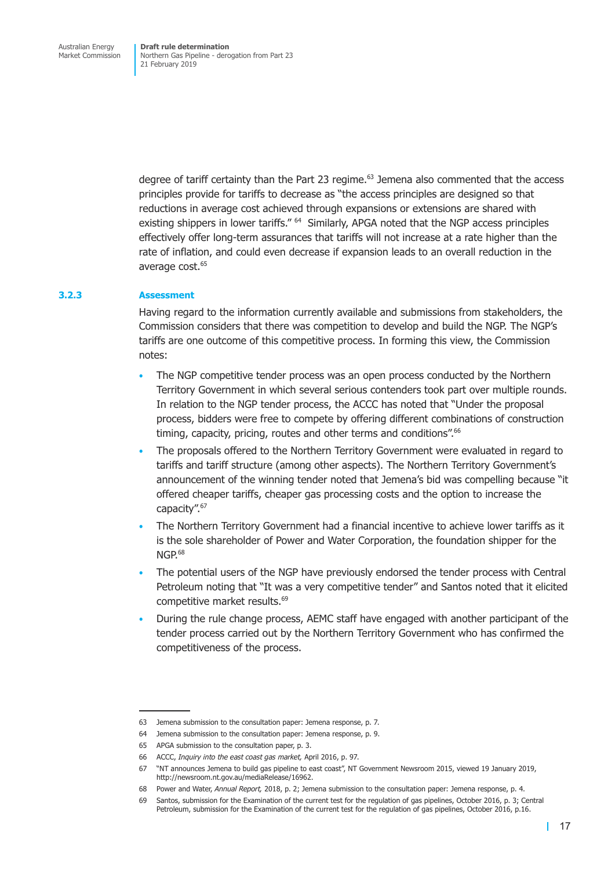degree of tariff certainty than the Part 23 regime. $63$  Jemena also commented that the access principles provide for tariffs to decrease as "the access principles are designed so that reductions in average cost achieved through expansions or extensions are shared with existing shippers in lower tariffs." <sup>64</sup> Similarly, APGA noted that the NGP access principles effectively offer long-term assurances that tariffs will not increase at a rate higher than the rate of inflation, and could even decrease if expansion leads to an overall reduction in the average cost.<sup>65</sup>

#### **3.2.3 Assessment**

Having regard to the information currently available and submissions from stakeholders, the Commission considers that there was competition to develop and build the NGP. The NGP's tariffs are one outcome of this competitive process. In forming this view, the Commission notes:

- The NGP competitive tender process was an open process conducted by the Northern Territory Government in which several serious contenders took part over multiple rounds. In relation to the NGP tender process, the ACCC has noted that "Under the proposal process, bidders were free to compete by offering different combinations of construction timing, capacity, pricing, routes and other terms and conditions".<sup>66</sup>
- The proposals offered to the Northern Territory Government were evaluated in regard to tariffs and tariff structure (among other aspects). The Northern Territory Government's announcement of the winning tender noted that Jemena's bid was compelling because "it offered cheaper tariffs, cheaper gas processing costs and the option to increase the capacity".67
- The Northern Territory Government had a financial incentive to achieve lower tariffs as it is the sole shareholder of Power and Water Corporation, the foundation shipper for the  $NGP<sub>68</sub>$
- The potential users of the NGP have previously endorsed the tender process with Central Petroleum noting that "It was a very competitive tender" and Santos noted that it elicited competitive market results.<sup>69</sup>
- During the rule change process, AEMC staff have engaged with another participant of the tender process carried out by the Northern Territory Government who has confirmed the competitiveness of the process.

<sup>63</sup> Jemena submission to the consultation paper: Jemena response, p. 7.

<sup>64</sup> Jemena submission to the consultation paper: Jemena response, p. 9.

<sup>65</sup> APGA submission to the consultation paper, p. 3.

<sup>66</sup> ACCC, *Inquiry into the east coast gas market,* April 2016, p. 97.

<sup>67</sup> "NT announces Jemena to build gas pipeline to east coast", NT Government Newsroom 2015, viewed 19 January 2019, http://newsroom.nt.gov.au/mediaRelease/16962.

<sup>68</sup> Power and Water, *Annual Report,* 2018, p. 2; Jemena submission to the consultation paper: Jemena response, p. 4.

<sup>69</sup> Santos, submission for the Examination of the current test for the regulation of gas pipelines, October 2016, p. 3; Central Petroleum, submission for the Examination of the current test for the regulation of gas pipelines, October 2016, p.16.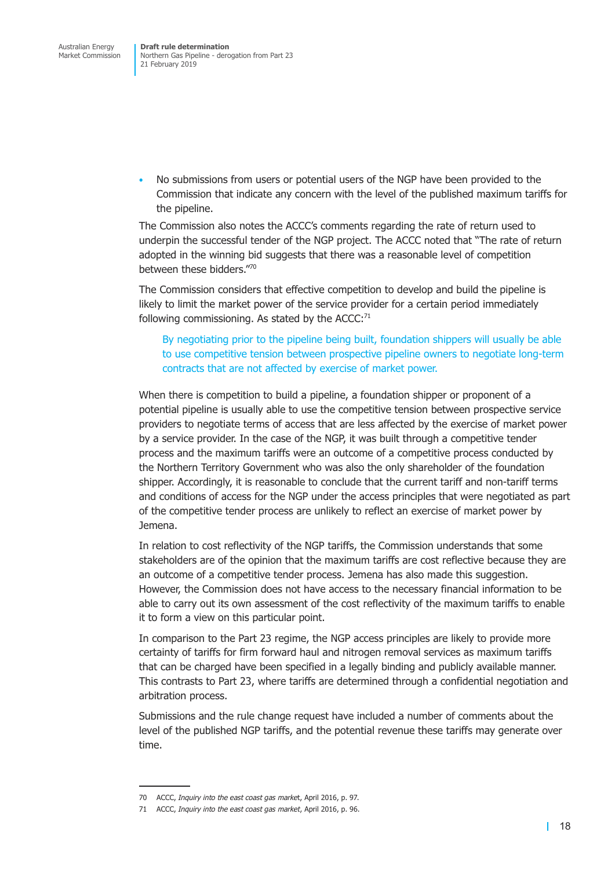• No submissions from users or potential users of the NGP have been provided to the Commission that indicate any concern with the level of the published maximum tariffs for the pipeline.

The Commission also notes the ACCC's comments regarding the rate of return used to underpin the successful tender of the NGP project. The ACCC noted that "The rate of return adopted in the winning bid suggests that there was a reasonable level of competition between these bidders."70

The Commission considers that effective competition to develop and build the pipeline is likely to limit the market power of the service provider for a certain period immediately following commissioning. As stated by the  $ACCC$ : $71$ 

By negotiating prior to the pipeline being built, foundation shippers will usually be able to use competitive tension between prospective pipeline owners to negotiate long-term contracts that are not affected by exercise of market power.

When there is competition to build a pipeline, a foundation shipper or proponent of a potential pipeline is usually able to use the competitive tension between prospective service providers to negotiate terms of access that are less affected by the exercise of market power by a service provider. In the case of the NGP, it was built through a competitive tender process and the maximum tariffs were an outcome of a competitive process conducted by the Northern Territory Government who was also the only shareholder of the foundation shipper. Accordingly, it is reasonable to conclude that the current tariff and non-tariff terms and conditions of access for the NGP under the access principles that were negotiated as part of the competitive tender process are unlikely to reflect an exercise of market power by Jemena.

In relation to cost reflectivity of the NGP tariffs, the Commission understands that some stakeholders are of the opinion that the maximum tariffs are cost reflective because they are an outcome of a competitive tender process. Jemena has also made this suggestion. However, the Commission does not have access to the necessary financial information to be able to carry out its own assessment of the cost reflectivity of the maximum tariffs to enable it to form a view on this particular point.

In comparison to the Part 23 regime, the NGP access principles are likely to provide more certainty of tariffs for firm forward haul and nitrogen removal services as maximum tariffs that can be charged have been specified in a legally binding and publicly available manner. This contrasts to Part 23, where tariffs are determined through a confidential negotiation and arbitration process.

Submissions and the rule change request have included a number of comments about the level of the published NGP tariffs, and the potential revenue these tariffs may generate over time.

<sup>70</sup> ACCC, *Inquiry into the east coast gas marke*t, April 2016, p. 97.

<sup>71</sup> ACCC, *Inquiry into the east coast gas market*, April 2016, p. 96.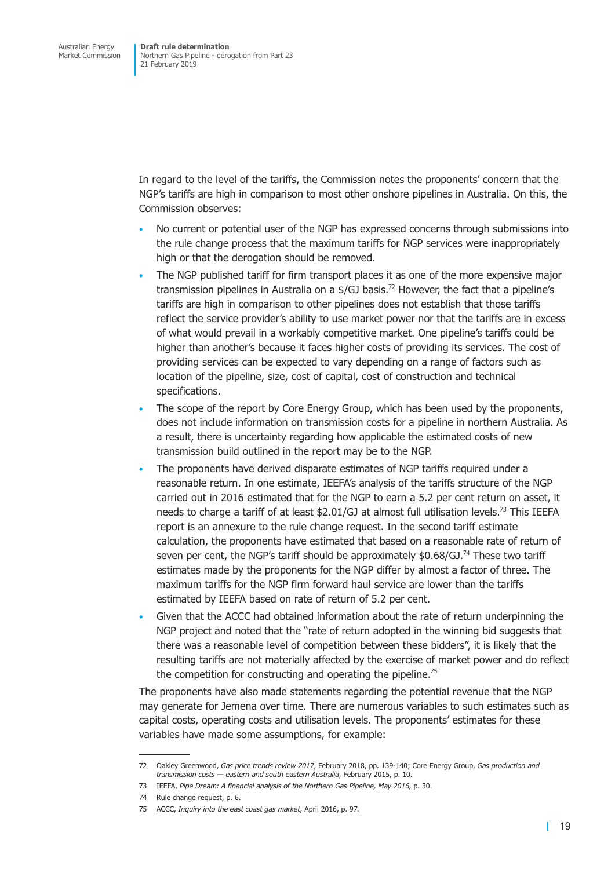In regard to the level of the tariffs, the Commission notes the proponents' concern that the NGP's tariffs are high in comparison to most other onshore pipelines in Australia. On this, the Commission observes:

- No current or potential user of the NGP has expressed concerns through submissions into the rule change process that the maximum tariffs for NGP services were inappropriately high or that the derogation should be removed.
- The NGP published tariff for firm transport places it as one of the more expensive major transmission pipelines in Australia on a \$/GJ basis.<sup>72</sup> However, the fact that a pipeline's tariffs are high in comparison to other pipelines does not establish that those tariffs reflect the service provider's ability to use market power nor that the tariffs are in excess of what would prevail in a workably competitive market. One pipeline's tariffs could be higher than another's because it faces higher costs of providing its services. The cost of providing services can be expected to vary depending on a range of factors such as location of the pipeline, size, cost of capital, cost of construction and technical specifications.
- The scope of the report by Core Energy Group, which has been used by the proponents, does not include information on transmission costs for a pipeline in northern Australia. As a result, there is uncertainty regarding how applicable the estimated costs of new transmission build outlined in the report may be to the NGP.
- The proponents have derived disparate estimates of NGP tariffs required under a reasonable return. In one estimate, IEEFA's analysis of the tariffs structure of the NGP carried out in 2016 estimated that for the NGP to earn a 5.2 per cent return on asset, it needs to charge a tariff of at least \$2.01/GJ at almost full utilisation levels.<sup>73</sup> This IEEFA report is an annexure to the rule change request. In the second tariff estimate calculation, the proponents have estimated that based on a reasonable rate of return of seven per cent, the NGP's tariff should be approximately  $$0.68/GJ.<sup>74</sup>$  These two tariff estimates made by the proponents for the NGP differ by almost a factor of three. The maximum tariffs for the NGP firm forward haul service are lower than the tariffs estimated by IEEFA based on rate of return of 5.2 per cent.
- Given that the ACCC had obtained information about the rate of return underpinning the NGP project and noted that the "rate of return adopted in the winning bid suggests that there was a reasonable level of competition between these bidders", it is likely that the resulting tariffs are not materially affected by the exercise of market power and do reflect the competition for constructing and operating the pipeline.<sup>75</sup>

The proponents have also made statements regarding the potential revenue that the NGP may generate for Jemena over time. There are numerous variables to such estimates such as capital costs, operating costs and utilisation levels. The proponents' estimates for these variables have made some assumptions, for example:

<sup>72</sup> Oakley Greenwood, *Gas price trends review 2017*, February 2018, pp. 139-140; Core Energy Group, *Gas production and transmission costs — eastern and south eastern Australia*, February 2015, p. 10.

<sup>73</sup> IEEFA, *Pipe Dream: A financial analysis of the Northern Gas Pipeline, May 2016,* p. 30.

<sup>74</sup> Rule change request, p. 6.

<sup>75</sup> ACCC, *Inquiry into the east coast gas market*, April 2016, p. 97.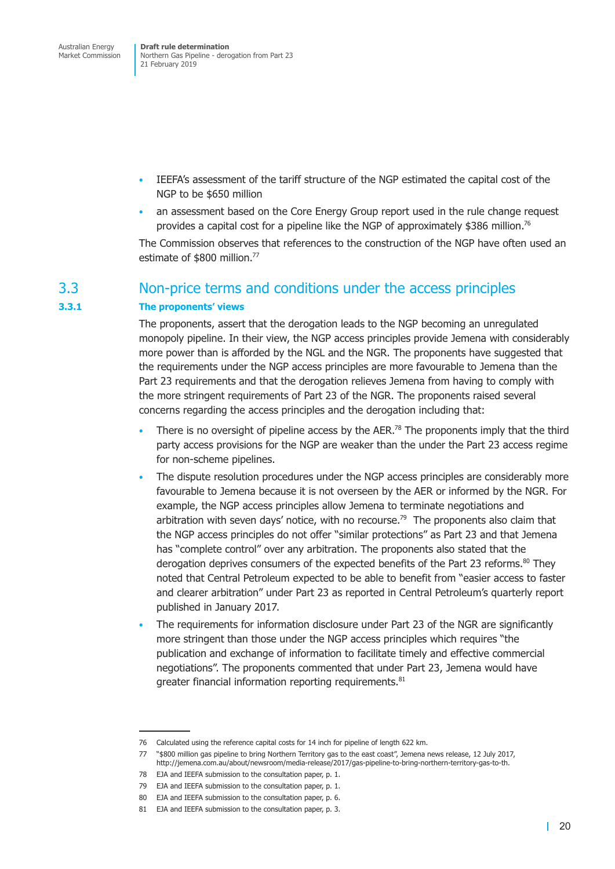- <span id="page-27-0"></span>• IEEFA's assessment of the tariff structure of the NGP estimated the capital cost of the NGP to be \$650 million
- an assessment based on the Core Energy Group report used in the rule change request provides a capital cost for a pipeline like the NGP of approximately \$386 million.76

The Commission observes that references to the construction of the NGP have often used an estimate of \$800 million.<sup>77</sup>

### 3.3 Non-price terms and conditions under the access principles

#### **3.3.1 The proponents' views**

The proponents, assert that the derogation leads to the NGP becoming an unregulated monopoly pipeline. In their view, the NGP access principles provide Jemena with considerably more power than is afforded by the NGL and the NGR. The proponents have suggested that the requirements under the NGP access principles are more favourable to Jemena than the Part 23 requirements and that the derogation relieves Jemena from having to comply with the more stringent requirements of Part 23 of the NGR. The proponents raised several concerns regarding the access principles and the derogation including that:

- There is no oversight of pipeline access by the AER.<sup>78</sup> The proponents imply that the third party access provisions for the NGP are weaker than the under the Part 23 access regime for non-scheme pipelines.
- The dispute resolution procedures under the NGP access principles are considerably more favourable to Jemena because it is not overseen by the AER or informed by the NGR. For example, the NGP access principles allow Jemena to terminate negotiations and arbitration with seven days' notice, with no recourse.<sup>79</sup> The proponents also claim that the NGP access principles do not offer "similar protections" as Part 23 and that Jemena has "complete control" over any arbitration. The proponents also stated that the derogation deprives consumers of the expected benefits of the Part 23 reforms. $80$  They noted that Central Petroleum expected to be able to benefit from "easier access to faster and clearer arbitration" under Part 23 as reported in Central Petroleum's quarterly report published in January 2017.
- The requirements for information disclosure under Part 23 of the NGR are significantly more stringent than those under the NGP access principles which requires "the publication and exchange of information to facilitate timely and effective commercial negotiations". The proponents commented that under Part 23, Jemena would have greater financial information reporting requirements.<sup>81</sup>

<sup>76</sup> Calculated using the reference capital costs for 14 inch for pipeline of length 622 km.

<sup>77</sup> "\$800 million gas pipeline to bring Northern Territory gas to the east coast", Jemena news release, 12 July 2017, http://jemena.com.au/about/newsroom/media-release/2017/gas-pipeline-to-bring-northern-territory-gas-to-th.

<sup>78</sup> EJA and IEEFA submission to the consultation paper, p. 1.

<sup>79</sup> EJA and IEEFA submission to the consultation paper, p. 1.

<sup>80</sup> EJA and IEEFA submission to the consultation paper, p. 6.

<sup>81</sup> EJA and IEEFA submission to the consultation paper, p. 3.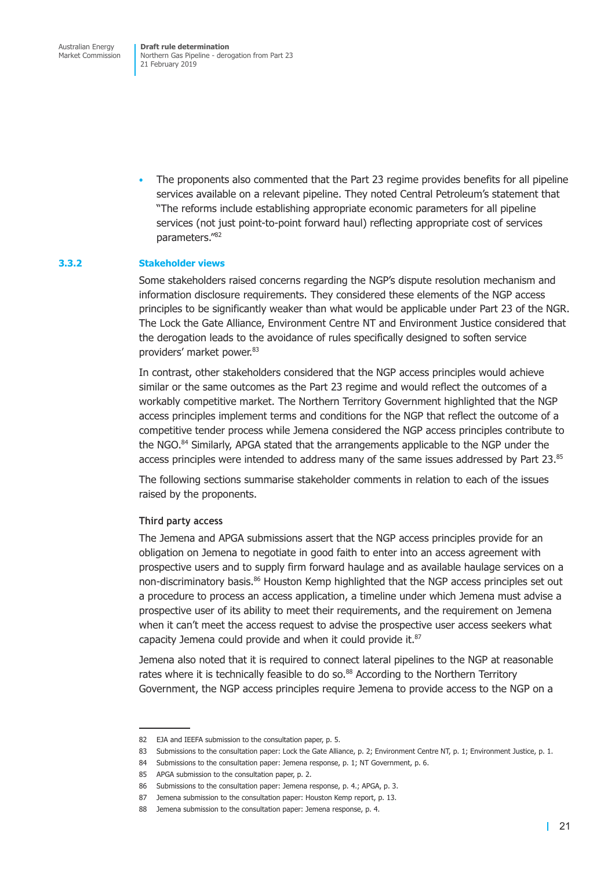Australian Energy Market Commission

**Draft rule determination** Northern Gas Pipeline - derogation from Part 23 21 February 2019

• The proponents also commented that the Part 23 regime provides benefits for all pipeline services available on a relevant pipeline. They noted Central Petroleum's statement that "The reforms include establishing appropriate economic parameters for all pipeline services (not just point-to-point forward haul) reflecting appropriate cost of services parameters."82

#### **3.3.2 Stakeholder views**

Some stakeholders raised concerns regarding the NGP's dispute resolution mechanism and information disclosure requirements. They considered these elements of the NGP access principles to be significantly weaker than what would be applicable under Part 23 of the NGR. The Lock the Gate Alliance, Environment Centre NT and Environment Justice considered that the derogation leads to the avoidance of rules specifically designed to soften service providers' market power. 83

In contrast, other stakeholders considered that the NGP access principles would achieve similar or the same outcomes as the Part 23 regime and would reflect the outcomes of a workably competitive market. The Northern Territory Government highlighted that the NGP access principles implement terms and conditions for the NGP that reflect the outcome of a competitive tender process while Jemena considered the NGP access principles contribute to the NGO.<sup>84</sup> Similarly, APGA stated that the arrangements applicable to the NGP under the access principles were intended to address many of the same issues addressed by Part 23.85

The following sections summarise stakeholder comments in relation to each of the issues raised by the proponents.

#### **Third party access**

The Jemena and APGA submissions assert that the NGP access principles provide for an obligation on Jemena to negotiate in good faith to enter into an access agreement with prospective users and to supply firm forward haulage and as available haulage services on a non-discriminatory basis.<sup>86</sup> Houston Kemp highlighted that the NGP access principles set out a procedure to process an access application, a timeline under which Jemena must advise a prospective user of its ability to meet their requirements, and the requirement on Jemena when it can't meet the access request to advise the prospective user access seekers what capacity Jemena could provide and when it could provide it.<sup>87</sup>

Jemena also noted that it is required to connect lateral pipelines to the NGP at reasonable rates where it is technically feasible to do so.<sup>88</sup> According to the Northern Territory Government, the NGP access principles require Jemena to provide access to the NGP on a

<sup>82</sup> EJA and IEEFA submission to the consultation paper, p. 5.

<sup>83</sup> Submissions to the consultation paper: Lock the Gate Alliance, p. 2; Environment Centre NT, p. 1; Environment Justice, p. 1.

<sup>84</sup> Submissions to the consultation paper: Jemena response, p. 1; NT Government, p. 6.

<sup>85</sup> APGA submission to the consultation paper, p. 2.

<sup>86</sup> Submissions to the consultation paper: Jemena response, p. 4.; APGA, p. 3.

<sup>87</sup> Jemena submission to the consultation paper: Houston Kemp report, p. 13.

<sup>88</sup> Jemena submission to the consultation paper: Jemena response, p. 4.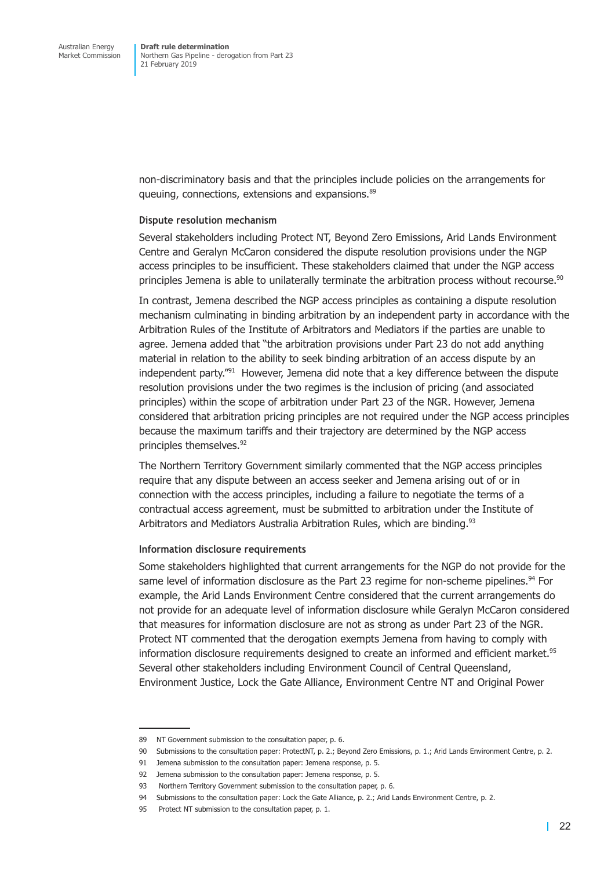non-discriminatory basis and that the principles include policies on the arrangements for queuing, connections, extensions and expansions.<sup>89</sup>

#### **Dispute resolution mechanism**

Several stakeholders including Protect NT, Beyond Zero Emissions, Arid Lands Environment Centre and Geralyn McCaron considered the dispute resolution provisions under the NGP access principles to be insufficient. These stakeholders claimed that under the NGP access principles Jemena is able to unilaterally terminate the arbitration process without recourse.<sup>90</sup>

In contrast, Jemena described the NGP access principles as containing a dispute resolution mechanism culminating in binding arbitration by an independent party in accordance with the Arbitration Rules of the Institute of Arbitrators and Mediators if the parties are unable to agree. Jemena added that "the arbitration provisions under Part 23 do not add anything material in relation to the ability to seek binding arbitration of an access dispute by an independent party."<sup>91</sup> However, Jemena did note that a key difference between the dispute resolution provisions under the two regimes is the inclusion of pricing (and associated principles) within the scope of arbitration under Part 23 of the NGR. However, Jemena considered that arbitration pricing principles are not required under the NGP access principles because the maximum tariffs and their trajectory are determined by the NGP access principles themselves.<sup>92</sup>

The Northern Territory Government similarly commented that the NGP access principles require that any dispute between an access seeker and Jemena arising out of or in connection with the access principles, including a failure to negotiate the terms of a contractual access agreement, must be submitted to arbitration under the Institute of Arbitrators and Mediators Australia Arbitration Rules, which are binding.<sup>93</sup>

#### **Information disclosure requirements**

Some stakeholders highlighted that current arrangements for the NGP do not provide for the same level of information disclosure as the Part 23 regime for non-scheme pipelines.<sup>94</sup> For example, the Arid Lands Environment Centre considered that the current arrangements do not provide for an adequate level of information disclosure while Geralyn McCaron considered that measures for information disclosure are not as strong as under Part 23 of the NGR. Protect NT commented that the derogation exempts Jemena from having to comply with information disclosure requirements designed to create an informed and efficient market.<sup>95</sup> Several other stakeholders including Environment Council of Central Queensland, Environment Justice, Lock the Gate Alliance, Environment Centre NT and Original Power

<sup>89</sup> NT Government submission to the consultation paper, p. 6.

<sup>90</sup> Submissions to the consultation paper: ProtectNT, p. 2.; Beyond Zero Emissions, p. 1.; Arid Lands Environment Centre, p. 2.

<sup>91</sup> Jemena submission to the consultation paper: Jemena response, p. 5.

<sup>92</sup> Jemena submission to the consultation paper: Jemena response, p. 5.

<sup>93</sup> Northern Territory Government submission to the consultation paper, p. 6.

<sup>94</sup> Submissions to the consultation paper: Lock the Gate Alliance, p. 2.; Arid Lands Environment Centre, p. 2.

<sup>95</sup> Protect NT submission to the consultation paper, p. 1.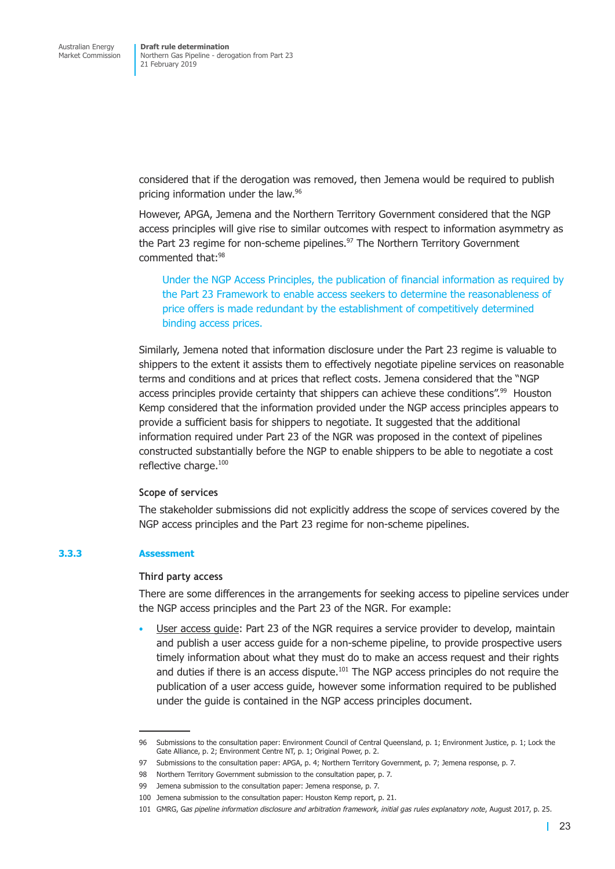considered that if the derogation was removed, then Jemena would be required to publish pricing information under the law.96

However, APGA, Jemena and the Northern Territory Government considered that the NGP access principles will give rise to similar outcomes with respect to information asymmetry as the Part 23 regime for non-scheme pipelines.<sup>97</sup> The Northern Territory Government commented that:98

Under the NGP Access Principles, the publication of financial information as required by the Part 23 Framework to enable access seekers to determine the reasonableness of price offers is made redundant by the establishment of competitively determined binding access prices.

Similarly, Jemena noted that information disclosure under the Part 23 regime is valuable to shippers to the extent it assists them to effectively negotiate pipeline services on reasonable terms and conditions and at prices that reflect costs. Jemena considered that the "NGP access principles provide certainty that shippers can achieve these conditions".<sup>99</sup> Houston Kemp considered that the information provided under the NGP access principles appears to provide a sufficient basis for shippers to negotiate. It suggested that the additional information required under Part 23 of the NGR was proposed in the context of pipelines constructed substantially before the NGP to enable shippers to be able to negotiate a cost reflective charge.<sup>100</sup>

#### **Scope of services**

The stakeholder submissions did not explicitly address the scope of services covered by the NGP access principles and the Part 23 regime for non-scheme pipelines.

#### **3.3.3 Assessment**

#### **Third party access**

There are some differences in the arrangements for seeking access to pipeline services under the NGP access principles and the Part 23 of the NGR. For example:

• User access guide: Part 23 of the NGR requires a service provider to develop, maintain and publish a user access guide for a non-scheme pipeline, to provide prospective users timely information about what they must do to make an access request and their rights and duties if there is an access dispute.<sup>101</sup> The NGP access principles do not require the publication of a user access guide, however some information required to be published under the guide is contained in the NGP access principles document.

<sup>96</sup> Submissions to the consultation paper: Environment Council of Central Queensland, p. 1; Environment Justice, p. 1; Lock the Gate Alliance, p. 2; Environment Centre NT, p. 1; Original Power, p. 2.

<sup>97</sup> Submissions to the consultation paper: APGA, p. 4; Northern Territory Government, p. 7; Jemena response, p. 7.

<sup>98</sup> Northern Territory Government submission to the consultation paper, p. 7.

<sup>99</sup> Jemena submission to the consultation paper: Jemena response, p. 7.

<sup>100</sup> Jemena submission to the consultation paper: Houston Kemp report, p. 21.

<sup>101</sup> GMRG, G*as pipeline information disclosure and arbitration framework, initial gas rules explanatory note*, August 2017, p. 25.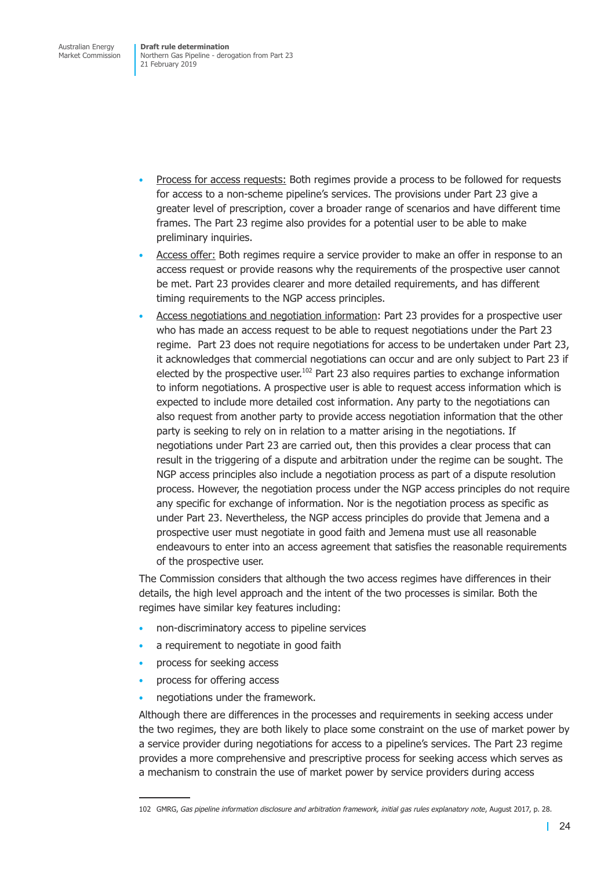Australian Energy Market Commission

**Draft rule determination** Northern Gas Pipeline - derogation from Part 23 21 February 2019

- Process for access requests: Both regimes provide a process to be followed for requests for access to a non-scheme pipeline's services. The provisions under Part 23 give a greater level of prescription, cover a broader range of scenarios and have different time frames. The Part 23 regime also provides for a potential user to be able to make preliminary inquiries.
- Access offer: Both regimes require a service provider to make an offer in response to an access request or provide reasons why the requirements of the prospective user cannot be met. Part 23 provides clearer and more detailed requirements, and has different timing requirements to the NGP access principles.
- Access negotiations and negotiation information: Part 23 provides for a prospective user who has made an access request to be able to request negotiations under the Part 23 regime. Part 23 does not require negotiations for access to be undertaken under Part 23, it acknowledges that commercial negotiations can occur and are only subject to Part 23 if elected by the prospective user.<sup>102</sup> Part 23 also requires parties to exchange information to inform negotiations. A prospective user is able to request access information which is expected to include more detailed cost information. Any party to the negotiations can also request from another party to provide access negotiation information that the other party is seeking to rely on in relation to a matter arising in the negotiations. If negotiations under Part 23 are carried out, then this provides a clear process that can result in the triggering of a dispute and arbitration under the regime can be sought. The NGP access principles also include a negotiation process as part of a dispute resolution process. However, the negotiation process under the NGP access principles do not require any specific for exchange of information. Nor is the negotiation process as specific as under Part 23. Nevertheless, the NGP access principles do provide that Jemena and a prospective user must negotiate in good faith and Jemena must use all reasonable endeavours to enter into an access agreement that satisfies the reasonable requirements of the prospective user.

The Commission considers that although the two access regimes have differences in their details, the high level approach and the intent of the two processes is similar. Both the regimes have similar key features including:

- non-discriminatory access to pipeline services
- a requirement to negotiate in good faith
- process for seeking access
- process for offering access
- negotiations under the framework.

Although there are differences in the processes and requirements in seeking access under the two regimes, they are both likely to place some constraint on the use of market power by a service provider during negotiations for access to a pipeline's services. The Part 23 regime provides a more comprehensive and prescriptive process for seeking access which serves as a mechanism to constrain the use of market power by service providers during access

<sup>102</sup> GMRG, *Gas pipeline information disclosure and arbitration framework, initial gas rules explanatory note*, August 2017, p. 28.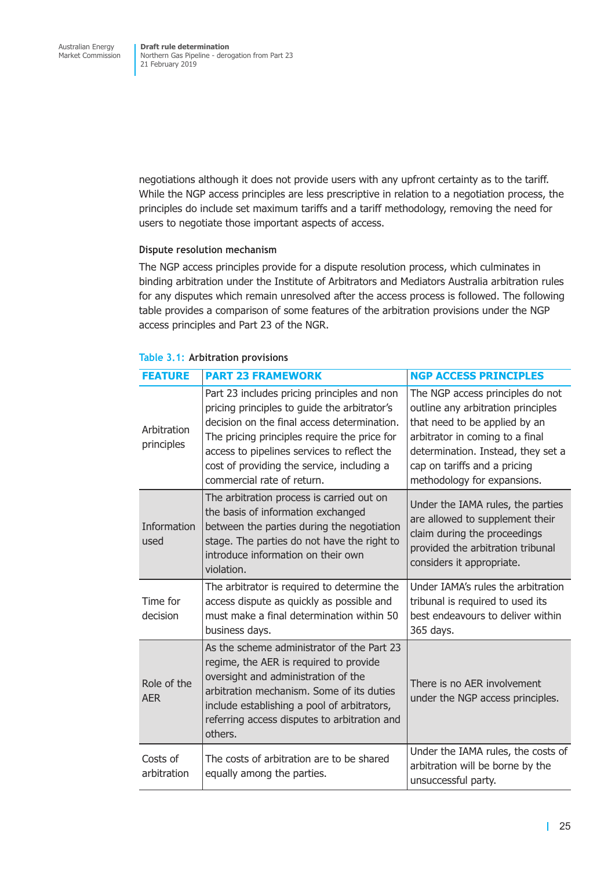<span id="page-32-0"></span>negotiations although it does not provide users with any upfront certainty as to the tariff. While the NGP access principles are less prescriptive in relation to a negotiation process, the principles do include set maximum tariffs and a tariff methodology, removing the need for users to negotiate those important aspects of access.

#### **Dispute resolution mechanism**

The NGP access principles provide for a dispute resolution process, which culminates in binding arbitration under the Institute of Arbitrators and Mediators Australia arbitration rules for any disputes which remain unresolved after the access process is followed. The following table provides a comparison of some features of the arbitration provisions under the NGP access principles and Part 23 of the NGR.

| <b>FEATURE</b>            | <b>PART 23 FRAMEWORK</b>                                                                                                                                                                                                                                                                                              | <b>NGP ACCESS PRINCIPLES</b>                                                                                                                                                                                                                    |
|---------------------------|-----------------------------------------------------------------------------------------------------------------------------------------------------------------------------------------------------------------------------------------------------------------------------------------------------------------------|-------------------------------------------------------------------------------------------------------------------------------------------------------------------------------------------------------------------------------------------------|
| Arbitration<br>principles | Part 23 includes pricing principles and non<br>pricing principles to quide the arbitrator's<br>decision on the final access determination.<br>The pricing principles require the price for<br>access to pipelines services to reflect the<br>cost of providing the service, including a<br>commercial rate of return. | The NGP access principles do not<br>outline any arbitration principles<br>that need to be applied by an<br>arbitrator in coming to a final<br>determination. Instead, they set a<br>cap on tariffs and a pricing<br>methodology for expansions. |
| Information<br>used       | The arbitration process is carried out on<br>the basis of information exchanged<br>between the parties during the negotiation<br>stage. The parties do not have the right to<br>introduce information on their own<br>violation.                                                                                      | Under the IAMA rules, the parties<br>are allowed to supplement their<br>claim during the proceedings<br>provided the arbitration tribunal<br>considers it appropriate.                                                                          |
| Time for<br>decision      | The arbitrator is required to determine the<br>access dispute as quickly as possible and<br>must make a final determination within 50<br>business days.                                                                                                                                                               | Under IAMA's rules the arbitration<br>tribunal is required to used its<br>best endeavours to deliver within<br>365 days.                                                                                                                        |
| Role of the<br><b>AER</b> | As the scheme administrator of the Part 23<br>regime, the AER is required to provide<br>oversight and administration of the<br>arbitration mechanism. Some of its duties<br>include establishing a pool of arbitrators,<br>referring access disputes to arbitration and<br>others.                                    | There is no AER involvement<br>under the NGP access principles.                                                                                                                                                                                 |
| Costs of<br>arbitration   | The costs of arbitration are to be shared<br>equally among the parties.                                                                                                                                                                                                                                               | Under the IAMA rules, the costs of<br>arbitration will be borne by the<br>unsuccessful party.                                                                                                                                                   |

#### **Table 3.1: Arbitration provisions**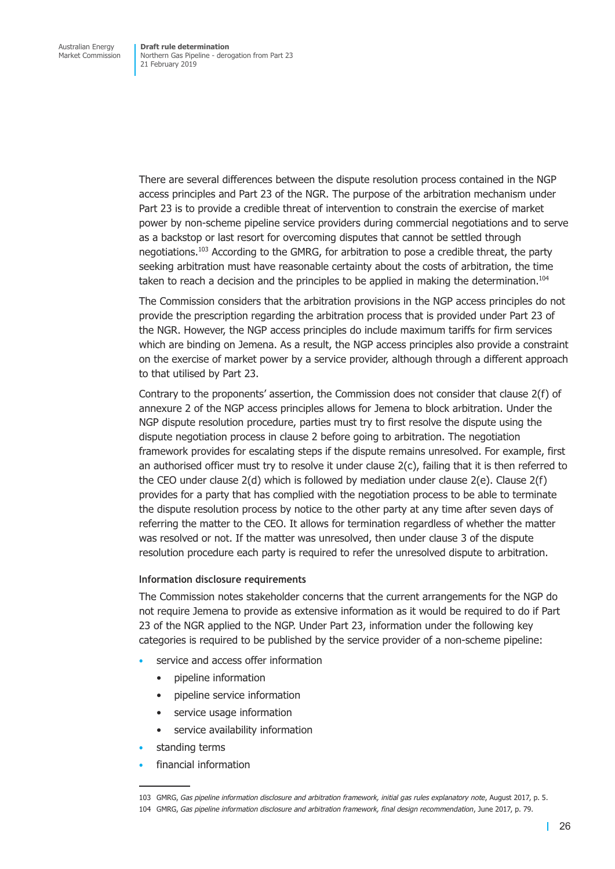There are several differences between the dispute resolution process contained in the NGP access principles and Part 23 of the NGR. The purpose of the arbitration mechanism under Part 23 is to provide a credible threat of intervention to constrain the exercise of market power by non-scheme pipeline service providers during commercial negotiations and to serve as a backstop or last resort for overcoming disputes that cannot be settled through negotiations.<sup>103</sup> According to the GMRG, for arbitration to pose a credible threat, the party seeking arbitration must have reasonable certainty about the costs of arbitration, the time taken to reach a decision and the principles to be applied in making the determination.<sup>104</sup>

The Commission considers that the arbitration provisions in the NGP access principles do not provide the prescription regarding the arbitration process that is provided under Part 23 of the NGR. However, the NGP access principles do include maximum tariffs for firm services which are binding on Jemena. As a result, the NGP access principles also provide a constraint on the exercise of market power by a service provider, although through a different approach to that utilised by Part 23.

Contrary to the proponents' assertion, the Commission does not consider that clause 2(f) of annexure 2 of the NGP access principles allows for Jemena to block arbitration. Under the NGP dispute resolution procedure, parties must try to first resolve the dispute using the dispute negotiation process in clause 2 before going to arbitration. The negotiation framework provides for escalating steps if the dispute remains unresolved. For example, first an authorised officer must try to resolve it under clause 2(c), failing that it is then referred to the CEO under clause  $2(d)$  which is followed by mediation under clause  $2(e)$ . Clause  $2(f)$ provides for a party that has complied with the negotiation process to be able to terminate the dispute resolution process by notice to the other party at any time after seven days of referring the matter to the CEO. It allows for termination regardless of whether the matter was resolved or not. If the matter was unresolved, then under clause 3 of the dispute resolution procedure each party is required to refer the unresolved dispute to arbitration.

#### **Information disclosure requirements**

The Commission notes stakeholder concerns that the current arrangements for the NGP do not require Jemena to provide as extensive information as it would be required to do if Part 23 of the NGR applied to the NGP. Under Part 23, information under the following key categories is required to be published by the service provider of a non-scheme pipeline:

- service and access offer information
	- pipeline information
	- pipeline service information
	- service usage information
	- service availability information
- standing terms
- financial information

<sup>103</sup> GMRG, *Gas pipeline information disclosure and arbitration framework, initial gas rules explanatory note*, August 2017, p. 5.

<sup>104</sup> GMRG, *Gas pipeline information disclosure and arbitration framework, final design recommendation*, June 2017, p. 79.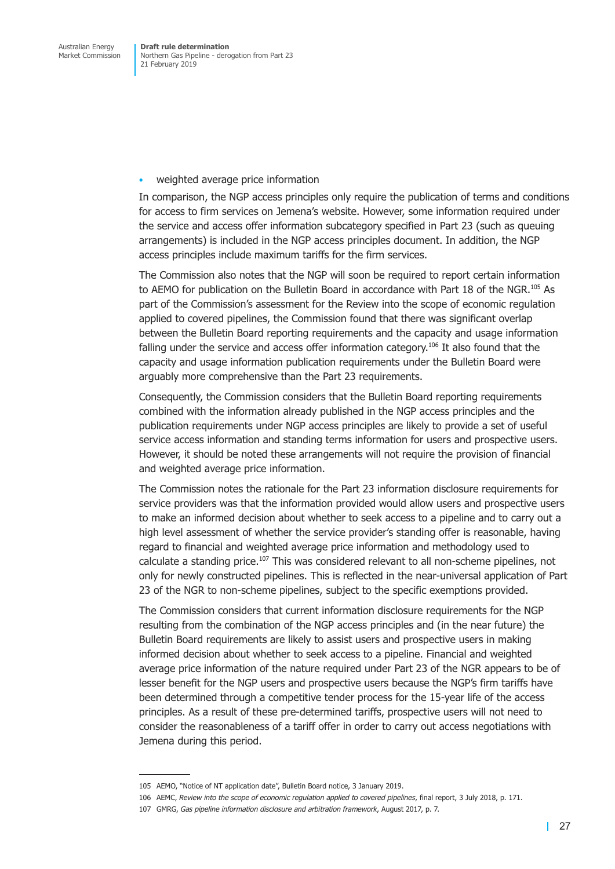• weighted average price information

In comparison, the NGP access principles only require the publication of terms and conditions for access to firm services on Jemena's website. However, some information required under the service and access offer information subcategory specified in Part 23 (such as queuing arrangements) is included in the NGP access principles document. In addition, the NGP access principles include maximum tariffs for the firm services.

The Commission also notes that the NGP will soon be required to report certain information to AEMO for publication on the Bulletin Board in accordance with Part 18 of the NGR.<sup>105</sup> As part of the Commission's assessment for the Review into the scope of economic regulation applied to covered pipelines, the Commission found that there was significant overlap between the Bulletin Board reporting requirements and the capacity and usage information falling under the service and access offer information category.<sup>106</sup> It also found that the capacity and usage information publication requirements under the Bulletin Board were arguably more comprehensive than the Part 23 requirements.

Consequently, the Commission considers that the Bulletin Board reporting requirements combined with the information already published in the NGP access principles and the publication requirements under NGP access principles are likely to provide a set of useful service access information and standing terms information for users and prospective users. However, it should be noted these arrangements will not require the provision of financial and weighted average price information.

The Commission notes the rationale for the Part 23 information disclosure requirements for service providers was that the information provided would allow users and prospective users to make an informed decision about whether to seek access to a pipeline and to carry out a high level assessment of whether the service provider's standing offer is reasonable, having regard to financial and weighted average price information and methodology used to calculate a standing price.<sup>107</sup> This was considered relevant to all non-scheme pipelines, not only for newly constructed pipelines. This is reflected in the near-universal application of Part 23 of the NGR to non-scheme pipelines, subject to the specific exemptions provided.

The Commission considers that current information disclosure requirements for the NGP resulting from the combination of the NGP access principles and (in the near future) the Bulletin Board requirements are likely to assist users and prospective users in making informed decision about whether to seek access to a pipeline. Financial and weighted average price information of the nature required under Part 23 of the NGR appears to be of lesser benefit for the NGP users and prospective users because the NGP's firm tariffs have been determined through a competitive tender process for the 15-year life of the access principles. As a result of these pre-determined tariffs, prospective users will not need to consider the reasonableness of a tariff offer in order to carry out access negotiations with Jemena during this period.

<sup>105</sup> AEMO, "Notice of NT application date", Bulletin Board notice, 3 January 2019.

<sup>106</sup> AEMC, *Review into the scope of economic regulation applied to covered pipelines*, final report, 3 July 2018, p. 171.

<sup>107</sup> GMRG, *Gas pipeline information disclosure and arbitration framework*, August 2017, p. 7.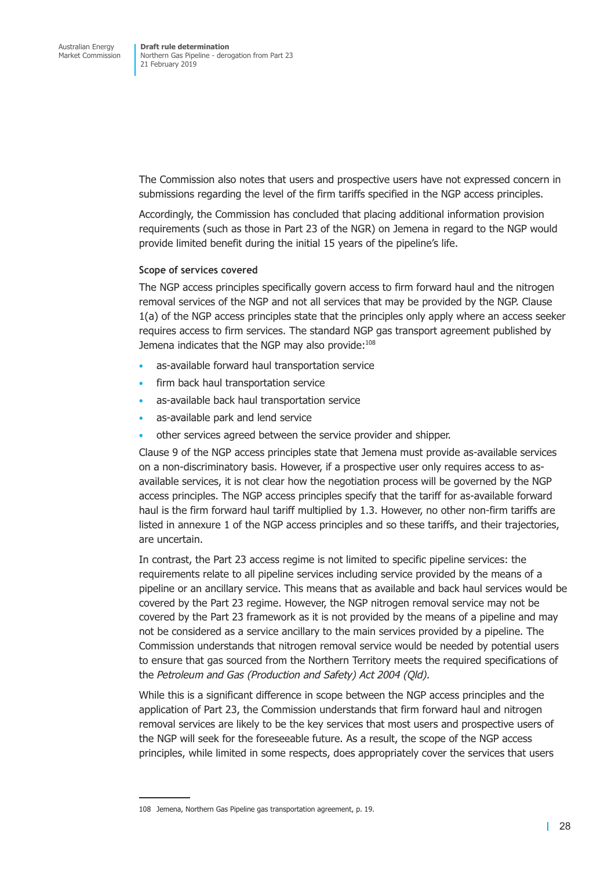The Commission also notes that users and prospective users have not expressed concern in submissions regarding the level of the firm tariffs specified in the NGP access principles.

Accordingly, the Commission has concluded that placing additional information provision requirements (such as those in Part 23 of the NGR) on Jemena in regard to the NGP would provide limited benefit during the initial 15 years of the pipeline's life.

#### **Scope of services covered**

The NGP access principles specifically govern access to firm forward haul and the nitrogen removal services of the NGP and not all services that may be provided by the NGP. Clause 1(a) of the NGP access principles state that the principles only apply where an access seeker requires access to firm services. The standard NGP gas transport agreement published by Jemena indicates that the NGP may also provide:<sup>108</sup>

- as-available forward haul transportation service
- firm back haul transportation service
- as-available back haul transportation service
- as-available park and lend service
- other services agreed between the service provider and shipper.

Clause 9 of the NGP access principles state that Jemena must provide as-available services on a non-discriminatory basis. However, if a prospective user only requires access to asavailable services, it is not clear how the negotiation process will be governed by the NGP access principles. The NGP access principles specify that the tariff for as-available forward haul is the firm forward haul tariff multiplied by 1.3. However, no other non-firm tariffs are listed in annexure 1 of the NGP access principles and so these tariffs, and their trajectories, are uncertain.

In contrast, the Part 23 access regime is not limited to specific pipeline services: the requirements relate to all pipeline services including service provided by the means of a pipeline or an ancillary service. This means that as available and back haul services would be covered by the Part 23 regime. However, the NGP nitrogen removal service may not be covered by the Part 23 framework as it is not provided by the means of a pipeline and may not be considered as a service ancillary to the main services provided by a pipeline. The Commission understands that nitrogen removal service would be needed by potential users to ensure that gas sourced from the Northern Territory meets the required specifications of the *Petroleum and Gas (Production and Safety) Act 2004 (Qld).* 

While this is a significant difference in scope between the NGP access principles and the application of Part 23, the Commission understands that firm forward haul and nitrogen removal services are likely to be the key services that most users and prospective users of the NGP will seek for the foreseeable future. As a result, the scope of the NGP access principles, while limited in some respects, does appropriately cover the services that users

<sup>108</sup> Jemena, Northern Gas Pipeline gas transportation agreement, p. 19.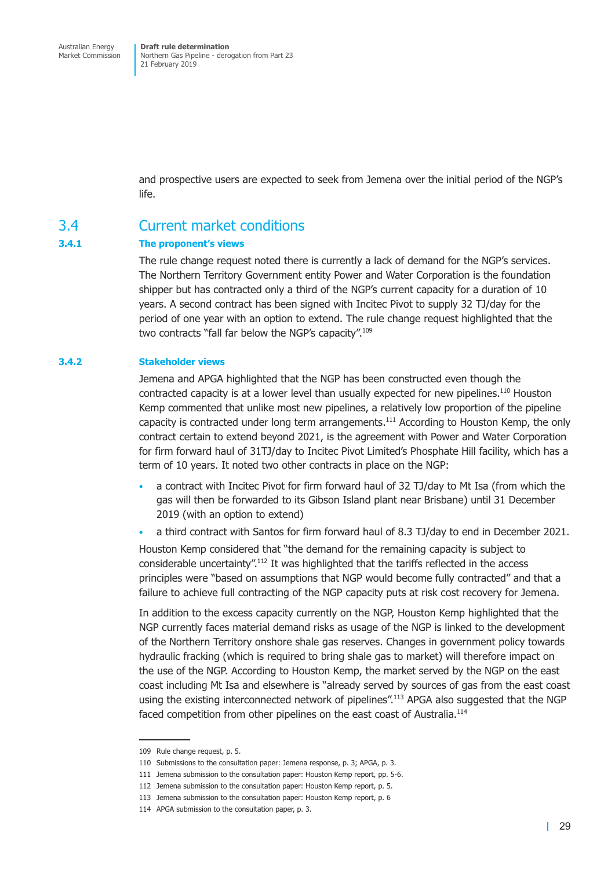<span id="page-36-0"></span>and prospective users are expected to seek from Jemena over the initial period of the NGP's life.

### 3.4 Current market conditions

#### **3.4.1 The proponent's views**

The rule change request noted there is currently a lack of demand for the NGP's services. The Northern Territory Government entity Power and Water Corporation is the foundation shipper but has contracted only a third of the NGP's current capacity for a duration of 10 years. A second contract has been signed with Incitec Pivot to supply 32 TJ/day for the period of one year with an option to extend. The rule change request highlighted that the two contracts "fall far below the NGP's capacity".<sup>109</sup>

#### **3.4.2 Stakeholder views**

Jemena and APGA highlighted that the NGP has been constructed even though the contracted capacity is at a lower level than usually expected for new pipelines.<sup>110</sup> Houston Kemp commented that unlike most new pipelines, a relatively low proportion of the pipeline capacity is contracted under long term arrangements.<sup>111</sup> According to Houston Kemp, the only contract certain to extend beyond 2021, is the agreement with Power and Water Corporation for firm forward haul of 31TJ/day to Incitec Pivot Limited's Phosphate Hill facility, which has a term of 10 years. It noted two other contracts in place on the NGP:

- a contract with Incitec Pivot for firm forward haul of 32 TJ/day to Mt Isa (from which the gas will then be forwarded to its Gibson Island plant near Brisbane) until 31 December 2019 (with an option to extend)
- a third contract with Santos for firm forward haul of 8.3 TJ/day to end in December 2021.

Houston Kemp considered that "the demand for the remaining capacity is subject to considerable uncertainty".112 It was highlighted that the tariffs reflected in the access principles were "based on assumptions that NGP would become fully contracted" and that a failure to achieve full contracting of the NGP capacity puts at risk cost recovery for Jemena.

In addition to the excess capacity currently on the NGP, Houston Kemp highlighted that the NGP currently faces material demand risks as usage of the NGP is linked to the development of the Northern Territory onshore shale gas reserves. Changes in government policy towards hydraulic fracking (which is required to bring shale gas to market) will therefore impact on the use of the NGP. According to Houston Kemp, the market served by the NGP on the east coast including Mt Isa and elsewhere is "already served by sources of gas from the east coast using the existing interconnected network of pipelines".<sup>113</sup> APGA also suggested that the NGP faced competition from other pipelines on the east coast of Australia.<sup>114</sup>

<sup>109</sup> Rule change request, p. 5.

<sup>110</sup> Submissions to the consultation paper: Jemena response, p. 3; APGA, p. 3.

<sup>111</sup> Jemena submission to the consultation paper: Houston Kemp report, pp. 5-6.

<sup>112</sup> Jemena submission to the consultation paper: Houston Kemp report, p. 5.

<sup>113</sup> Jemena submission to the consultation paper: Houston Kemp report, p. 6

<sup>114</sup> APGA submission to the consultation paper, p. 3.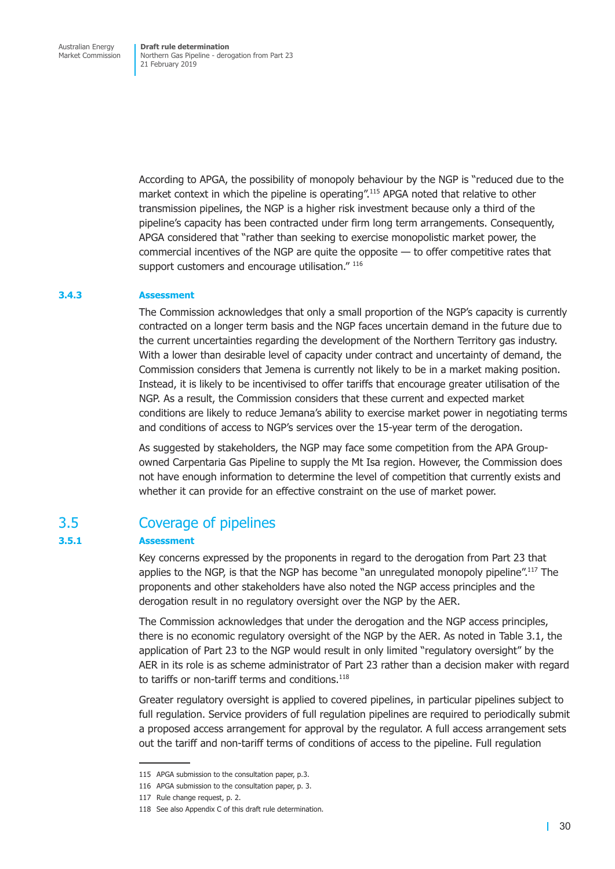<span id="page-37-0"></span>According to APGA, the possibility of monopoly behaviour by the NGP is "reduced due to the market context in which the pipeline is operating".<sup>115</sup> APGA noted that relative to other transmission pipelines, the NGP is a higher risk investment because only a third of the pipeline's capacity has been contracted under firm long term arrangements. Consequently, APGA considered that "rather than seeking to exercise monopolistic market power, the commercial incentives of the NGP are quite the opposite — to offer competitive rates that support customers and encourage utilisation." 116

#### **3.4.3 Assessment**

The Commission acknowledges that only a small proportion of the NGP's capacity is currently contracted on a longer term basis and the NGP faces uncertain demand in the future due to the current uncertainties regarding the development of the Northern Territory gas industry. With a lower than desirable level of capacity under contract and uncertainty of demand, the Commission considers that Jemena is currently not likely to be in a market making position. Instead, it is likely to be incentivised to offer tariffs that encourage greater utilisation of the NGP. As a result, the Commission considers that these current and expected market conditions are likely to reduce Jemana's ability to exercise market power in negotiating terms and conditions of access to NGP's services over the 15-year term of the derogation.

As suggested by stakeholders, the NGP may face some competition from the APA Groupowned Carpentaria Gas Pipeline to supply the Mt Isa region. However, the Commission does not have enough information to determine the level of competition that currently exists and whether it can provide for an effective constraint on the use of market power.

### 3.5 Coverage of pipelines

#### **3.5.1 Assessment**

Key concerns expressed by the proponents in regard to the derogation from Part 23 that applies to the NGP, is that the NGP has become "an unregulated monopoly pipeline".<sup>117</sup> The proponents and other stakeholders have also noted the NGP access principles and the derogation result in no regulatory oversight over the NGP by the AER.

The Commission acknowledges that under the derogation and the NGP access principles, there is no economic regulatory oversight of the NGP by the AER. As noted in Table 3.1, the application of Part 23 to the NGP would result in only limited "regulatory oversight" by the AER in its role is as scheme administrator of Part 23 rather than a decision maker with regard to tariffs or non-tariff terms and conditions.<sup>118</sup>

Greater regulatory oversight is applied to covered pipelines, in particular pipelines subject to full regulation. Service providers of full regulation pipelines are required to periodically submit a proposed access arrangement for approval by the regulator. A full access arrangement sets out the tariff and non-tariff terms of conditions of access to the pipeline. Full regulation

<sup>115</sup> APGA submission to the consultation paper, p.3.

<sup>116</sup> APGA submission to the consultation paper, p. 3.

<sup>117</sup> Rule change request, p. 2.

<sup>118</sup> See also Appendix C of this draft rule determination.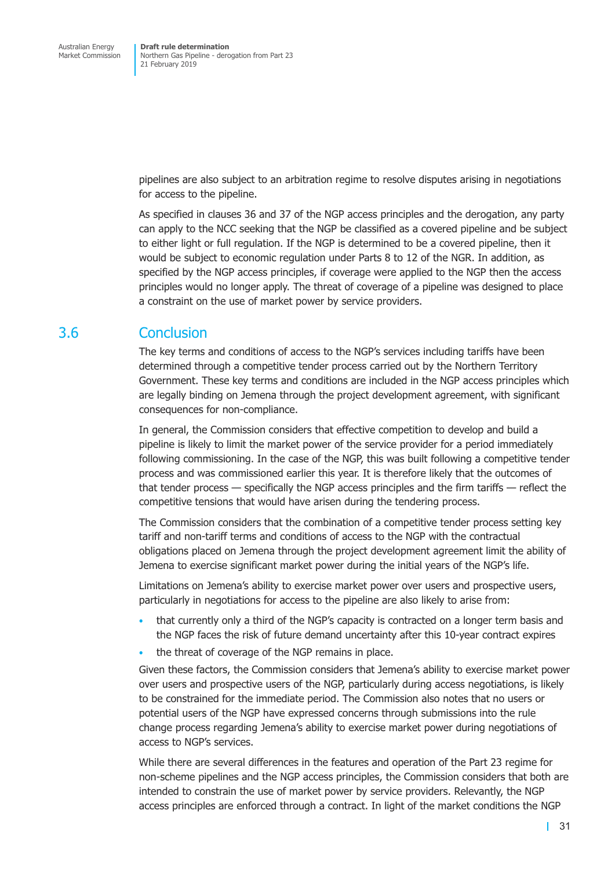<span id="page-38-0"></span>pipelines are also subject to an arbitration regime to resolve disputes arising in negotiations for access to the pipeline.

As specified in clauses 36 and 37 of the NGP access principles and the derogation, any party can apply to the NCC seeking that the NGP be classified as a covered pipeline and be subject to either light or full regulation. If the NGP is determined to be a covered pipeline, then it would be subject to economic regulation under Parts 8 to 12 of the NGR. In addition, as specified by the NGP access principles, if coverage were applied to the NGP then the access principles would no longer apply. The threat of coverage of a pipeline was designed to place a constraint on the use of market power by service providers.

## 3.6 Conclusion

The key terms and conditions of access to the NGP's services including tariffs have been determined through a competitive tender process carried out by the Northern Territory Government. These key terms and conditions are included in the NGP access principles which are legally binding on Jemena through the project development agreement, with significant consequences for non-compliance.

In general, the Commission considers that effective competition to develop and build a pipeline is likely to limit the market power of the service provider for a period immediately following commissioning. In the case of the NGP, this was built following a competitive tender process and was commissioned earlier this year. It is therefore likely that the outcomes of that tender process — specifically the NGP access principles and the firm tariffs — reflect the competitive tensions that would have arisen during the tendering process.

The Commission considers that the combination of a competitive tender process setting key tariff and non-tariff terms and conditions of access to the NGP with the contractual obligations placed on Jemena through the project development agreement limit the ability of Jemena to exercise significant market power during the initial years of the NGP's life.

Limitations on Jemena's ability to exercise market power over users and prospective users, particularly in negotiations for access to the pipeline are also likely to arise from:

- that currently only a third of the NGP's capacity is contracted on a longer term basis and the NGP faces the risk of future demand uncertainty after this 10-year contract expires
- the threat of coverage of the NGP remains in place.

Given these factors, the Commission considers that Jemena's ability to exercise market power over users and prospective users of the NGP, particularly during access negotiations, is likely to be constrained for the immediate period. The Commission also notes that no users or potential users of the NGP have expressed concerns through submissions into the rule change process regarding Jemena's ability to exercise market power during negotiations of access to NGP's services.

While there are several differences in the features and operation of the Part 23 regime for non-scheme pipelines and the NGP access principles, the Commission considers that both are intended to constrain the use of market power by service providers. Relevantly, the NGP access principles are enforced through a contract. In light of the market conditions the NGP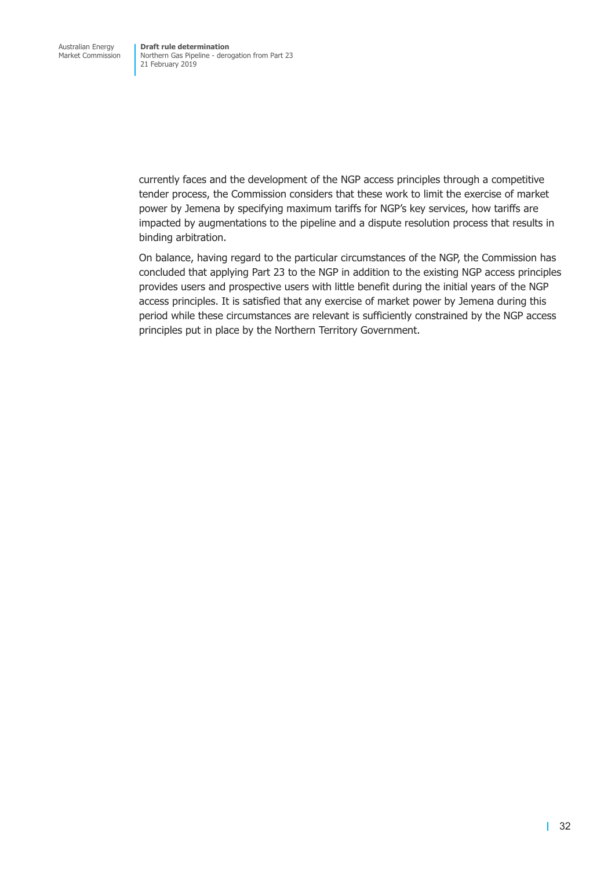currently faces and the development of the NGP access principles through a competitive tender process, the Commission considers that these work to limit the exercise of market power by Jemena by specifying maximum tariffs for NGP's key services, how tariffs are impacted by augmentations to the pipeline and a dispute resolution process that results in binding arbitration.

On balance, having regard to the particular circumstances of the NGP, the Commission has concluded that applying Part 23 to the NGP in addition to the existing NGP access principles provides users and prospective users with little benefit during the initial years of the NGP access principles. It is satisfied that any exercise of market power by Jemena during this period while these circumstances are relevant is sufficiently constrained by the NGP access principles put in place by the Northern Territory Government.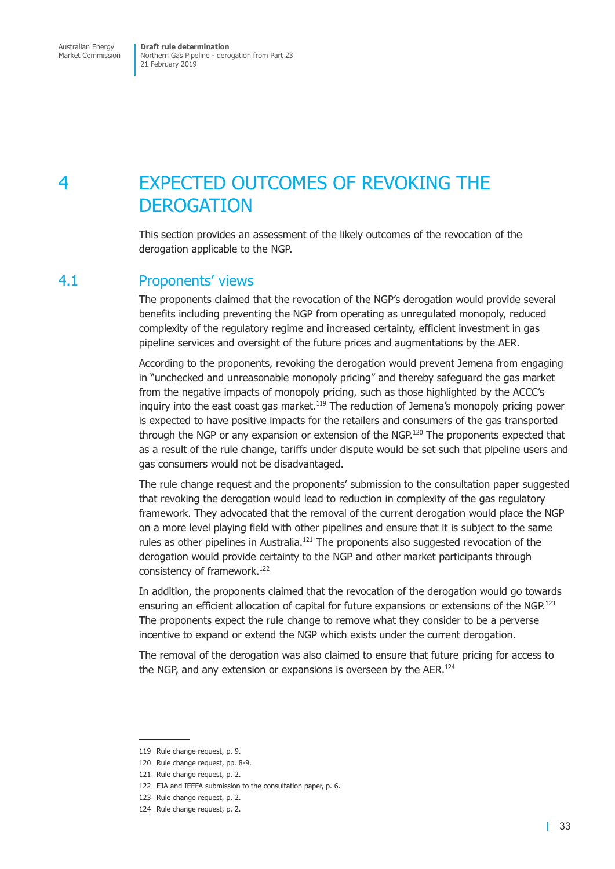<span id="page-40-0"></span>Australian Energy Market Commission

**Draft rule determination** Northern Gas Pipeline - derogation from Part 23 21 February 2019

## 4 EXPECTED OUTCOMES OF REVOKING THE **DEROGATION**

This section provides an assessment of the likely outcomes of the revocation of the derogation applicable to the NGP.

## 4.1 Proponents' views

The proponents claimed that the revocation of the NGP's derogation would provide several benefits including preventing the NGP from operating as unregulated monopoly, reduced complexity of the regulatory regime and increased certainty, efficient investment in gas pipeline services and oversight of the future prices and augmentations by the AER.

According to the proponents, revoking the derogation would prevent Jemena from engaging in "unchecked and unreasonable monopoly pricing" and thereby safeguard the gas market from the negative impacts of monopoly pricing, such as those highlighted by the ACCC's inquiry into the east coast gas market.<sup>119</sup> The reduction of Jemena's monopoly pricing power is expected to have positive impacts for the retailers and consumers of the gas transported through the NGP or any expansion or extension of the NGP.<sup>120</sup> The proponents expected that as a result of the rule change, tariffs under dispute would be set such that pipeline users and gas consumers would not be disadvantaged.

The rule change request and the proponents' submission to the consultation paper suggested that revoking the derogation would lead to reduction in complexity of the gas regulatory framework. They advocated that the removal of the current derogation would place the NGP on a more level playing field with other pipelines and ensure that it is subject to the same rules as other pipelines in Australia.<sup>121</sup> The proponents also suggested revocation of the derogation would provide certainty to the NGP and other market participants through consistency of framework.<sup>122</sup>

In addition, the proponents claimed that the revocation of the derogation would go towards ensuring an efficient allocation of capital for future expansions or extensions of the NGP.<sup>123</sup> The proponents expect the rule change to remove what they consider to be a perverse incentive to expand or extend the NGP which exists under the current derogation.

The removal of the derogation was also claimed to ensure that future pricing for access to the NGP, and any extension or expansions is overseen by the AER.<sup>124</sup>

<sup>119</sup> Rule change request, p. 9.

<sup>120</sup> Rule change request, pp. 8-9.

<sup>121</sup> Rule change request, p. 2.

<sup>122</sup> EJA and IEEFA submission to the consultation paper, p. 6.

<sup>123</sup> Rule change request, p. 2.

<sup>124</sup> Rule change request, p. 2.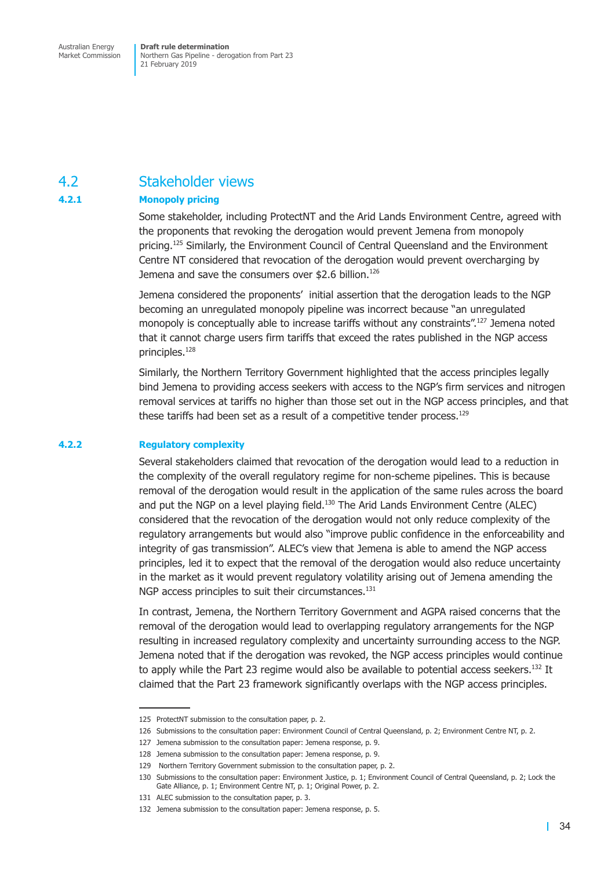## <span id="page-41-0"></span>4.2 Stakeholder views

#### **4.2.1 Monopoly pricing**

Some stakeholder, including ProtectNT and the Arid Lands Environment Centre, agreed with the proponents that revoking the derogation would prevent Jemena from monopoly pricing.<sup>125</sup> Similarly, the Environment Council of Central Queensland and the Environment Centre NT considered that revocation of the derogation would prevent overcharging by Jemena and save the consumers over \$2.6 billion.<sup>126</sup>

Jemena considered the proponents' initial assertion that the derogation leads to the NGP becoming an unregulated monopoly pipeline was incorrect because "an unregulated monopoly is conceptually able to increase tariffs without any constraints".<sup>127</sup> Jemena noted that it cannot charge users firm tariffs that exceed the rates published in the NGP access principles.<sup>128</sup>

Similarly, the Northern Territory Government highlighted that the access principles legally bind Jemena to providing access seekers with access to the NGP's firm services and nitrogen removal services at tariffs no higher than those set out in the NGP access principles, and that these tariffs had been set as a result of a competitive tender process.<sup>129</sup>

#### **4.2.2 Regulatory complexity**

Several stakeholders claimed that revocation of the derogation would lead to a reduction in the complexity of the overall regulatory regime for non-scheme pipelines. This is because removal of the derogation would result in the application of the same rules across the board and put the NGP on a level playing field. $130$  The Arid Lands Environment Centre (ALEC) considered that the revocation of the derogation would not only reduce complexity of the regulatory arrangements but would also "improve public confidence in the enforceability and integrity of gas transmission". ALEC's view that Jemena is able to amend the NGP access principles, led it to expect that the removal of the derogation would also reduce uncertainty in the market as it would prevent regulatory volatility arising out of Jemena amending the NGP access principles to suit their circumstances.<sup>131</sup>

In contrast, Jemena, the Northern Territory Government and AGPA raised concerns that the removal of the derogation would lead to overlapping regulatory arrangements for the NGP resulting in increased regulatory complexity and uncertainty surrounding access to the NGP. Jemena noted that if the derogation was revoked, the NGP access principles would continue to apply while the Part 23 regime would also be available to potential access seekers.<sup>132</sup> It claimed that the Part 23 framework significantly overlaps with the NGP access principles.

<sup>125</sup> ProtectNT submission to the consultation paper, p. 2.

<sup>126</sup> Submissions to the consultation paper: Environment Council of Central Queensland, p. 2; Environment Centre NT, p. 2.

<sup>127</sup> Jemena submission to the consultation paper: Jemena response, p. 9.

<sup>128</sup> Jemena submission to the consultation paper: Jemena response, p. 9.

<sup>129</sup> Northern Territory Government submission to the consultation paper, p. 2.

<sup>130</sup> Submissions to the consultation paper: Environment Justice, p. 1; Environment Council of Central Queensland, p. 2; Lock the Gate Alliance, p. 1; Environment Centre NT, p. 1; Original Power, p. 2.

<sup>131</sup> ALEC submission to the consultation paper, p. 3.

<sup>132</sup> Jemena submission to the consultation paper: Jemena response, p. 5.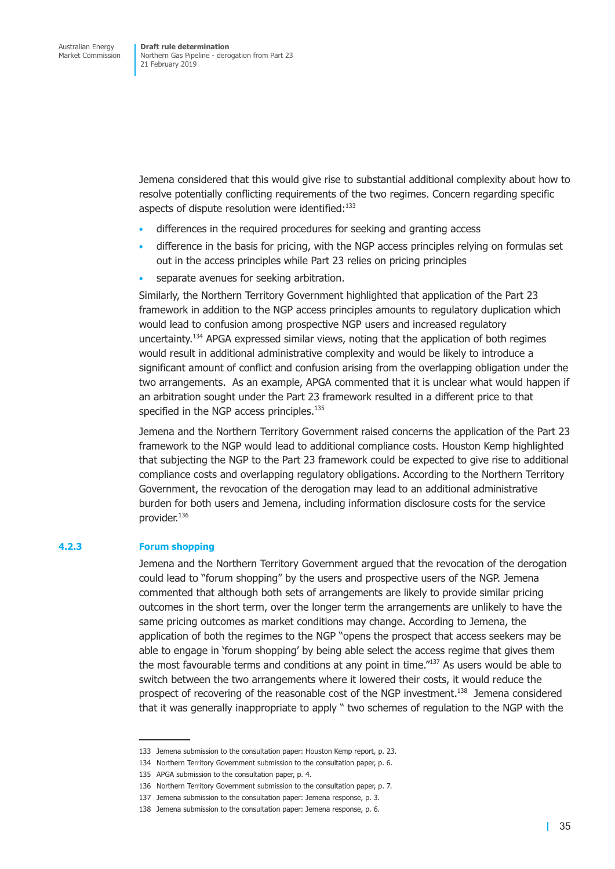Jemena considered that this would give rise to substantial additional complexity about how to resolve potentially conflicting requirements of the two regimes. Concern regarding specific aspects of dispute resolution were identified:<sup>133</sup>

- differences in the required procedures for seeking and granting access
- difference in the basis for pricing, with the NGP access principles relying on formulas set out in the access principles while Part 23 relies on pricing principles
- separate avenues for seeking arbitration.

Similarly, the Northern Territory Government highlighted that application of the Part 23 framework in addition to the NGP access principles amounts to regulatory duplication which would lead to confusion among prospective NGP users and increased regulatory uncertainty.<sup>134</sup> APGA expressed similar views, noting that the application of both regimes would result in additional administrative complexity and would be likely to introduce a significant amount of conflict and confusion arising from the overlapping obligation under the two arrangements. As an example, APGA commented that it is unclear what would happen if an arbitration sought under the Part 23 framework resulted in a different price to that specified in the NGP access principles.<sup>135</sup>

Jemena and the Northern Territory Government raised concerns the application of the Part 23 framework to the NGP would lead to additional compliance costs. Houston Kemp highlighted that subjecting the NGP to the Part 23 framework could be expected to give rise to additional compliance costs and overlapping regulatory obligations. According to the Northern Territory Government, the revocation of the derogation may lead to an additional administrative burden for both users and Jemena, including information disclosure costs for the service provider.136

#### **4.2.3 Forum shopping**

Jemena and the Northern Territory Government argued that the revocation of the derogation could lead to "forum shopping" by the users and prospective users of the NGP. Jemena commented that although both sets of arrangements are likely to provide similar pricing outcomes in the short term, over the longer term the arrangements are unlikely to have the same pricing outcomes as market conditions may change. According to Jemena, the application of both the regimes to the NGP "opens the prospect that access seekers may be able to engage in 'forum shopping' by being able select the access regime that gives them the most favourable terms and conditions at any point in time. $137$  As users would be able to switch between the two arrangements where it lowered their costs, it would reduce the prospect of recovering of the reasonable cost of the NGP investment.<sup>138</sup> Jemena considered that it was generally inappropriate to apply " two schemes of regulation to the NGP with the

<sup>133</sup> Jemena submission to the consultation paper: Houston Kemp report, p. 23.

<sup>134</sup> Northern Territory Government submission to the consultation paper, p. 6.

<sup>135</sup> APGA submission to the consultation paper, p. 4.

<sup>136</sup> Northern Territory Government submission to the consultation paper, p. 7.

<sup>137</sup> Jemena submission to the consultation paper: Jemena response, p. 3.

<sup>138</sup> Jemena submission to the consultation paper: Jemena response, p. 6.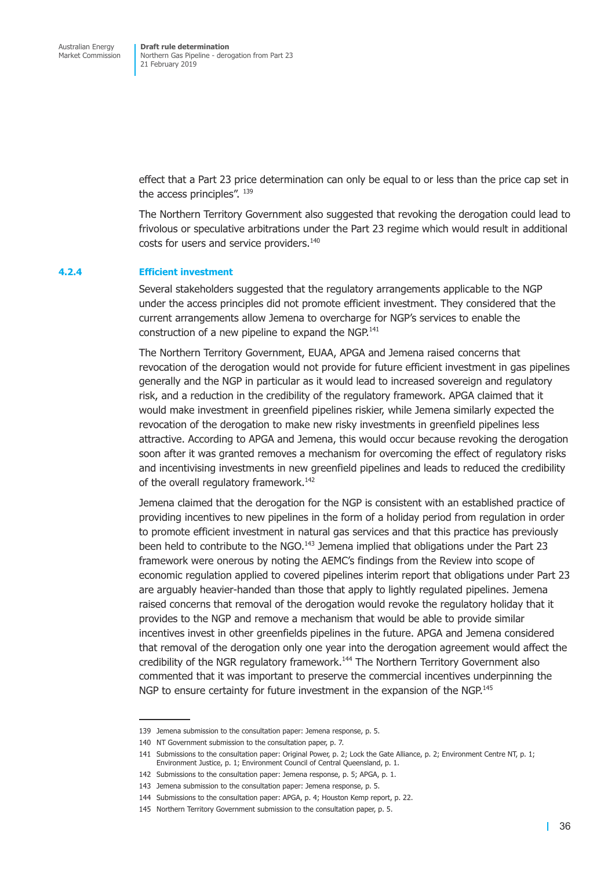effect that a Part 23 price determination can only be equal to or less than the price cap set in the access principles". 139

The Northern Territory Government also suggested that revoking the derogation could lead to frivolous or speculative arbitrations under the Part 23 regime which would result in additional costs for users and service providers.<sup>140</sup>

#### **4.2.4 Efficient investment**

Several stakeholders suggested that the regulatory arrangements applicable to the NGP under the access principles did not promote efficient investment. They considered that the current arrangements allow Jemena to overcharge for NGP's services to enable the construction of a new pipeline to expand the NGP.<sup>141</sup>

The Northern Territory Government, EUAA, APGA and Jemena raised concerns that revocation of the derogation would not provide for future efficient investment in gas pipelines generally and the NGP in particular as it would lead to increased sovereign and regulatory risk, and a reduction in the credibility of the regulatory framework. APGA claimed that it would make investment in greenfield pipelines riskier, while Jemena similarly expected the revocation of the derogation to make new risky investments in greenfield pipelines less attractive. According to APGA and Jemena, this would occur because revoking the derogation soon after it was granted removes a mechanism for overcoming the effect of regulatory risks and incentivising investments in new greenfield pipelines and leads to reduced the credibility of the overall regulatory framework.<sup>142</sup>

Jemena claimed that the derogation for the NGP is consistent with an established practice of providing incentives to new pipelines in the form of a holiday period from regulation in order to promote efficient investment in natural gas services and that this practice has previously been held to contribute to the NGO. $^{143}$  Jemena implied that obligations under the Part 23 framework were onerous by noting the AEMC's findings from the Review into scope of economic regulation applied to covered pipelines interim report that obligations under Part 23 are arguably heavier-handed than those that apply to lightly regulated pipelines. Jemena raised concerns that removal of the derogation would revoke the regulatory holiday that it provides to the NGP and remove a mechanism that would be able to provide similar incentives invest in other greenfields pipelines in the future. APGA and Jemena considered that removal of the derogation only one year into the derogation agreement would affect the credibility of the NGR regulatory framework.144 The Northern Territory Government also commented that it was important to preserve the commercial incentives underpinning the NGP to ensure certainty for future investment in the expansion of the NGP.<sup>145</sup>

<sup>139</sup> Jemena submission to the consultation paper: Jemena response, p. 5.

<sup>140</sup> NT Government submission to the consultation paper, p. 7.

<sup>141</sup> Submissions to the consultation paper: Original Power, p. 2; Lock the Gate Alliance, p. 2; Environment Centre NT, p. 1; Environment Justice, p. 1; Environment Council of Central Queensland, p. 1.

<sup>142</sup> Submissions to the consultation paper: Jemena response, p. 5; APGA, p. 1.

<sup>143</sup> Jemena submission to the consultation paper: Jemena response, p. 5.

<sup>144</sup> Submissions to the consultation paper: APGA, p. 4; Houston Kemp report, p. 22.

<sup>145</sup> Northern Territory Government submission to the consultation paper, p. 5.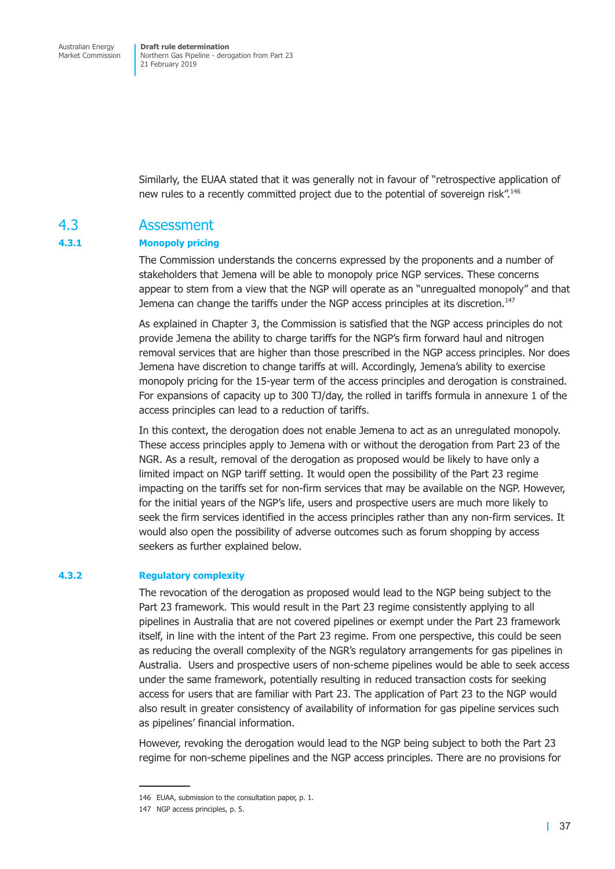<span id="page-44-0"></span>Similarly, the EUAA stated that it was generally not in favour of "retrospective application of new rules to a recently committed project due to the potential of sovereign risk".146

### 4.3 Assessment

#### **4.3.1 Monopoly pricing**

The Commission understands the concerns expressed by the proponents and a number of stakeholders that Jemena will be able to monopoly price NGP services. These concerns appear to stem from a view that the NGP will operate as an "unregualted monopoly" and that Jemena can change the tariffs under the NGP access principles at its discretion.<sup>147</sup>

As explained in Chapter 3, the Commission is satisfied that the NGP access principles do not provide Jemena the ability to charge tariffs for the NGP's firm forward haul and nitrogen removal services that are higher than those prescribed in the NGP access principles. Nor does Jemena have discretion to change tariffs at will. Accordingly, Jemena's ability to exercise monopoly pricing for the 15-year term of the access principles and derogation is constrained. For expansions of capacity up to 300 TJ/day, the rolled in tariffs formula in annexure 1 of the access principles can lead to a reduction of tariffs.

In this context, the derogation does not enable Jemena to act as an unregulated monopoly. These access principles apply to Jemena with or without the derogation from Part 23 of the NGR. As a result, removal of the derogation as proposed would be likely to have only a limited impact on NGP tariff setting. It would open the possibility of the Part 23 regime impacting on the tariffs set for non-firm services that may be available on the NGP. However, for the initial years of the NGP's life, users and prospective users are much more likely to seek the firm services identified in the access principles rather than any non-firm services. It would also open the possibility of adverse outcomes such as forum shopping by access seekers as further explained below.

#### **4.3.2 Regulatory complexity**

The revocation of the derogation as proposed would lead to the NGP being subject to the Part 23 framework. This would result in the Part 23 regime consistently applying to all pipelines in Australia that are not covered pipelines or exempt under the Part 23 framework itself, in line with the intent of the Part 23 regime. From one perspective, this could be seen as reducing the overall complexity of the NGR's regulatory arrangements for gas pipelines in Australia. Users and prospective users of non-scheme pipelines would be able to seek access under the same framework, potentially resulting in reduced transaction costs for seeking access for users that are familiar with Part 23. The application of Part 23 to the NGP would also result in greater consistency of availability of information for gas pipeline services such as pipelines' financial information.

However, revoking the derogation would lead to the NGP being subject to both the Part 23 regime for non-scheme pipelines and the NGP access principles. There are no provisions for

<sup>146</sup> EUAA, submission to the consultation paper, p. 1.

<sup>147</sup> NGP access principles, p. 5.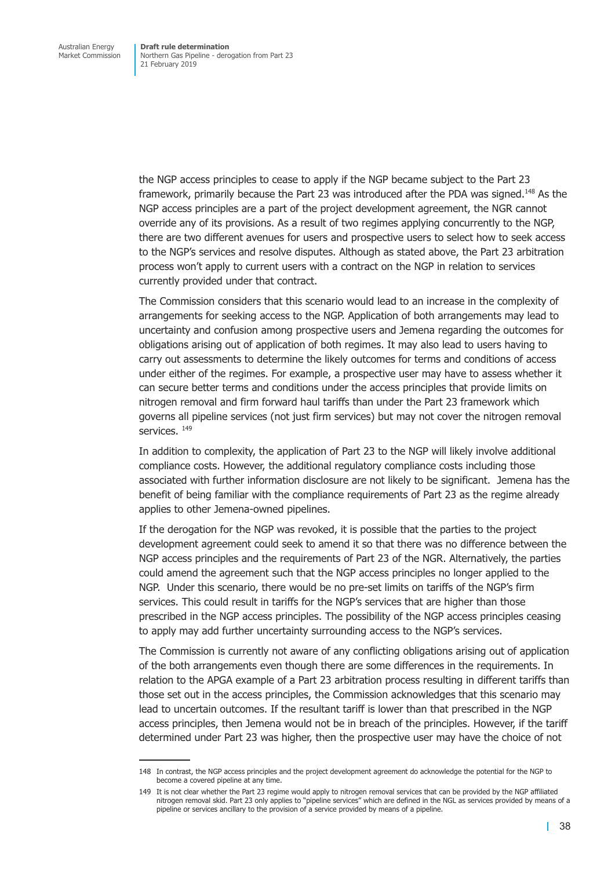the NGP access principles to cease to apply if the NGP became subject to the Part 23 framework, primarily because the Part 23 was introduced after the PDA was signed.<sup>148</sup> As the NGP access principles are a part of the project development agreement, the NGR cannot override any of its provisions. As a result of two regimes applying concurrently to the NGP, there are two different avenues for users and prospective users to select how to seek access to the NGP's services and resolve disputes. Although as stated above, the Part 23 arbitration process won't apply to current users with a contract on the NGP in relation to services currently provided under that contract.

The Commission considers that this scenario would lead to an increase in the complexity of arrangements for seeking access to the NGP. Application of both arrangements may lead to uncertainty and confusion among prospective users and Jemena regarding the outcomes for obligations arising out of application of both regimes. It may also lead to users having to carry out assessments to determine the likely outcomes for terms and conditions of access under either of the regimes. For example, a prospective user may have to assess whether it can secure better terms and conditions under the access principles that provide limits on nitrogen removal and firm forward haul tariffs than under the Part 23 framework which governs all pipeline services (not just firm services) but may not cover the nitrogen removal services. 149

In addition to complexity, the application of Part 23 to the NGP will likely involve additional compliance costs. However, the additional regulatory compliance costs including those associated with further information disclosure are not likely to be significant. Jemena has the benefit of being familiar with the compliance requirements of Part 23 as the regime already applies to other Jemena-owned pipelines.

If the derogation for the NGP was revoked, it is possible that the parties to the project development agreement could seek to amend it so that there was no difference between the NGP access principles and the requirements of Part 23 of the NGR. Alternatively, the parties could amend the agreement such that the NGP access principles no longer applied to the NGP. Under this scenario, there would be no pre-set limits on tariffs of the NGP's firm services. This could result in tariffs for the NGP's services that are higher than those prescribed in the NGP access principles. The possibility of the NGP access principles ceasing to apply may add further uncertainty surrounding access to the NGP's services.

The Commission is currently not aware of any conflicting obligations arising out of application of the both arrangements even though there are some differences in the requirements. In relation to the APGA example of a Part 23 arbitration process resulting in different tariffs than those set out in the access principles, the Commission acknowledges that this scenario may lead to uncertain outcomes. If the resultant tariff is lower than that prescribed in the NGP access principles, then Jemena would not be in breach of the principles. However, if the tariff determined under Part 23 was higher, then the prospective user may have the choice of not

<sup>148</sup> In contrast, the NGP access principles and the project development agreement do acknowledge the potential for the NGP to become a covered pipeline at any time.

<sup>149</sup> It is not clear whether the Part 23 regime would apply to nitrogen removal services that can be provided by the NGP affiliated nitrogen removal skid. Part 23 only applies to "pipeline services" which are defined in the NGL as services provided by means of a pipeline or services ancillary to the provision of a service provided by means of a pipeline.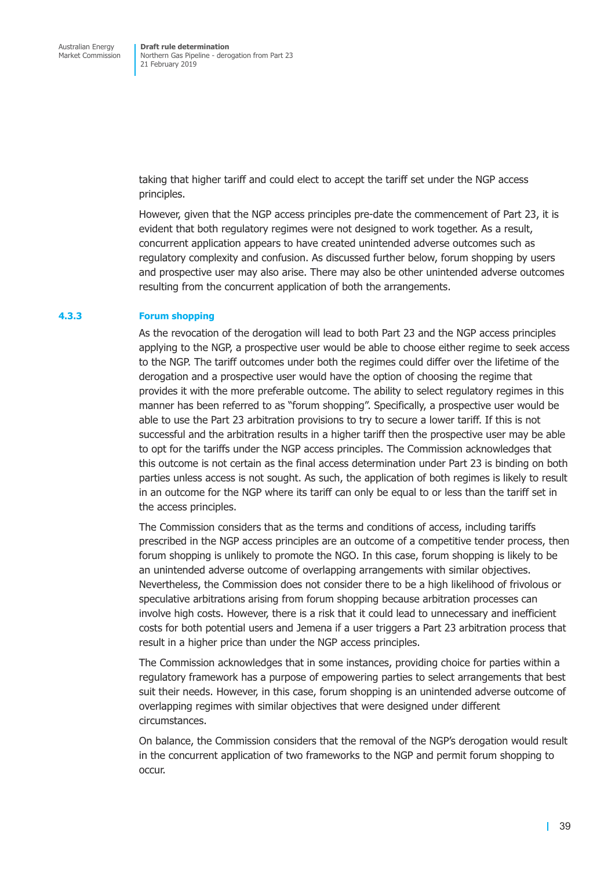taking that higher tariff and could elect to accept the tariff set under the NGP access principles.

However, given that the NGP access principles pre-date the commencement of Part 23, it is evident that both regulatory regimes were not designed to work together. As a result, concurrent application appears to have created unintended adverse outcomes such as regulatory complexity and confusion. As discussed further below, forum shopping by users and prospective user may also arise. There may also be other unintended adverse outcomes resulting from the concurrent application of both the arrangements.

#### **4.3.3 Forum shopping**

As the revocation of the derogation will lead to both Part 23 and the NGP access principles applying to the NGP, a prospective user would be able to choose either regime to seek access to the NGP. The tariff outcomes under both the regimes could differ over the lifetime of the derogation and a prospective user would have the option of choosing the regime that provides it with the more preferable outcome. The ability to select regulatory regimes in this manner has been referred to as "forum shopping". Specifically, a prospective user would be able to use the Part 23 arbitration provisions to try to secure a lower tariff. If this is not successful and the arbitration results in a higher tariff then the prospective user may be able to opt for the tariffs under the NGP access principles. The Commission acknowledges that this outcome is not certain as the final access determination under Part 23 is binding on both parties unless access is not sought. As such, the application of both regimes is likely to result in an outcome for the NGP where its tariff can only be equal to or less than the tariff set in the access principles.

The Commission considers that as the terms and conditions of access, including tariffs prescribed in the NGP access principles are an outcome of a competitive tender process, then forum shopping is unlikely to promote the NGO. In this case, forum shopping is likely to be an unintended adverse outcome of overlapping arrangements with similar objectives. Nevertheless, the Commission does not consider there to be a high likelihood of frivolous or speculative arbitrations arising from forum shopping because arbitration processes can involve high costs. However, there is a risk that it could lead to unnecessary and inefficient costs for both potential users and Jemena if a user triggers a Part 23 arbitration process that result in a higher price than under the NGP access principles.

The Commission acknowledges that in some instances, providing choice for parties within a regulatory framework has a purpose of empowering parties to select arrangements that best suit their needs. However, in this case, forum shopping is an unintended adverse outcome of overlapping regimes with similar objectives that were designed under different circumstances.

On balance, the Commission considers that the removal of the NGP's derogation would result in the concurrent application of two frameworks to the NGP and permit forum shopping to occur.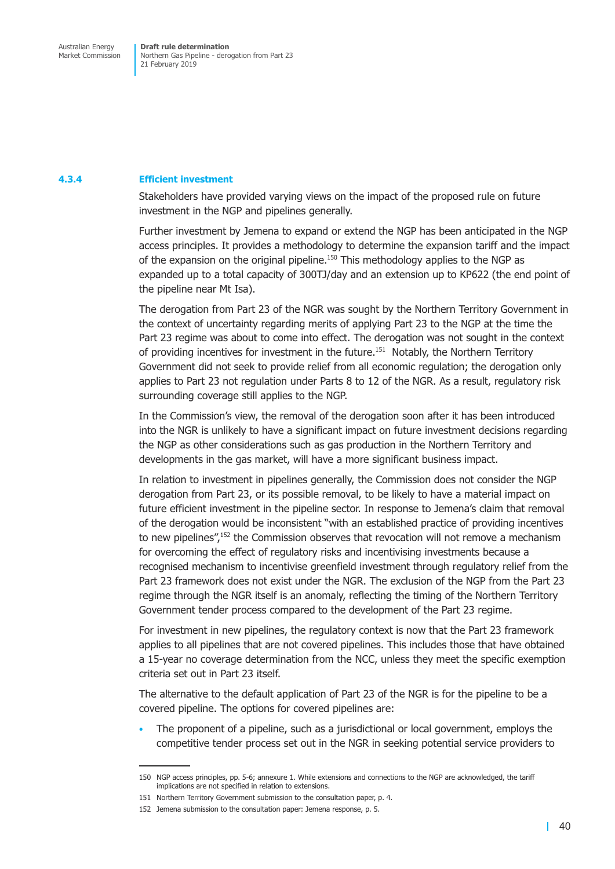#### **4.3.4 Efficient investment**

Stakeholders have provided varying views on the impact of the proposed rule on future investment in the NGP and pipelines generally.

Further investment by Jemena to expand or extend the NGP has been anticipated in the NGP access principles. It provides a methodology to determine the expansion tariff and the impact of the expansion on the original pipeline.<sup>150</sup> This methodology applies to the NGP as expanded up to a total capacity of 300TJ/day and an extension up to KP622 (the end point of the pipeline near Mt Isa).

The derogation from Part 23 of the NGR was sought by the Northern Territory Government in the context of uncertainty regarding merits of applying Part 23 to the NGP at the time the Part 23 regime was about to come into effect. The derogation was not sought in the context of providing incentives for investment in the future.<sup>151</sup> Notably, the Northern Territory Government did not seek to provide relief from all economic regulation; the derogation only applies to Part 23 not regulation under Parts 8 to 12 of the NGR. As a result, regulatory risk surrounding coverage still applies to the NGP.

In the Commission's view, the removal of the derogation soon after it has been introduced into the NGR is unlikely to have a significant impact on future investment decisions regarding the NGP as other considerations such as gas production in the Northern Territory and developments in the gas market, will have a more significant business impact.

In relation to investment in pipelines generally, the Commission does not consider the NGP derogation from Part 23, or its possible removal, to be likely to have a material impact on future efficient investment in the pipeline sector. In response to Jemena's claim that removal of the derogation would be inconsistent "with an established practice of providing incentives to new pipelines",<sup>152</sup> the Commission observes that revocation will not remove a mechanism for overcoming the effect of regulatory risks and incentivising investments because a recognised mechanism to incentivise greenfield investment through regulatory relief from the Part 23 framework does not exist under the NGR. The exclusion of the NGP from the Part 23 regime through the NGR itself is an anomaly, reflecting the timing of the Northern Territory Government tender process compared to the development of the Part 23 regime.

For investment in new pipelines, the regulatory context is now that the Part 23 framework applies to all pipelines that are not covered pipelines. This includes those that have obtained a 15-year no coverage determination from the NCC, unless they meet the specific exemption criteria set out in Part 23 itself.

The alternative to the default application of Part 23 of the NGR is for the pipeline to be a covered pipeline. The options for covered pipelines are:

The proponent of a pipeline, such as a jurisdictional or local government, employs the competitive tender process set out in the NGR in seeking potential service providers to

<sup>150</sup> NGP access principles, pp. 5-6; annexure 1. While extensions and connections to the NGP are acknowledged, the tariff implications are not specified in relation to extensions.

<sup>151</sup> Northern Territory Government submission to the consultation paper, p. 4.

<sup>152</sup> Jemena submission to the consultation paper: Jemena response, p. 5.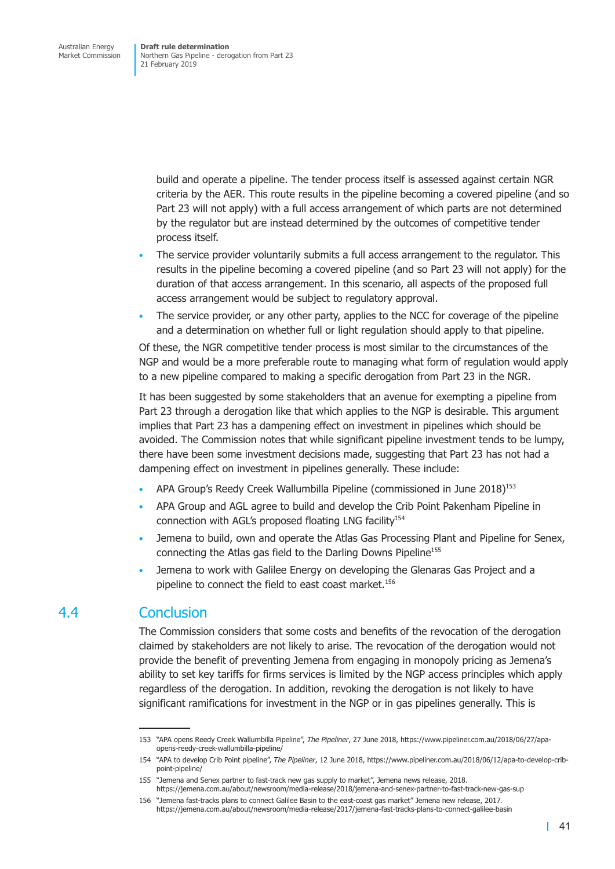<span id="page-48-0"></span>build and operate a pipeline. The tender process itself is assessed against certain NGR criteria by the AER. This route results in the pipeline becoming a covered pipeline (and so Part 23 will not apply) with a full access arrangement of which parts are not determined by the regulator but are instead determined by the outcomes of competitive tender process itself.

- The service provider voluntarily submits a full access arrangement to the regulator. This results in the pipeline becoming a covered pipeline (and so Part 23 will not apply) for the duration of that access arrangement. In this scenario, all aspects of the proposed full access arrangement would be subject to regulatory approval.
- The service provider, or any other party, applies to the NCC for coverage of the pipeline and a determination on whether full or light regulation should apply to that pipeline.

Of these, the NGR competitive tender process is most similar to the circumstances of the NGP and would be a more preferable route to managing what form of regulation would apply to a new pipeline compared to making a specific derogation from Part 23 in the NGR.

It has been suggested by some stakeholders that an avenue for exempting a pipeline from Part 23 through a derogation like that which applies to the NGP is desirable. This argument implies that Part 23 has a dampening effect on investment in pipelines which should be avoided. The Commission notes that while significant pipeline investment tends to be lumpy, there have been some investment decisions made, suggesting that Part 23 has not had a dampening effect on investment in pipelines generally. These include:

- APA Group's Reedy Creek Wallumbilla Pipeline (commissioned in June 2018)<sup>153</sup>
- APA Group and AGL agree to build and develop the Crib Point Pakenham Pipeline in connection with AGL's proposed floating LNG facility<sup>154</sup>
- Jemena to build, own and operate the Atlas Gas Processing Plant and Pipeline for Senex, connecting the Atlas gas field to the Darling Downs Pipeline<sup>155</sup>
- Jemena to work with Galilee Energy on developing the Glenaras Gas Project and a pipeline to connect the field to east coast market.<sup>156</sup>

## 4.4 Conclusion

The Commission considers that some costs and benefits of the revocation of the derogation claimed by stakeholders are not likely to arise. The revocation of the derogation would not provide the benefit of preventing Jemena from engaging in monopoly pricing as Jemena's ability to set key tariffs for firms services is limited by the NGP access principles which apply regardless of the derogation. In addition, revoking the derogation is not likely to have significant ramifications for investment in the NGP or in gas pipelines generally. This is

<sup>153</sup> "APA opens Reedy Creek Wallumbilla Pipeline", *The Pipeliner*, 27 June 2018, https://www.pipeliner.com.au/2018/06/27/apaopens-reedy-creek-wallumbilla-pipeline/

<sup>154</sup> "APA to develop Crib Point pipeline", *The Pipeliner*, 12 June 2018, https://www.pipeliner.com.au/2018/06/12/apa-to-develop-cribpoint-pipeline/

<sup>155</sup> "Jemena and Senex partner to fast-track new gas supply to market", Jemena news release, 2018. https://jemena.com.au/about/newsroom/media-release/2018/jemena-and-senex-partner-to-fast-track-new-gas-sup

<sup>156</sup> "Jemena fast-tracks plans to connect Galilee Basin to the east-coast gas market" Jemena new release, 2017. https://jemena.com.au/about/newsroom/media-release/2017/jemena-fast-tracks-plans-to-connect-galilee-basin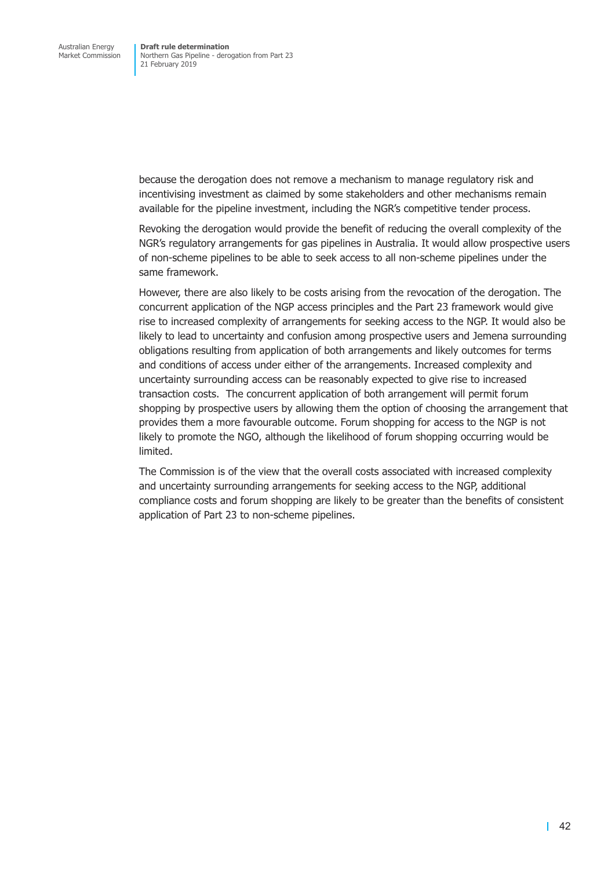because the derogation does not remove a mechanism to manage regulatory risk and incentivising investment as claimed by some stakeholders and other mechanisms remain available for the pipeline investment, including the NGR's competitive tender process.

Revoking the derogation would provide the benefit of reducing the overall complexity of the NGR's regulatory arrangements for gas pipelines in Australia. It would allow prospective users of non-scheme pipelines to be able to seek access to all non-scheme pipelines under the same framework.

However, there are also likely to be costs arising from the revocation of the derogation. The concurrent application of the NGP access principles and the Part 23 framework would give rise to increased complexity of arrangements for seeking access to the NGP. It would also be likely to lead to uncertainty and confusion among prospective users and Jemena surrounding obligations resulting from application of both arrangements and likely outcomes for terms and conditions of access under either of the arrangements. Increased complexity and uncertainty surrounding access can be reasonably expected to give rise to increased transaction costs. The concurrent application of both arrangement will permit forum shopping by prospective users by allowing them the option of choosing the arrangement that provides them a more favourable outcome. Forum shopping for access to the NGP is not likely to promote the NGO, although the likelihood of forum shopping occurring would be limited.

The Commission is of the view that the overall costs associated with increased complexity and uncertainty surrounding arrangements for seeking access to the NGP, additional compliance costs and forum shopping are likely to be greater than the benefits of consistent application of Part 23 to non-scheme pipelines.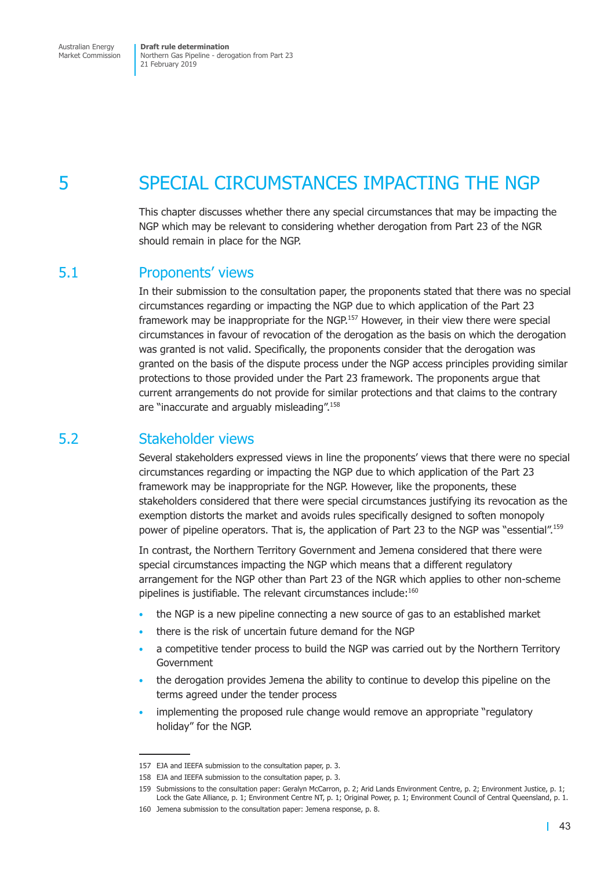<span id="page-50-0"></span>Australian Energy Market Commission

**Draft rule determination** Northern Gas Pipeline - derogation from Part 23 21 February 2019

## 5 SPECIAL CIRCUMSTANCES IMPACTING THE NGP

This chapter discusses whether there any special circumstances that may be impacting the NGP which may be relevant to considering whether derogation from Part 23 of the NGR should remain in place for the NGP.

### 5.1 Proponents' views

In their submission to the consultation paper, the proponents stated that there was no special circumstances regarding or impacting the NGP due to which application of the Part 23 framework may be inappropriate for the NGP.<sup>157</sup> However, in their view there were special circumstances in favour of revocation of the derogation as the basis on which the derogation was granted is not valid. Specifically, the proponents consider that the derogation was granted on the basis of the dispute process under the NGP access principles providing similar protections to those provided under the Part 23 framework. The proponents argue that current arrangements do not provide for similar protections and that claims to the contrary are "inaccurate and arguably misleading".158

## 5.2 Stakeholder views

Several stakeholders expressed views in line the proponents' views that there were no special circumstances regarding or impacting the NGP due to which application of the Part 23 framework may be inappropriate for the NGP. However, like the proponents, these stakeholders considered that there were special circumstances justifying its revocation as the exemption distorts the market and avoids rules specifically designed to soften monopoly power of pipeline operators. That is, the application of Part 23 to the NGP was "essential".<sup>159</sup>

In contrast, the Northern Territory Government and Jemena considered that there were special circumstances impacting the NGP which means that a different regulatory arrangement for the NGP other than Part 23 of the NGR which applies to other non-scheme pipelines is justifiable. The relevant circumstances include:<sup>160</sup>

- the NGP is a new pipeline connecting a new source of gas to an established market
- there is the risk of uncertain future demand for the NGP
- a competitive tender process to build the NGP was carried out by the Northern Territory Government
- the derogation provides Jemena the ability to continue to develop this pipeline on the terms agreed under the tender process
- implementing the proposed rule change would remove an appropriate "regulatory holiday" for the NGP.

<sup>157</sup> EJA and IEEFA submission to the consultation paper, p. 3.

<sup>158</sup> EJA and IEEFA submission to the consultation paper, p. 3.

<sup>159</sup> Submissions to the consultation paper: Geralyn McCarron, p. 2; Arid Lands Environment Centre, p. 2; Environment Justice, p. 1; Lock the Gate Alliance, p. 1; Environment Centre NT, p. 1; Original Power, p. 1; Environment Council of Central Queensland, p. 1.

<sup>160</sup> Jemena submission to the consultation paper: Jemena response, p. 8.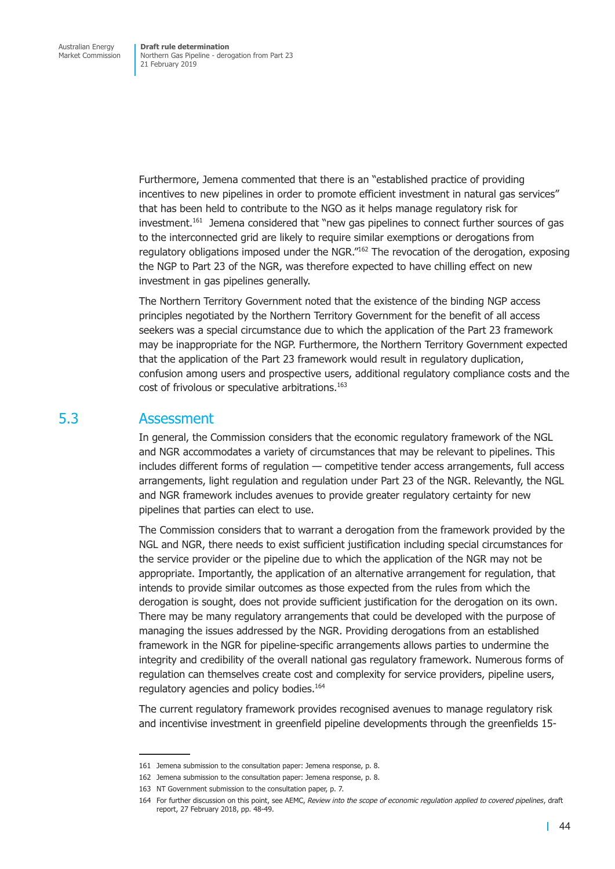<span id="page-51-0"></span>Furthermore, Jemena commented that there is an "established practice of providing incentives to new pipelines in order to promote efficient investment in natural gas services" that has been held to contribute to the NGO as it helps manage regulatory risk for investment.<sup>161</sup> Jemena considered that "new gas pipelines to connect further sources of gas to the interconnected grid are likely to require similar exemptions or derogations from regulatory obligations imposed under the NGR.<sup>"162</sup> The revocation of the derogation, exposing the NGP to Part 23 of the NGR, was therefore expected to have chilling effect on new investment in gas pipelines generally.

The Northern Territory Government noted that the existence of the binding NGP access principles negotiated by the Northern Territory Government for the benefit of all access seekers was a special circumstance due to which the application of the Part 23 framework may be inappropriate for the NGP. Furthermore, the Northern Territory Government expected that the application of the Part 23 framework would result in regulatory duplication, confusion among users and prospective users, additional regulatory compliance costs and the cost of frivolous or speculative arbitrations.<sup>163</sup>

### 5.3 Assessment

In general, the Commission considers that the economic regulatory framework of the NGL and NGR accommodates a variety of circumstances that may be relevant to pipelines. This includes different forms of regulation — competitive tender access arrangements, full access arrangements, light regulation and regulation under Part 23 of the NGR. Relevantly, the NGL and NGR framework includes avenues to provide greater regulatory certainty for new pipelines that parties can elect to use.

The Commission considers that to warrant a derogation from the framework provided by the NGL and NGR, there needs to exist sufficient justification including special circumstances for the service provider or the pipeline due to which the application of the NGR may not be appropriate. Importantly, the application of an alternative arrangement for regulation, that intends to provide similar outcomes as those expected from the rules from which the derogation is sought, does not provide sufficient justification for the derogation on its own. There may be many regulatory arrangements that could be developed with the purpose of managing the issues addressed by the NGR. Providing derogations from an established framework in the NGR for pipeline-specific arrangements allows parties to undermine the integrity and credibility of the overall national gas regulatory framework. Numerous forms of regulation can themselves create cost and complexity for service providers, pipeline users, regulatory agencies and policy bodies.<sup>164</sup>

The current regulatory framework provides recognised avenues to manage regulatory risk and incentivise investment in greenfield pipeline developments through the greenfields 15-

<sup>161</sup> Jemena submission to the consultation paper: Jemena response, p. 8.

<sup>162</sup> Jemena submission to the consultation paper: Jemena response, p. 8.

<sup>163</sup> NT Government submission to the consultation paper, p. 7.

<sup>164</sup> For further discussion on this point, see AEMC, *Review into the scope of economic regulation applied to covered pipelines*, draft report, 27 February 2018, pp. 48-49.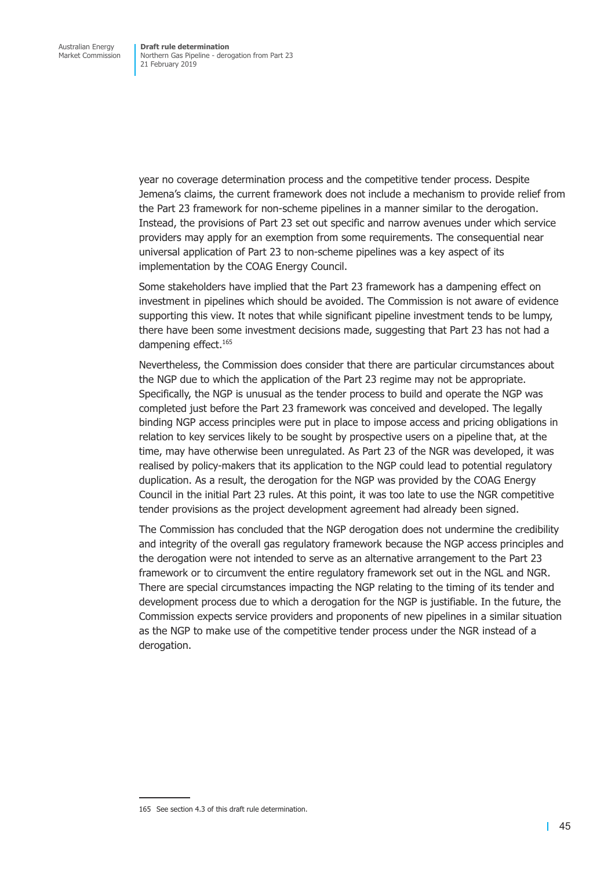year no coverage determination process and the competitive tender process. Despite Jemena's claims, the current framework does not include a mechanism to provide relief from the Part 23 framework for non-scheme pipelines in a manner similar to the derogation. Instead, the provisions of Part 23 set out specific and narrow avenues under which service providers may apply for an exemption from some requirements. The consequential near universal application of Part 23 to non-scheme pipelines was a key aspect of its implementation by the COAG Energy Council.

Some stakeholders have implied that the Part 23 framework has a dampening effect on investment in pipelines which should be avoided. The Commission is not aware of evidence supporting this view. It notes that while significant pipeline investment tends to be lumpy, there have been some investment decisions made, suggesting that Part 23 has not had a dampening effect.<sup>165</sup>

Nevertheless, the Commission does consider that there are particular circumstances about the NGP due to which the application of the Part 23 regime may not be appropriate. Specifically, the NGP is unusual as the tender process to build and operate the NGP was completed just before the Part 23 framework was conceived and developed. The legally binding NGP access principles were put in place to impose access and pricing obligations in relation to key services likely to be sought by prospective users on a pipeline that, at the time, may have otherwise been unregulated. As Part 23 of the NGR was developed, it was realised by policy-makers that its application to the NGP could lead to potential regulatory duplication. As a result, the derogation for the NGP was provided by the COAG Energy Council in the initial Part 23 rules. At this point, it was too late to use the NGR competitive tender provisions as the project development agreement had already been signed.

The Commission has concluded that the NGP derogation does not undermine the credibility and integrity of the overall gas regulatory framework because the NGP access principles and the derogation were not intended to serve as an alternative arrangement to the Part 23 framework or to circumvent the entire regulatory framework set out in the NGL and NGR. There are special circumstances impacting the NGP relating to the timing of its tender and development process due to which a derogation for the NGP is justifiable. In the future, the Commission expects service providers and proponents of new pipelines in a similar situation as the NGP to make use of the competitive tender process under the NGR instead of a derogation.

<sup>165</sup> See section 4.3 of this draft rule determination.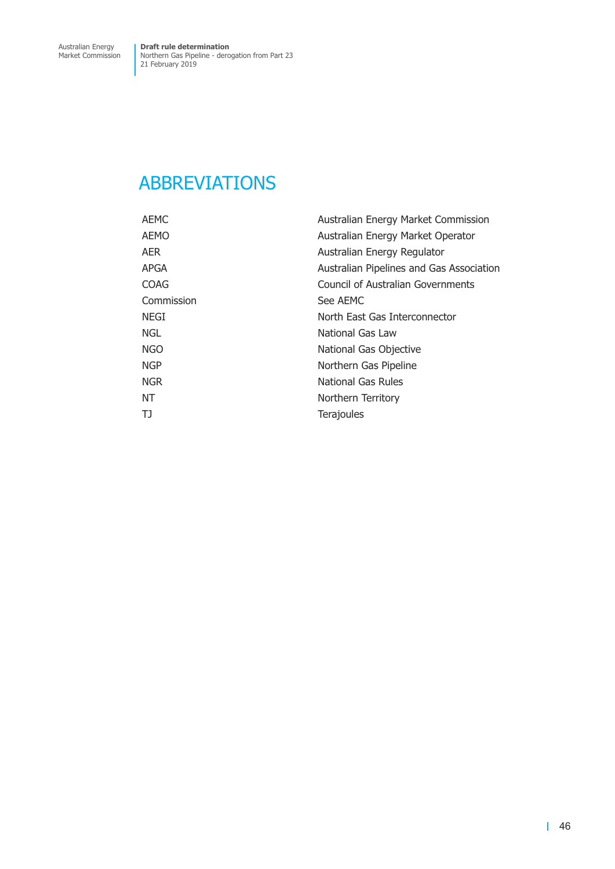## <span id="page-53-0"></span>ABBREVIATIONS

| <b>AEMC</b> | Australian Energy Market Commission      |
|-------------|------------------------------------------|
| <b>AEMO</b> | Australian Energy Market Operator        |
| AER.        | Australian Energy Regulator              |
| <b>APGA</b> | Australian Pipelines and Gas Association |
| <b>COAG</b> | Council of Australian Governments        |
| Commission  | See AEMC                                 |
| <b>NEGI</b> | North East Gas Interconnector            |
| NGL.        | National Gas Law                         |
| <b>NGO</b>  | National Gas Objective                   |
| <b>NGP</b>  | Northern Gas Pipeline                    |
| <b>NGR</b>  | <b>National Gas Rules</b>                |
| NT          | Northern Territory                       |
| TJ          | <b>Terajoules</b>                        |
|             |                                          |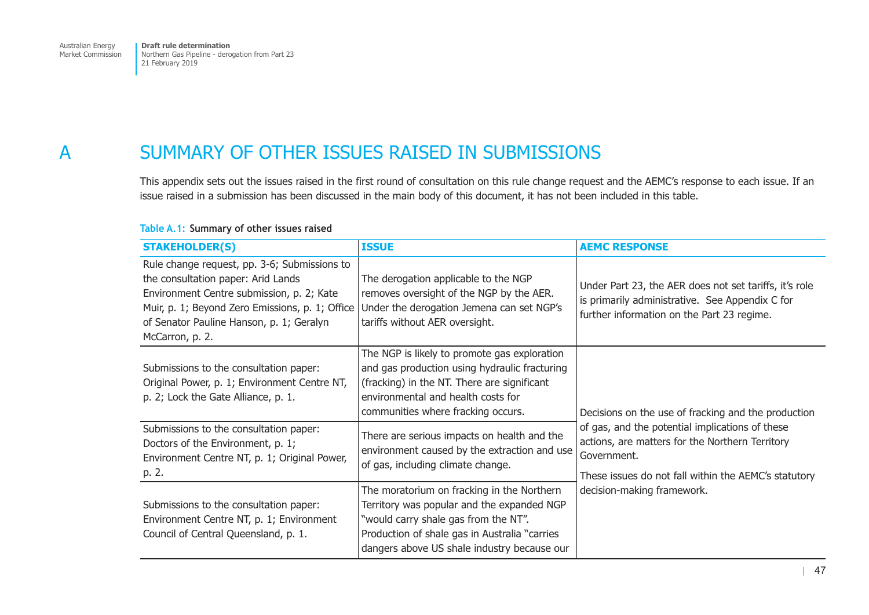## <span id="page-54-0"></span>A SUMMARY OF OTHER ISSUES RAISED IN SUBMISSIONS

This appendix sets out the issues raised in the first round of consultation on this rule change request and the AEMC's response to each issue. If an issue raised in a submission has been discussed in the main body of this document, it has not been included in this table.

| <b>STAKEHOLDER(S)</b>                                                                                                                                                                                                                             | <b>ISSUE</b>                                                                                                                                                                                                                     | <b>AEMC RESPONSE</b>                                                                                                                                                                                                                                           |
|---------------------------------------------------------------------------------------------------------------------------------------------------------------------------------------------------------------------------------------------------|----------------------------------------------------------------------------------------------------------------------------------------------------------------------------------------------------------------------------------|----------------------------------------------------------------------------------------------------------------------------------------------------------------------------------------------------------------------------------------------------------------|
| Rule change request, pp. 3-6; Submissions to<br>the consultation paper: Arid Lands<br>Environment Centre submission, p. 2; Kate<br>Muir, p. 1; Beyond Zero Emissions, p. 1; Office<br>of Senator Pauline Hanson, p. 1; Geralyn<br>McCarron, p. 2. | The derogation applicable to the NGP<br>removes oversight of the NGP by the AER.<br>Under the derogation Jemena can set NGP's<br>tariffs without AER oversight.                                                                  | Under Part 23, the AER does not set tariffs, it's role<br>is primarily administrative. See Appendix C for<br>further information on the Part 23 regime.                                                                                                        |
| Submissions to the consultation paper:<br>Original Power, p. 1; Environment Centre NT,<br>p. 2; Lock the Gate Alliance, p. 1.                                                                                                                     | The NGP is likely to promote gas exploration<br>and gas production using hydraulic fracturing<br>(fracking) in the NT. There are significant<br>environmental and health costs for<br>communities where fracking occurs.         | Decisions on the use of fracking and the production<br>of gas, and the potential implications of these<br>actions, are matters for the Northern Territory<br>Government.<br>These issues do not fall within the AEMC's statutory<br>decision-making framework. |
| Submissions to the consultation paper:<br>Doctors of the Environment, p. 1;<br>Environment Centre NT, p. 1; Original Power,<br>p. 2.                                                                                                              | There are serious impacts on health and the<br>environment caused by the extraction and use<br>of gas, including climate change.                                                                                                 |                                                                                                                                                                                                                                                                |
| Submissions to the consultation paper:<br>Environment Centre NT, p. 1; Environment<br>Council of Central Queensland, p. 1.                                                                                                                        | The moratorium on fracking in the Northern<br>Territory was popular and the expanded NGP<br>"would carry shale gas from the NT".<br>Production of shale gas in Australia "carries<br>dangers above US shale industry because our |                                                                                                                                                                                                                                                                |

#### **Table A.1: Summary of other issues raised**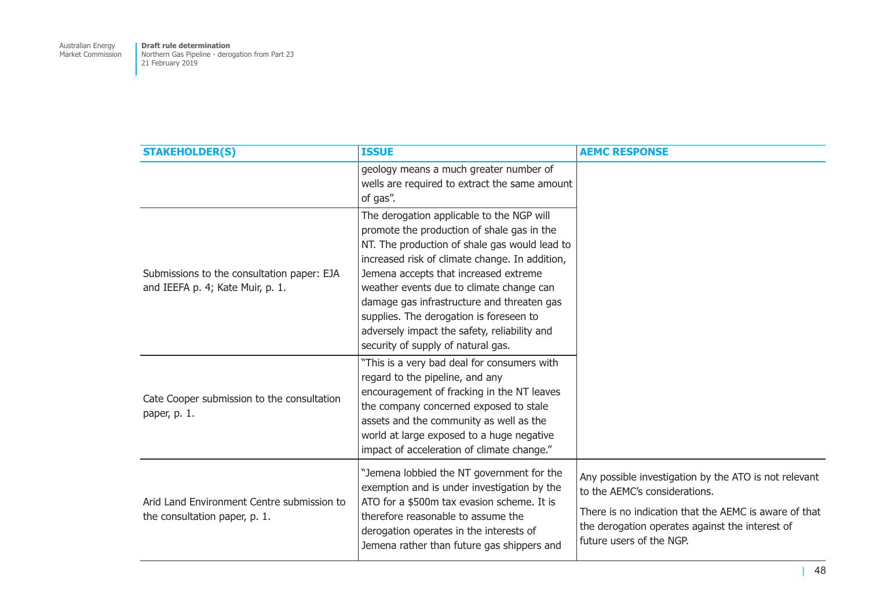| <b>STAKEHOLDER(S)</b>                                                          | <b>ISSUE</b>                                                                                                                                                                                                                                                                                                                                                                                                                                                   | <b>AEMC RESPONSE</b>                                                                                                                                                                                                           |
|--------------------------------------------------------------------------------|----------------------------------------------------------------------------------------------------------------------------------------------------------------------------------------------------------------------------------------------------------------------------------------------------------------------------------------------------------------------------------------------------------------------------------------------------------------|--------------------------------------------------------------------------------------------------------------------------------------------------------------------------------------------------------------------------------|
|                                                                                | geology means a much greater number of<br>wells are required to extract the same amount<br>of gas".                                                                                                                                                                                                                                                                                                                                                            |                                                                                                                                                                                                                                |
| Submissions to the consultation paper: EJA<br>and IEEFA p. 4; Kate Muir, p. 1. | The derogation applicable to the NGP will<br>promote the production of shale gas in the<br>NT. The production of shale gas would lead to<br>increased risk of climate change. In addition,<br>Jemena accepts that increased extreme<br>weather events due to climate change can<br>damage gas infrastructure and threaten gas<br>supplies. The derogation is foreseen to<br>adversely impact the safety, reliability and<br>security of supply of natural gas. |                                                                                                                                                                                                                                |
| Cate Cooper submission to the consultation<br>paper, p. 1.                     | "This is a very bad deal for consumers with<br>regard to the pipeline, and any<br>encouragement of fracking in the NT leaves<br>the company concerned exposed to stale<br>assets and the community as well as the<br>world at large exposed to a huge negative<br>impact of acceleration of climate change."                                                                                                                                                   |                                                                                                                                                                                                                                |
| Arid Land Environment Centre submission to<br>the consultation paper, p. 1.    | "Jemena lobbied the NT government for the<br>exemption and is under investigation by the<br>ATO for a \$500m tax evasion scheme. It is<br>therefore reasonable to assume the<br>derogation operates in the interests of<br>Jemena rather than future gas shippers and                                                                                                                                                                                          | Any possible investigation by the ATO is not relevant<br>to the AEMC's considerations.<br>There is no indication that the AEMC is aware of that<br>the derogation operates against the interest of<br>future users of the NGP. |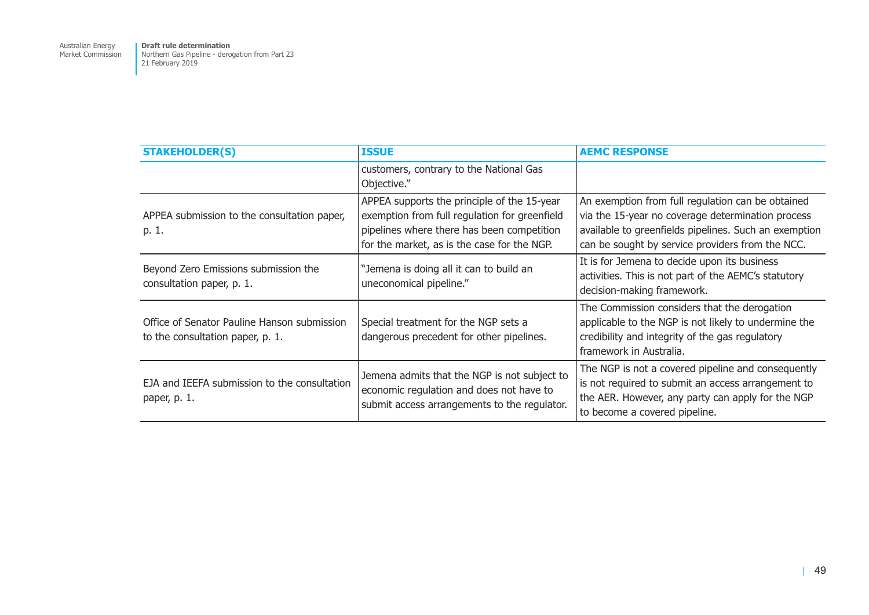Australian Energy Market Commission

**Draft rule determination**  Northern Gas Pipeline - derogation from Part 23 21 February 2019

| <b>STAKEHOLDER(S)</b>                                                           | <b>ISSUE</b>                                                                                                                                                                              | <b>AEMC RESPONSE</b>                                                                                                                                                                                                |
|---------------------------------------------------------------------------------|-------------------------------------------------------------------------------------------------------------------------------------------------------------------------------------------|---------------------------------------------------------------------------------------------------------------------------------------------------------------------------------------------------------------------|
|                                                                                 | customers, contrary to the National Gas<br>Objective."                                                                                                                                    |                                                                                                                                                                                                                     |
| APPEA submission to the consultation paper,<br>p. 1.                            | APPEA supports the principle of the 15-year<br>exemption from full regulation for greenfield<br>pipelines where there has been competition<br>for the market, as is the case for the NGP. | An exemption from full regulation can be obtained<br>via the 15-year no coverage determination process<br>available to greenfields pipelines. Such an exemption<br>can be sought by service providers from the NCC. |
| Beyond Zero Emissions submission the<br>consultation paper, p. 1.               | "Jemena is doing all it can to build an<br>uneconomical pipeline."                                                                                                                        | It is for Jemena to decide upon its business<br>activities. This is not part of the AEMC's statutory<br>decision-making framework.                                                                                  |
| Office of Senator Pauline Hanson submission<br>to the consultation paper, p. 1. | Special treatment for the NGP sets a<br>dangerous precedent for other pipelines.                                                                                                          | The Commission considers that the derogation<br>applicable to the NGP is not likely to undermine the<br>credibility and integrity of the gas regulatory<br>framework in Australia.                                  |
| EJA and IEEFA submission to the consultation<br>paper, p. 1.                    | Jemena admits that the NGP is not subject to<br>economic regulation and does not have to<br>submit access arrangements to the regulator.                                                  | The NGP is not a covered pipeline and consequently<br>is not required to submit an access arrangement to<br>the AER. However, any party can apply for the NGP<br>to become a covered pipeline.                      |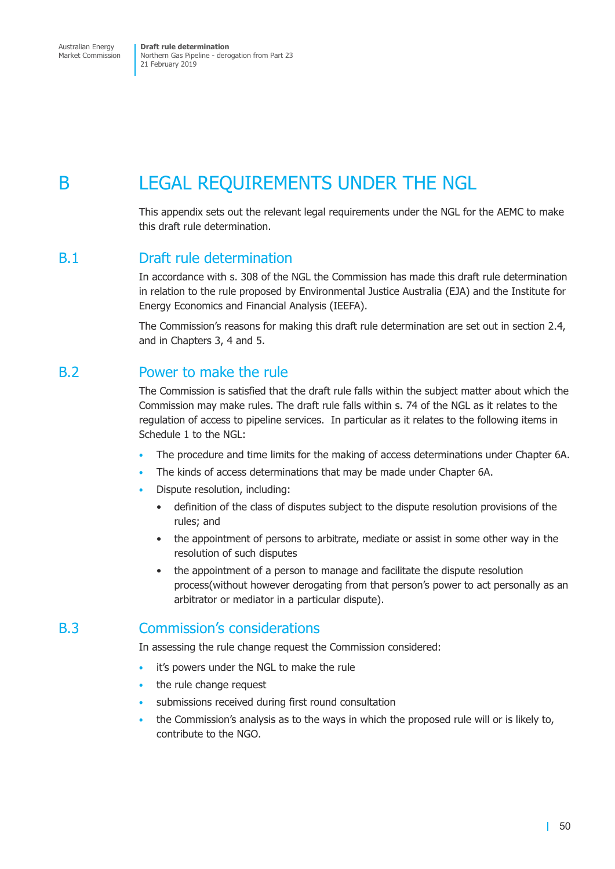<span id="page-57-0"></span>Australian Energy Market Commission

**Draft rule determination** Northern Gas Pipeline - derogation from Part 23 21 February 2019

## B LEGAL REQUIREMENTS UNDER THE NGL

This appendix sets out the relevant legal requirements under the NGL for the AEMC to make this draft rule determination.

## B.1 Draft rule determination

In accordance with s. 308 of the NGL the Commission has made this draft rule determination in relation to the rule proposed by Environmental Justice Australia (EJA) and the Institute for Energy Economics and Financial Analysis (IEEFA).

The Commission's reasons for making this draft rule determination are set out in section 2.4, and in Chapters 3, 4 and 5.

## B.2 Power to make the rule

The Commission is satisfied that the draft rule falls within the subject matter about which the Commission may make rules. The draft rule falls within s. 74 of the NGL as it relates to the regulation of access to pipeline services. In particular as it relates to the following items in Schedule 1 to the NGL:

- The procedure and time limits for the making of access determinations under Chapter 6A.
- The kinds of access determinations that may be made under Chapter 6A.
- Dispute resolution, including:
	- definition of the class of disputes subject to the dispute resolution provisions of the rules; and
	- the appointment of persons to arbitrate, mediate or assist in some other way in the resolution of such disputes
	- the appointment of a person to manage and facilitate the dispute resolution process(without however derogating from that person's power to act personally as an arbitrator or mediator in a particular dispute).

## B.3 Commission's considerations

In assessing the rule change request the Commission considered:

- it's powers under the NGL to make the rule
- the rule change request
- submissions received during first round consultation
- the Commission's analysis as to the ways in which the proposed rule will or is likely to, contribute to the NGO.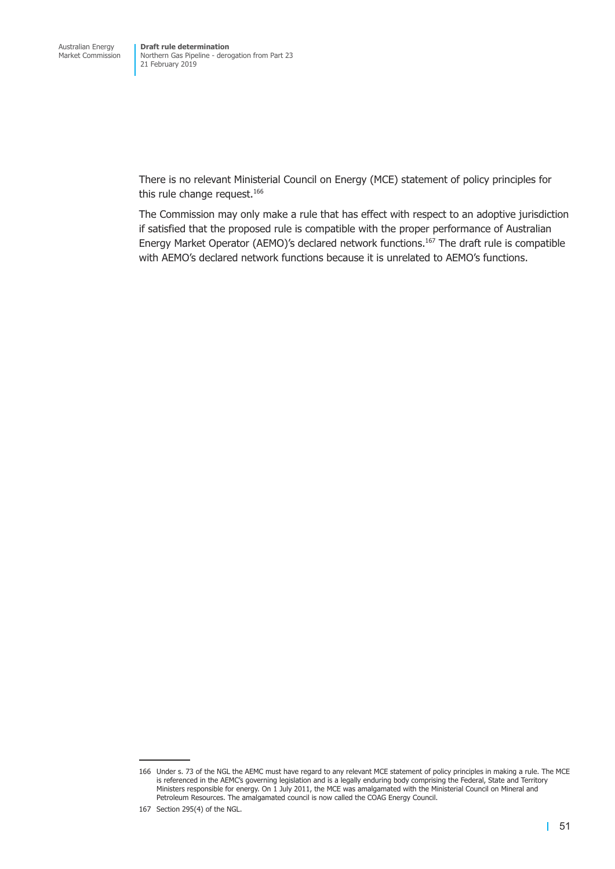There is no relevant Ministerial Council on Energy (MCE) statement of policy principles for this rule change request.<sup>166</sup>

The Commission may only make a rule that has effect with respect to an adoptive jurisdiction if satisfied that the proposed rule is compatible with the proper performance of Australian Energy Market Operator (AEMO)'s declared network functions.<sup>167</sup> The draft rule is compatible with AEMO's declared network functions because it is unrelated to AEMO's functions.

<sup>166</sup> Under s. 73 of the NGL the AEMC must have regard to any relevant MCE statement of policy principles in making a rule. The MCE is referenced in the AEMC's governing legislation and is a legally enduring body comprising the Federal, State and Territory Ministers responsible for energy. On 1 July 2011, the MCE was amalgamated with the Ministerial Council on Mineral and Petroleum Resources. The amalgamated council is now called the COAG Energy Council.

<sup>167</sup> Section 295(4) of the NGL.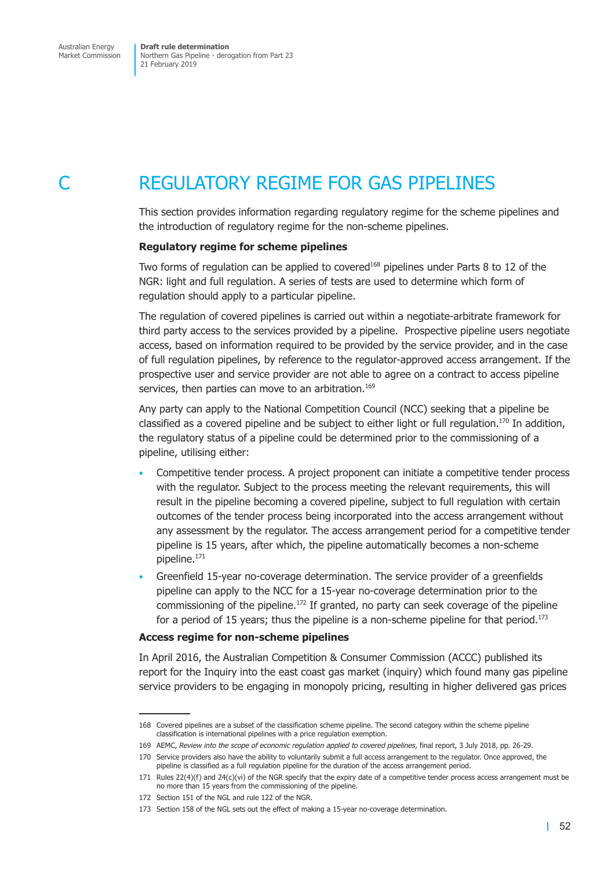<span id="page-59-0"></span>

## REGULATORY REGIME FOR GAS PIPELINES

This section provides information regarding regulatory regime for the scheme pipelines and the introduction of regulatory regime for the non-scheme pipelines.

#### **Regulatory regime for scheme pipelines**

Two forms of regulation can be applied to covered<sup>168</sup> pipelines under Parts 8 to 12 of the NGR: light and full regulation. A series of tests are used to determine which form of regulation should apply to a particular pipeline.

The regulation of covered pipelines is carried out within a negotiate-arbitrate framework for third party access to the services provided by a pipeline. Prospective pipeline users negotiate access, based on information required to be provided by the service provider, and in the case of full regulation pipelines, by reference to the regulator-approved access arrangement. If the prospective user and service provider are not able to agree on a contract to access pipeline services, then parties can move to an arbitration.<sup>169</sup>

Any party can apply to the National Competition Council (NCC) seeking that a pipeline be classified as a covered pipeline and be subject to either light or full regulation.<sup>170</sup> In addition, the regulatory status of a pipeline could be determined prior to the commissioning of a pipeline, utilising either:

- Competitive tender process. A project proponent can initiate a competitive tender process with the regulator. Subject to the process meeting the relevant requirements, this will result in the pipeline becoming a covered pipeline, subject to full regulation with certain outcomes of the tender process being incorporated into the access arrangement without any assessment by the regulator. The access arrangement period for a competitive tender pipeline is 15 years, after which, the pipeline automatically becomes a non-scheme pipeline.171
- Greenfield 15-year no-coverage determination. The service provider of a greenfields pipeline can apply to the NCC for a 15-year no-coverage determination prior to the commissioning of the pipeline.<sup>172</sup> If granted, no party can seek coverage of the pipeline for a period of 15 years; thus the pipeline is a non-scheme pipeline for that period.<sup>173</sup>

#### **Access regime for non-scheme pipelines**

In April 2016, the Australian Competition & Consumer Commission (ACCC) published its report for the Inquiry into the east coast gas market (inquiry) which found many gas pipeline service providers to be engaging in monopoly pricing, resulting in higher delivered gas prices

<sup>168</sup> Covered pipelines are a subset of the classification scheme pipeline. The second category within the scheme pipeline classification is international pipelines with a price regulation exemption.

<sup>169</sup> AEMC, *Review into the scope of economic regulation applied to covered pipelines*, final report, 3 July 2018, pp. 26-29.

<sup>170</sup> Service providers also have the ability to voluntarily submit a full access arrangement to the regulator. Once approved, the pipeline is classified as a full regulation pipeline for the duration of the access arrangement period.

<sup>171</sup> Rules 22(4)(f) and 24(c)(vi) of the NGR specify that the expiry date of a competitive tender process access arrangement must be no more than 15 years from the commissioning of the pipeline.

<sup>172</sup> Section 151 of the NGL and rule 122 of the NGR.

<sup>173</sup> Section 158 of the NGL sets out the effect of making a 15-year no-coverage determination.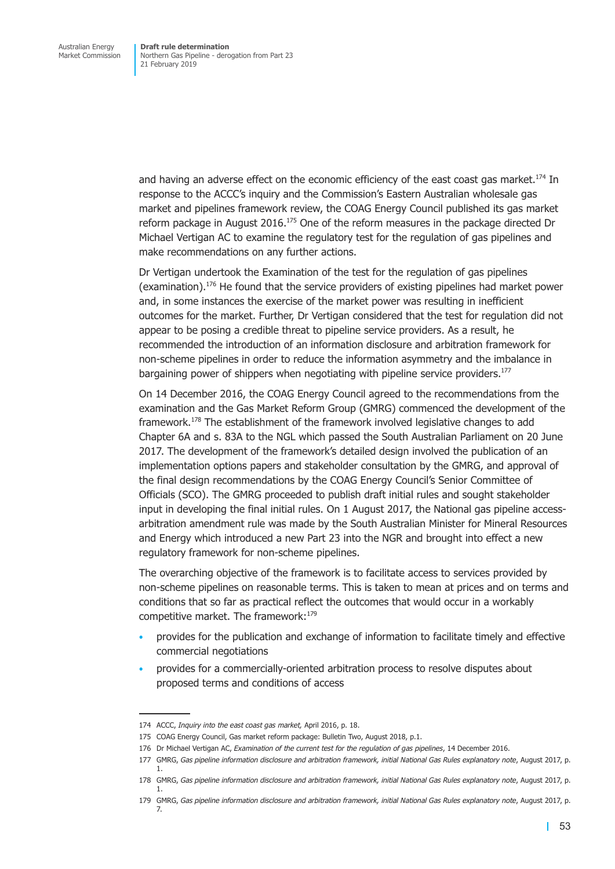and having an adverse effect on the economic efficiency of the east coast gas market.<sup>174</sup> In response to the ACCC's inquiry and the Commission's Eastern Australian wholesale gas market and pipelines framework review, the COAG Energy Council published its gas market reform package in August 2016.<sup>175</sup> One of the reform measures in the package directed Dr Michael Vertigan AC to examine the regulatory test for the regulation of gas pipelines and make recommendations on any further actions.

Dr Vertigan undertook the Examination of the test for the regulation of gas pipelines (examination).176 He found that the service providers of existing pipelines had market power and, in some instances the exercise of the market power was resulting in inefficient outcomes for the market. Further, Dr Vertigan considered that the test for regulation did not appear to be posing a credible threat to pipeline service providers. As a result, he recommended the introduction of an information disclosure and arbitration framework for non-scheme pipelines in order to reduce the information asymmetry and the imbalance in bargaining power of shippers when negotiating with pipeline service providers.<sup>177</sup>

On 14 December 2016, the COAG Energy Council agreed to the recommendations from the examination and the Gas Market Reform Group (GMRG) commenced the development of the framework.178 The establishment of the framework involved legislative changes to add Chapter 6A and s. 83A to the NGL which passed the South Australian Parliament on 20 June 2017. The development of the framework's detailed design involved the publication of an implementation options papers and stakeholder consultation by the GMRG, and approval of the final design recommendations by the COAG Energy Council's Senior Committee of Officials (SCO). The GMRG proceeded to publish draft initial rules and sought stakeholder input in developing the final initial rules. On 1 August 2017, the National gas pipeline accessarbitration amendment rule was made by the South Australian Minister for Mineral Resources and Energy which introduced a new Part 23 into the NGR and brought into effect a new regulatory framework for non-scheme pipelines.

The overarching objective of the framework is to facilitate access to services provided by non-scheme pipelines on reasonable terms. This is taken to mean at prices and on terms and conditions that so far as practical reflect the outcomes that would occur in a workably competitive market. The framework:<sup>179</sup>

- provides for the publication and exchange of information to facilitate timely and effective commercial negotiations
- provides for a commercially-oriented arbitration process to resolve disputes about proposed terms and conditions of access

<sup>174</sup> ACCC, *Inquiry into the east coast gas market,* April 2016, p. 18.

<sup>175</sup> COAG Energy Council, Gas market reform package: Bulletin Two, August 2018, p.1.

<sup>176</sup> Dr Michael Vertigan AC, *Examination of the current test for the regulation of gas pipelines*, 14 December 2016.

<sup>177</sup> GMRG, *Gas pipeline information disclosure and arbitration framework, initial National Gas Rules explanatory note*, August 2017, p. 1.

<sup>178</sup> GMRG, *Gas pipeline information disclosure and arbitration framework, initial National Gas Rules explanatory note*, August 2017, p. 1.

<sup>179</sup> GMRG, *Gas pipeline information disclosure and arbitration framework, initial National Gas Rules explanatory note*, August 2017, p. 7.